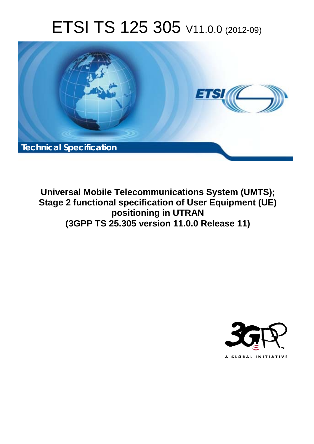# ETSI TS 125 305 V11.0.0 (2012-09)



**Universal Mobile Telecommunications System (UMTS); Stage 2 functional specification of User Equipment (UE) positioning in UTRAN (3GPP TS 25.305 version 11.0.0 Release 11)** 

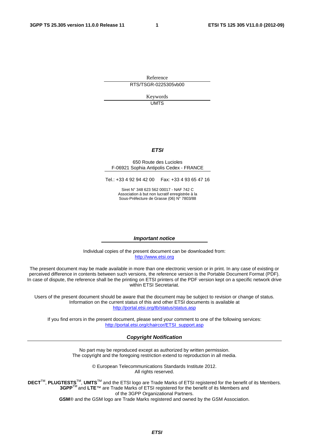Reference RTS/TSGR-0225305vb00

> Keywords UMTS

#### *ETSI*

#### 650 Route des Lucioles F-06921 Sophia Antipolis Cedex - FRANCE

Tel.: +33 4 92 94 42 00 Fax: +33 4 93 65 47 16

Siret N° 348 623 562 00017 - NAF 742 C Association à but non lucratif enregistrée à la Sous-Préfecture de Grasse (06) N° 7803/88

#### *Important notice*

Individual copies of the present document can be downloaded from: [http://www.etsi.org](http://www.etsi.org/)

The present document may be made available in more than one electronic version or in print. In any case of existing or perceived difference in contents between such versions, the reference version is the Portable Document Format (PDF). In case of dispute, the reference shall be the printing on ETSI printers of the PDF version kept on a specific network drive within ETSI Secretariat.

Users of the present document should be aware that the document may be subject to revision or change of status. Information on the current status of this and other ETSI documents is available at <http://portal.etsi.org/tb/status/status.asp>

If you find errors in the present document, please send your comment to one of the following services: [http://portal.etsi.org/chaircor/ETSI\\_support.asp](http://portal.etsi.org/chaircor/ETSI_support.asp)

#### *Copyright Notification*

No part may be reproduced except as authorized by written permission. The copyright and the foregoing restriction extend to reproduction in all media.

> © European Telecommunications Standards Institute 2012. All rights reserved.

DECT<sup>™</sup>, PLUGTESTS<sup>™</sup>, UMTS<sup>™</sup> and the ETSI logo are Trade Marks of ETSI registered for the benefit of its Members. **3GPP**TM and **LTE**™ are Trade Marks of ETSI registered for the benefit of its Members and of the 3GPP Organizational Partners.

**GSM**® and the GSM logo are Trade Marks registered and owned by the GSM Association.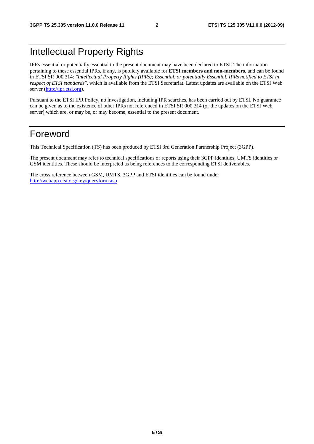# Intellectual Property Rights

IPRs essential or potentially essential to the present document may have been declared to ETSI. The information pertaining to these essential IPRs, if any, is publicly available for **ETSI members and non-members**, and can be found in ETSI SR 000 314: *"Intellectual Property Rights (IPRs); Essential, or potentially Essential, IPRs notified to ETSI in respect of ETSI standards"*, which is available from the ETSI Secretariat. Latest updates are available on the ETSI Web server [\(http://ipr.etsi.org](http://webapp.etsi.org/IPR/home.asp)).

Pursuant to the ETSI IPR Policy, no investigation, including IPR searches, has been carried out by ETSI. No guarantee can be given as to the existence of other IPRs not referenced in ETSI SR 000 314 (or the updates on the ETSI Web server) which are, or may be, or may become, essential to the present document.

# Foreword

This Technical Specification (TS) has been produced by ETSI 3rd Generation Partnership Project (3GPP).

The present document may refer to technical specifications or reports using their 3GPP identities, UMTS identities or GSM identities. These should be interpreted as being references to the corresponding ETSI deliverables.

The cross reference between GSM, UMTS, 3GPP and ETSI identities can be found under [http://webapp.etsi.org/key/queryform.asp.](http://webapp.etsi.org/key/queryform.asp)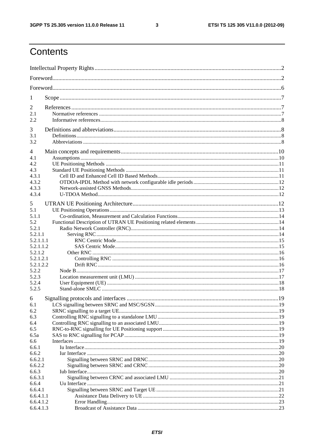$\mathbf{3}$ 

# Contents

| 1                      |                                     |    |
|------------------------|-------------------------------------|----|
| 2                      |                                     |    |
| 2.1                    |                                     |    |
| 2.2                    |                                     |    |
| 3                      |                                     |    |
| 3.1                    |                                     |    |
| 3.2                    |                                     |    |
|                        |                                     |    |
| 4                      |                                     |    |
| 4.1                    |                                     |    |
| 4.2                    |                                     |    |
| 4.3                    |                                     |    |
| 4.3.1                  |                                     |    |
| 4.3.2<br>4.3.3         |                                     |    |
| 4.3.4                  |                                     |    |
|                        |                                     |    |
| 5                      |                                     |    |
| 5.1                    |                                     |    |
| 5.1.1                  |                                     |    |
| 5.2                    |                                     |    |
| 5.2.1                  |                                     |    |
| 5.2.1.1                |                                     |    |
| 5.2.1.1.1<br>5.2.1.1.2 |                                     |    |
| 5.2.1.2                |                                     |    |
| 5.2.1.2.1              |                                     |    |
| 5.2.1.2.2              |                                     |    |
| 5.2.2                  |                                     |    |
| 5.2.3                  |                                     |    |
| 5.2.4                  |                                     |    |
| 5.2.5                  |                                     |    |
| 6                      | Signalling protocols and interfaces | 19 |
| 6.1                    |                                     |    |
| 6.2                    |                                     |    |
| 6.3                    |                                     |    |
| 6.4                    |                                     |    |
| 6.5                    |                                     |    |
| 6.5a                   |                                     |    |
| 6.6                    |                                     |    |
| 6.6.1                  |                                     |    |
| 6.6.2                  |                                     |    |
| 6.6.2.1                |                                     |    |
| 6.6.2.2                |                                     |    |
| 6.6.3                  |                                     |    |
| 6.6.3.1                |                                     |    |
| 6.6.4<br>6.6.4.1       |                                     |    |
| 6.6.4.1.1              |                                     |    |
| 6.6.4.1.2              |                                     |    |
| 6.6.4.1.3              |                                     |    |
|                        |                                     |    |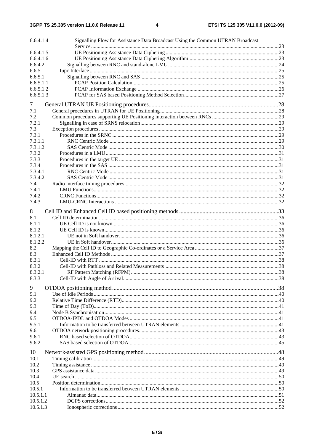| 6.6.4.1.4              | Signalling Flow for Assistance Data Broadcast Using the Common UTRAN Broadcast |  |
|------------------------|--------------------------------------------------------------------------------|--|
|                        |                                                                                |  |
| 6.6.4.1.5              |                                                                                |  |
| 6.6.4.1.6              |                                                                                |  |
| 6.6.4.2                |                                                                                |  |
| 6.6.5                  |                                                                                |  |
| 6.6.5.1                |                                                                                |  |
| 6.6.5.1.1<br>6.6.5.1.2 |                                                                                |  |
| 6.6.5.1.3              |                                                                                |  |
|                        |                                                                                |  |
| 7                      |                                                                                |  |
| 7.1                    |                                                                                |  |
| 7.2                    |                                                                                |  |
| 7.2.1                  |                                                                                |  |
| 7.3                    |                                                                                |  |
| 7.3.1                  |                                                                                |  |
| 7.3.1.1                |                                                                                |  |
| 7.3.1.2                |                                                                                |  |
| 7.3.2                  |                                                                                |  |
| 7.3.3                  |                                                                                |  |
| 7.3.4<br>7.3.4.1       |                                                                                |  |
| 7.3.4.2                |                                                                                |  |
| 7.4                    |                                                                                |  |
| 7.4.1                  |                                                                                |  |
| 7.4.2                  |                                                                                |  |
| 7.4.3                  |                                                                                |  |
|                        |                                                                                |  |
| 8                      |                                                                                |  |
| 8.1                    |                                                                                |  |
| 8.1.1                  |                                                                                |  |
| 8.1.2                  |                                                                                |  |
| 8.1.2.1                |                                                                                |  |
| 8.1.2.2                |                                                                                |  |
| 8.2                    |                                                                                |  |
| 8.3<br>8.3.1           |                                                                                |  |
| 8.3.2                  |                                                                                |  |
| 8.3.2.1                |                                                                                |  |
| 8.3.3                  |                                                                                |  |
|                        |                                                                                |  |
| 9                      |                                                                                |  |
| 9.1                    |                                                                                |  |
| 9.2                    |                                                                                |  |
| 9.3                    |                                                                                |  |
| 9.4                    |                                                                                |  |
| 9.5                    |                                                                                |  |
| 9.5.1                  |                                                                                |  |
| 9.6                    |                                                                                |  |
| 9.6.1                  |                                                                                |  |
| 9.6.2                  |                                                                                |  |
| 10                     |                                                                                |  |
| 10.1                   |                                                                                |  |
| 10.2                   |                                                                                |  |
| 10.3                   |                                                                                |  |
| 10.4                   |                                                                                |  |
| 10.5                   |                                                                                |  |
| 10.5.1                 |                                                                                |  |
| 10.5.1.1               |                                                                                |  |
| 10.5.1.2               |                                                                                |  |
| 10.5.1.3               |                                                                                |  |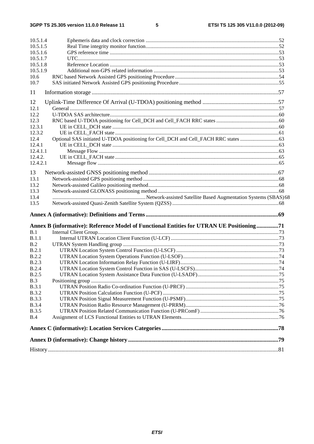$5\phantom{a}$ 

| 10.5.1.4<br>10.5.1.5<br>10.5.1.6<br>10.5.1.7<br>10.5.1.8<br>10.5.1.9<br>10.6<br>10.7 |                                                                                          |  |
|--------------------------------------------------------------------------------------|------------------------------------------------------------------------------------------|--|
| 11                                                                                   |                                                                                          |  |
| 12                                                                                   |                                                                                          |  |
| 12.1                                                                                 |                                                                                          |  |
| 12.2                                                                                 |                                                                                          |  |
| 12.3                                                                                 |                                                                                          |  |
| 12.3.1                                                                               |                                                                                          |  |
| 12.3.2                                                                               |                                                                                          |  |
| 12.4                                                                                 |                                                                                          |  |
| 12.4.1                                                                               |                                                                                          |  |
| 12.4.1.1                                                                             |                                                                                          |  |
| 12.4.2.                                                                              |                                                                                          |  |
| 12.4.2.1                                                                             |                                                                                          |  |
| 13                                                                                   |                                                                                          |  |
| 13.1                                                                                 |                                                                                          |  |
| 13.2                                                                                 |                                                                                          |  |
| 13.3                                                                                 |                                                                                          |  |
| 13.4                                                                                 |                                                                                          |  |
| 13.5                                                                                 |                                                                                          |  |
|                                                                                      | Annex B (informative): Reference Model of Functional Entities for UTRAN UE Positioning71 |  |
| B.1                                                                                  |                                                                                          |  |
| B.1.1                                                                                |                                                                                          |  |
| B.2                                                                                  |                                                                                          |  |
| B.2.1                                                                                |                                                                                          |  |
| B.2.2                                                                                |                                                                                          |  |
| <b>B.2.3</b>                                                                         |                                                                                          |  |
| <b>B.2.4</b>                                                                         |                                                                                          |  |
| B.2.5                                                                                |                                                                                          |  |
| B.3                                                                                  |                                                                                          |  |
| <b>B.3.1</b>                                                                         |                                                                                          |  |
| <b>B.3.2</b>                                                                         |                                                                                          |  |
| <b>B.3.3</b>                                                                         |                                                                                          |  |
| <b>B.3.4</b>                                                                         |                                                                                          |  |
| <b>B.3.5</b>                                                                         |                                                                                          |  |
| B.4                                                                                  |                                                                                          |  |
|                                                                                      |                                                                                          |  |
|                                                                                      |                                                                                          |  |
|                                                                                      |                                                                                          |  |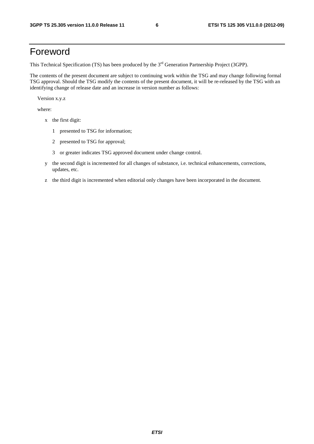# Foreword

This Technical Specification (TS) has been produced by the 3<sup>rd</sup> Generation Partnership Project (3GPP).

The contents of the present document are subject to continuing work within the TSG and may change following formal TSG approval. Should the TSG modify the contents of the present document, it will be re-released by the TSG with an identifying change of release date and an increase in version number as follows:

Version x.y.z

where:

- x the first digit:
	- 1 presented to TSG for information;
	- 2 presented to TSG for approval;
	- 3 or greater indicates TSG approved document under change control.
- y the second digit is incremented for all changes of substance, i.e. technical enhancements, corrections, updates, etc.
- z the third digit is incremented when editorial only changes have been incorporated in the document.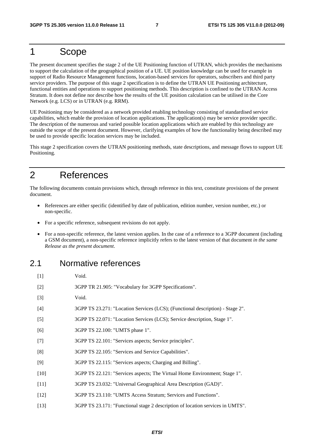## 1 Scope

The present document specifies the stage 2 of the UE Positioning function of UTRAN, which provides the mechanisms to support the calculation of the geographical position of a UE. UE position knowledge can be used for example in support of Radio Resource Management functions, location-based services for operators, subscribers and third party service providers. The purpose of this stage 2 specification is to define the UTRAN UE Positioning architecture, functional entities and operations to support positioning methods. This description is confined to the UTRAN Access Stratum. It does not define nor describe how the results of the UE position calculation can be utilised in the Core Network (e.g. LCS) or in UTRAN (e.g. RRM).

UE Positioning may be considered as a network provided enabling technology consisting of standardised service capabilities, which enable the provision of location applications. The application(s) may be service provider specific. The description of the numerous and varied possible location applications which are enabled by this technology are outside the scope of the present document. However, clarifying examples of how the functionality being described may be used to provide specific location services may be included.

This stage 2 specification covers the UTRAN positioning methods, state descriptions, and message flows to support UE Positioning.

# 2 References

The following documents contain provisions which, through reference in this text, constitute provisions of the present document.

- References are either specific (identified by date of publication, edition number, version number, etc.) or non-specific.
- For a specific reference, subsequent revisions do not apply.
- For a non-specific reference, the latest version applies. In the case of a reference to a 3GPP document (including a GSM document), a non-specific reference implicitly refers to the latest version of that document *in the same Release as the present document*.

### 2.1 Normative references

| $[1]$  | Void.                                                                          |
|--------|--------------------------------------------------------------------------------|
| $[2]$  | 3GPP TR 21.905: "Vocabulary for 3GPP Specifications".                          |
| $[3]$  | Void.                                                                          |
| $[4]$  | 3GPP TS 23.271: "Location Services (LCS); (Functional description) - Stage 2". |
| $[5]$  | 3GPP TS 22.071: "Location Services (LCS); Service description, Stage 1".       |
| [6]    | 3GPP TS 22.100: "UMTS phase 1".                                                |
| $[7]$  | 3GPP TS 22.101: "Services aspects; Service principles".                        |
| [8]    | 3GPP TS 22.105: "Services and Service Capabilities".                           |
| [9]    | 3GPP TS 22.115: "Services aspects; Charging and Billing".                      |
| $[10]$ | 3GPP TS 22.121: "Services aspects; The Virtual Home Environment; Stage 1".     |
| $[11]$ | 3GPP TS 23.032: "Universal Geographical Area Description (GAD)".               |
| $[12]$ | 3GPP TS 23.110: "UMTS Access Stratum; Services and Functions".                 |
| $[13]$ | 3GPP TS 23.171: "Functional stage 2 description of location services in UMTS". |
|        |                                                                                |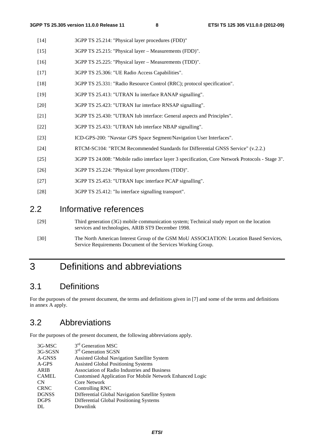- [14] 3GPP TS 25.214: "Physical layer procedures (FDD)"
- [15] 3GPP TS 25.215: "Physical layer Measurements (FDD)".
- [16] 3GPP TS 25.225: "Physical layer Measurements (TDD)".
- [17] 3GPP TS 25.306: "UE Radio Access Capabilities".
- [18] 3GPP TS 25.331: "Radio Resource Control (RRC); protocol specification".
- [19] 3GPP TS 25.413: "UTRAN Iu interface RANAP signalling".
- [20] 3GPP TS 25.423: "UTRAN Iur interface RNSAP signalling".
- [21] 3GPP TS 25.430: "UTRAN Iub interface: General aspects and Principles".
- [22] 3GPP TS 25.433: "UTRAN Iub interface NBAP signalling".
- [23] ICD-GPS-200: "Navstar GPS Space Segment/Navigation User Interfaces".
- [24] RTCM-SC104: "RTCM Recommended Standards for Differential GNSS Service" (v.2.2.)
- [25] 3GPP TS 24.008: "Mobile radio interface layer 3 specification, Core Network Protocols Stage 3".
- [26] 3GPP TS 25.224: "Physical layer procedures (TDD)".
- [27] 3GPP TS 25.453: "UTRAN Iupc interface PCAP signalling".
- [28] 3GPP TS 25.412: "Iu interface signalling transport".

# 2.2 Informative references

- [29] Third generation (3G) mobile communication system; Technical study report on the location services and technologies, ARIB ST9 December 1998.
- [30] The North American Interest Group of the GSM MoU ASSOCIATION: Location Based Services, Service Requirements Document of the Services Working Group.

# 3 Definitions and abbreviations

# 3.1 Definitions

For the purposes of the present document, the terms and definitions given in [7] and some of the terms and definitions in annex A apply.

# 3.2 Abbreviations

For the purposes of the present document, the following abbreviations apply.

| 3G-MSC       | 3 <sup>rd</sup> Generation MSC                           |
|--------------|----------------------------------------------------------|
| 3G-SGSN      | 3 <sup>rd</sup> Generation SGSN                          |
| A-GNSS       | Assisted Global Navigation Satellite System              |
| A-GPS        | <b>Assisted Global Positioning Systems</b>               |
| ARIB         | Association of Radio Industries and Business             |
| <b>CAMEL</b> | Customised Application For Mobile Network Enhanced Logic |
| <b>CN</b>    | Core Network                                             |
| <b>CRNC</b>  | Controlling RNC                                          |
| <b>DGNSS</b> | Differential Global Navigation Satellite System          |
| <b>DGPS</b>  | Differential Global Positioning Systems                  |
| DL           | Downlink                                                 |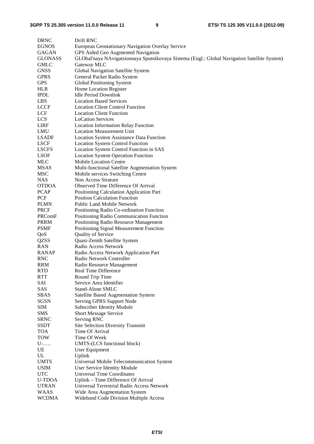| <b>DRNC</b>    | Drift RNC                                                                                    |
|----------------|----------------------------------------------------------------------------------------------|
| <b>EGNOS</b>   | European Geostationary Navigation Overlay Service                                            |
| GAGAN          | GPS Aided Geo Augmented Navigation                                                           |
| <b>GLONASS</b> | GLObal'naya NAvigatsionnaya Sputnikovaya Sistema (Engl.: Global Navigation Satellite System) |
| <b>GMLC</b>    | Gateway MLC                                                                                  |
| <b>GNSS</b>    | Global Navigation Satellite System                                                           |
| <b>GPRS</b>    | General Packet Radio System                                                                  |
| <b>GPS</b>     |                                                                                              |
| <b>HLR</b>     | Global Positioning System                                                                    |
|                | Home Location Register                                                                       |
| <b>IPDL</b>    | <b>Idle Period Downlink</b>                                                                  |
| <b>LBS</b>     | <b>Location Based Services</b>                                                               |
| <b>LCCF</b>    | <b>Location Client Control Function</b>                                                      |
| LCF            | <b>Location Client Function</b>                                                              |
| LCS            | <b>LoCation Services</b>                                                                     |
| <b>LIRF</b>    | <b>Location Information Relay Function</b>                                                   |
| LMU            | <b>Location Measurement Unit</b>                                                             |
| <b>LSADF</b>   | <b>Location System Assistance Data Function</b>                                              |
| <b>LSCF</b>    | <b>Location System Control Function</b>                                                      |
| <b>LSCFS</b>   | Location System Control Function in SAS                                                      |
| <b>LSOF</b>    | <b>Location System Operation Function</b>                                                    |
| MLC            | <b>Mobile Location Centre</b>                                                                |
| MSAS           | Multi-functional Satellite Augmentation System                                               |
| MSC            | Mobile services Switching Centre                                                             |
| NAS            | Non Access Stratum                                                                           |
| <b>OTDOA</b>   | Observed Time Difference Of Arrival                                                          |
| <b>PCAP</b>    | Positioning Calculation Application Part                                                     |
| PCF            | <b>Position Calculation Function</b>                                                         |
| PLMN           | Public Land Mobile Network                                                                   |
| <b>PRCF</b>    | Positioning Radio Co-ordination Function                                                     |
| PRComF         | Positioning Radio Communication Function                                                     |
| <b>PRRM</b>    | Positioning Radio Resource Management                                                        |
| <b>PSMF</b>    | Positioning Signal Measurement Function                                                      |
| QoS            | Quality of Service                                                                           |
| QZSS           | Quasi-Zenith Satellite System                                                                |
| <b>RAN</b>     | Radio Access Network                                                                         |
| <b>RANAP</b>   | Radio Access Network Application Part                                                        |
| RNC            | Radio Network Controller                                                                     |
| <b>RRM</b>     | Radio Resource Management                                                                    |
| <b>RTD</b>     | Real Time Difference                                                                         |
| <b>RTT</b>     | Round Trip Time                                                                              |
| SAI            | Service Area Identifier                                                                      |
| SAS            | <b>Stand-Alone SMLC</b>                                                                      |
| <b>SBAS</b>    |                                                                                              |
| <b>SGSN</b>    | Satellite Based Augmentation System                                                          |
|                | Serving GPRS Support Node                                                                    |
| SIM            | <b>Subscriber Identity Module</b>                                                            |
| <b>SMS</b>     | Short Message Service                                                                        |
| <b>SRNC</b>    | Serving RNC                                                                                  |
| <b>SSDT</b>    | Site Selection Diversity Transmit                                                            |
| TOA            | Time Of Arrival                                                                              |
| <b>TOW</b>     | Time Of Week                                                                                 |
| U-             | UMTS-(LCS functional block)                                                                  |
| UE             | User Equipment                                                                               |
| UL             | Uplink                                                                                       |
| <b>UMTS</b>    | Universal Mobile Telecommunication System                                                    |
| USIM           | User Service Identity Module                                                                 |
| <b>UTC</b>     | Universal Time Coordinates                                                                   |
| <b>U-TDOA</b>  | Uplink - Time Difference Of Arrival                                                          |
| <b>UTRAN</b>   | Universal Terrestrial Radio Access Network                                                   |
| <b>WAAS</b>    | Wide Area Augmentation System                                                                |
| <b>WCDMA</b>   | Wideband Code Division Multiple Access                                                       |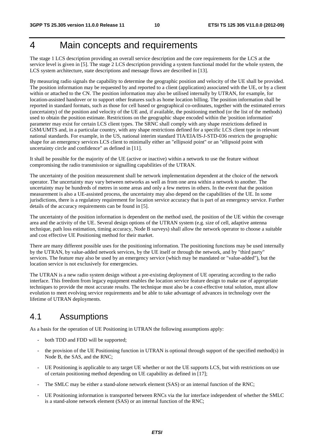# 4 Main concepts and requirements

The stage 1 LCS description providing an overall service description and the core requirements for the LCS at the service level is given in [5]. The stage 2 LCS description providing a system functional model for the whole system, the LCS system architecture, state descriptions and message flows are described in [13].

By measuring radio signals the capability to determine the geographic position and velocity of the UE shall be provided. The position information may be requested by and reported to a client (application) associated with the UE, or by a client within or attached to the CN. The position information may also be utilised internally by UTRAN, for example, for location-assisted handover or to support other features such as home location billing. The position information shall be reported in standard formats, such as those for cell based or geographical co-ordinates, together with the estimated errors (uncertainty) of the position and velocity of the UE and, if available, the positioning method (or the list of the methods) used to obtain the position estimate. Restrictions on the geographic shape encoded within the 'position information' parameter may exist for certain LCS client types. The SRNC shall comply with any shape restrictions defined in GSM/UMTS and, in a particular country, with any shape restrictions defined for a specific LCS client type in relevant national standards. For example, in the US, national interim standard TIA/EIA/IS-J-STD-036 restricts the geographic shape for an emergency services LCS client to minimally either an "ellipsoid point" or an "ellipsoid point with uncertainty circle and confidence" as defined in [11].

It shall be possible for the majority of the UE (active or inactive) within a network to use the feature without compromising the radio transmission or signalling capabilities of the UTRAN.

The uncertainty of the position measurement shall be network implementation dependent at the choice of the network operator. The uncertainty may vary between networks as well as from one area within a network to another. The uncertainty may be hundreds of metres in some areas and only a few metres in others. In the event that the position measurement is also a UE-assisted process, the uncertainty may also depend on the capabilities of the UE. In some jurisdictions, there is a regulatory requirement for location service accuracy that is part of an emergency service. Further details of the accuracy requirements can be found in [5].

The uncertainty of the position information is dependent on the method used, the position of the UE within the coverage area and the activity of the UE. Several design options of the UTRAN system (e.g. size of cell, adaptive antenna technique, path loss estimation, timing accuracy, Node B surveys) shall allow the network operator to choose a suitable and cost effective UE Positioning method for their market.

There are many different possible uses for the positioning information. The positioning functions may be used internally by the UTRAN, by value-added network services, by the UE itself or through the network, and by "third party" services. The feature may also be used by an emergency service (which may be mandated or "value-added"), but the location service is not exclusively for emergencies.

The UTRAN is a new radio system design without a pre-existing deployment of UE operating according to the radio interface. This freedom from legacy equipment enables the location service feature design to make use of appropriate techniques to provide the most accurate results. The technique must also be a cost-effective total solution, must allow evolution to meet evolving service requirements and be able to take advantage of advances in technology over the lifetime of UTRAN deployments.

# 4.1 Assumptions

As a basis for the operation of UE Positioning in UTRAN the following assumptions apply:

- both TDD and FDD will be supported;
- the provision of the UE Positioning function in UTRAN is optional through support of the specified method(s) in Node B, the SAS, and the RNC;
- UE Positioning is applicable to any target UE whether or not the UE supports LCS, but with restrictions on use of certain positioning method depending on UE capability as defined in [17];
- The SMLC may be either a stand-alone network element (SAS) or an internal function of the RNC;
- UE Positioning information is transported between RNCs via the Iur interface independent of whether the SMLC is a stand-alone network element (SAS) or an internal function of the RNC;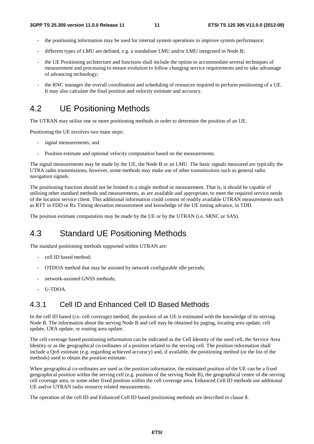- the positioning information may be used for internal system operations to improve system performance;
- different types of LMU are defined, e.g. a standalone LMU and/or LMU integrated in Node B;
- the UE Positioning architecture and functions shall include the option to accommodate several techniques of measurement and processing to ensure evolution to follow changing service requirements and to take advantage of advancing technology;
- the RNC manages the overall coordination and scheduling of resources required to perform positioning of a UE. It may also calculate the final position and velocity estimate and accuracy.

### 4.2 UE Positioning Methods

The UTRAN may utilise one or more positioning methods in order to determine the position of an UE.

Positioning the UE involves two main steps:

- signal measurements; and
- Position estimate and optional velocity computation based on the measurements.

The signal measurements may be made by the UE, the Node B or an LMU. The basic signals measured are typically the UTRA radio transmissions, however, some methods may make use of other transmissions such as general radio navigation signals.

The positioning function should not be limited to a single method or measurement. That is, it should be capable of utilising other standard methods and measurements, as are available and appropriate, to meet the required service needs of the location service client. This additional information could consist of readily available UTRAN measurements such as RTT in FDD or Rx Timing deviation measurement and knowledge of the UE timing advance, in TDD.

The position estimate computation may be made by the UE or by the UTRAN (i.e. SRNC or SAS).

### 4.3 Standard UE Positioning Methods

The standard positioning methods supported within UTRAN are:

- cell ID based method:
- OTDOA method that may be assisted by network configurable idle periods;
- network-assisted GNSS methods;
- U-TDOA.

### 4.3.1 Cell ID and Enhanced Cell ID Based Methods

In the cell ID based (i.e. cell coverage) method, the position of an UE is estimated with the knowledge of its serving Node B. The information about the serving Node B and cell may be obtained by paging, locating area update, cell update, URA update, or routing area update.

The cell coverage based positioning information can be indicated as the Cell Identity of the used cell, the Service Area Identity or as the geographical co-ordinates of a position related to the serving cell. The position information shall include a QoS estimate (e.g. regarding achieved accuracy) and, if available, the positioning method (or the list of the methods) used to obtain the position estimate.

When geographical co-ordinates are used as the position information, the estimated position of the UE can be a fixed geographical position within the serving cell (e.g. position of the serving Node B), the geographical centre of the serving cell coverage area, or some other fixed position within the cell coverage area. Enhanced Cell ID methods use additional UE and/or UTRAN radio resource related measurements.

The operation of the cell ID and Enhanced Cell ID based positioning methods are described in clause 8.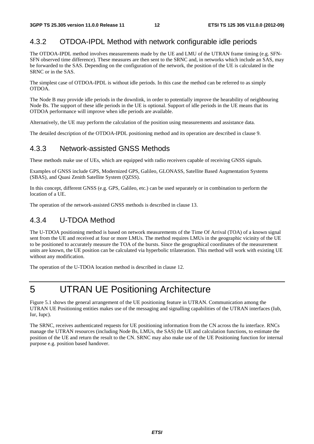### 4.3.2 OTDOA-IPDL Method with network configurable idle periods

The OTDOA-IPDL method involves measurements made by the UE and LMU of the UTRAN frame timing (e.g. SFN-SFN observed time difference). These measures are then sent to the SRNC and, in networks which include an SAS, may be forwarded to the SAS. Depending on the configuration of the network, the position of the UE is calculated in the SRNC or in the SAS.

The simplest case of OTDOA-IPDL is without idle periods. In this case the method can be referred to as simply OTDOA.

The Node B may provide idle periods in the downlink, in order to potentially improve the hearability of neighbouring Node Bs. The support of these idle periods in the UE is optional. Support of idle periods in the UE means that its OTDOA performance will improve when idle periods are available.

Alternatively, the UE may perform the calculation of the position using measurements and assistance data.

The detailed description of the OTDOA-IPDL positioning method and its operation are described in clause 9.

### 4.3.3 Network-assisted GNSS Methods

These methods make use of UEs, which are equipped with radio receivers capable of receiving GNSS signals.

Examples of GNSS include GPS, Modernized GPS, Galileo, GLONASS, Satellite Based Augmentation Systems (SBAS), and Quasi Zenith Satellite System (QZSS).

In this concept, different GNSS (e.g. GPS, Galileo, etc.) can be used separately or in combination to perform the location of a UE.

The operation of the network-assisted GNSS methods is described in clause 13.

### 4.3.4 U-TDOA Method

The U-TDOA positioning method is based on network measurements of the Time Of Arrival (TOA) of a known signal sent from the UE and received at four or more LMUs. The method requires LMUs in the geographic vicinity of the UE to be positioned to accurately measure the TOA of the bursts. Since the geographical coordinates of the measurement units are known, the UE position can be calculated via hyperbolic trilateration. This method will work with existing UE without any modification.

The operation of the U-TDOA location method is described in clause 12.

# 5 UTRAN UE Positioning Architecture

Figure 5.1 shows the general arrangement of the UE positioning feature in UTRAN. Communication among the UTRAN UE Positioning entities makes use of the messaging and signalling capabilities of the UTRAN interfaces (Iub, Iur, Iupc).

The SRNC, receives authenticated requests for UE positioning information from the CN across the Iu interface. RNCs manage the UTRAN resources (including Node Bs, LMUs, the SAS) the UE and calculation functions, to estimate the position of the UE and return the result to the CN. SRNC may also make use of the UE Positioning function for internal purpose e.g. position based handover.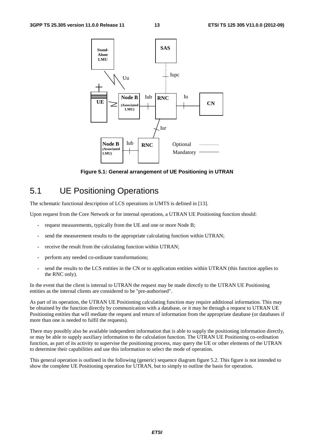

**Figure 5.1: General arrangement of UE Positioning in UTRAN** 

### 5.1 UE Positioning Operations

The schematic functional description of LCS operations in UMTS is defined in [13].

Upon request from the Core Network or for internal operations, a UTRAN UE Positioning function should:

- request measurements, typically from the UE and one or more Node B;
- send the measurement results to the appropriate calculating function within UTRAN;
- receive the result from the calculating function within UTRAN;
- perform any needed co-ordinate transformations;
- send the results to the LCS entities in the CN or to application entities within UTRAN (this function applies to the RNC only).

In the event that the client is internal to UTRAN the request may be made directly to the UTRAN UE Positioning entities as the internal clients are considered to be "pre-authorised".

As part of its operation, the UTRAN UE Positioning calculating function may require additional information. This may be obtained by the function directly by communication with a database, or it may be through a request to UTRAN UE Positioning entities that will mediate the request and return of information from the appropriate database (or databases if more than one is needed to fulfil the requests).

There may possibly also be available independent information that is able to supply the positioning information directly, or may be able to supply auxiliary information to the calculation function. The UTRAN UE Positioning co-ordination function, as part of its activity to supervise the positioning process, may query the UE or other elements of the UTRAN to determine their capabilities and use this information to select the mode of operation.

This general operation is outlined in the following (generic) sequence diagram figure 5.2. This figure is not intended to show the complete UE Positioning operation for UTRAN, but to simply to outline the basis for operation.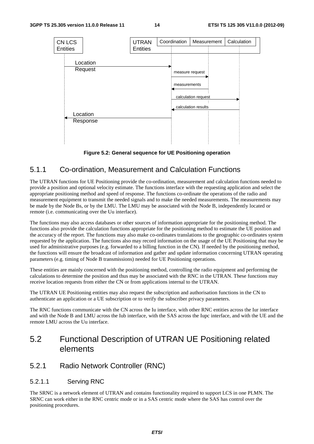

#### **Figure 5.2: General sequence for UE Positioning operation**

### 5.1.1 Co-ordination, Measurement and Calculation Functions

The UTRAN functions for UE Positioning provide the co-ordination, measurement and calculation functions needed to provide a position and optional velocity estimate. The functions interface with the requesting application and select the appropriate positioning method and speed of response. The functions co-ordinate the operations of the radio and measurement equipment to transmit the needed signals and to make the needed measurements. The measurements may be made by the Node Bs, or by the LMU. The LMU may be associated with the Node B, independently located or remote (i.e. communicating over the Uu interface).

The functions may also access databases or other sources of information appropriate for the positioning method. The functions also provide the calculation functions appropriate for the positioning method to estimate the UE position and the accuracy of the report. The functions may also make co-ordinates translations to the geographic co-ordinates system requested by the application. The functions also may record information on the usage of the UE Positioning that may be used for administrative purposes (e.g. forwarded to a billing function in the CN). If needed by the positioning method, the functions will ensure the broadcast of information and gather and update information concerning UTRAN operating parameters (e.g. timing of Node B transmissions) needed for UE Positioning operations.

These entities are mainly concerned with the positioning method, controlling the radio equipment and performing the calculations to determine the position and thus may be associated with the RNC in the UTRAN. These functions may receive location requests from either the CN or from applications internal to the UTRAN.

The UTRAN UE Positioning entities may also request the subscription and authorisation functions in the CN to authenticate an application or a UE subscription or to verify the subscriber privacy parameters.

The RNC functions communicate with the CN across the Iu interface, with other RNC entities across the Iur interface and with the Node B and LMU across the Iub interface, with the SAS across the Iupc interface, and with the UE and the remote LMU across the Uu interface.

# 5.2 Functional Description of UTRAN UE Positioning related elements

### 5.2.1 Radio Network Controller (RNC)

#### 5.2.1.1 Serving RNC

The SRNC is a network element of UTRAN and contains functionality required to support LCS in one PLMN. The SRNC can work either in the RNC centric mode or in a SAS centric mode where the SAS has control over the positioning procedures.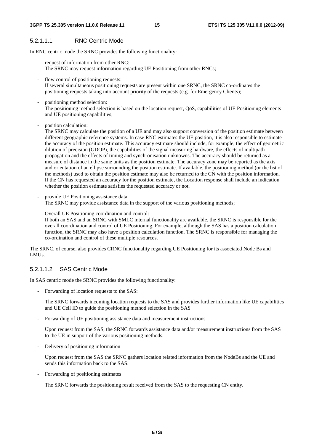#### 5.2.1.1.1 RNC Centric Mode

In RNC centric mode the SRNC provides the following functionality:

- request of information from other RNC: The SRNC may request information regarding UE Positioning from other RNCs;
- flow control of positioning requests: If several simultaneous positioning requests are present within one SRNC, the SRNC co-ordinates the positioning requests taking into account priority of the requests (e.g. for Emergency Clients);
- positioning method selection: The positioning method selection is based on the location request, QoS, capabilities of UE Positioning elements and UE positioning capabilities;
- position calculation:

The SRNC may calculate the position of a UE and may also support conversion of the position estimate between different geographic reference systems. In case RNC estimates the UE position, it is also responsible to estimate the accuracy of the position estimate. This accuracy estimate should include, for example, the effect of geometric dilution of precision (GDOP), the capabilities of the signal measuring hardware, the effects of multipath propagation and the effects of timing and synchronisation unknowns. The accuracy should be returned as a measure of distance in the same units as the position estimate. The accuracy zone may be reported as the axis and orientation of an ellipse surrounding the position estimate. If available, the positioning method (or the list of the methods) used to obtain the position estimate may also be returned to the CN with the position information. If the CN has requested an accuracy for the position estimate, the Location response shall include an indication whether the position estimate satisfies the requested accuracy or not.

- provide UE Positioning assistance data: The SRNC may provide assistance data in the support of the various positioning methods;
- Overall UE Positioning coordination and control: If both an SAS and an SRNC with SMLC internal functionality are available, the SRNC is responsible for the overall coordination and control of UE Positioning. For example, although the SAS has a position calculation function, the SRNC may also have a position calculation function. The SRNC is responsible for managing the co-ordination and control of these multiple resources.

The SRNC, of course, also provides CRNC functionality regarding UE Positioning for its associated Node Bs and LMUs.

#### 5.2.1.1.2 SAS Centric Mode

In SAS centric mode the SRNC provides the following functionality:

Forwarding of location requests to the SAS:

The SRNC forwards incoming location requests to the SAS and provides further information like UE capabilities and UE Cell ID to guide the positioning method selection in the SAS

- Forwarding of UE positioning assistance data and measurement instructions

Upon request from the SAS, the SRNC forwards assistance data and/or measurement instructions from the SAS to the UE in support of the various positioning methods.

- Delivery of positioning information

Upon request from the SAS the SRNC gathers location related information from the NodeBs and the UE and sends this information back to the SAS.

- Forwarding of positioning estimates

The SRNC forwards the positioning result received from the SAS to the requesting CN entity.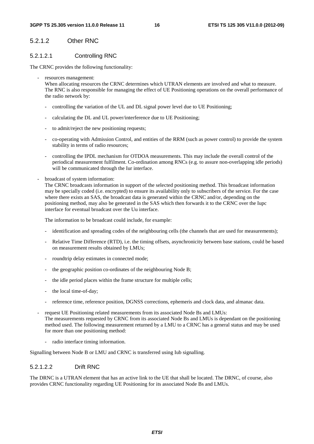#### 5.2.1.2 Other RNC

#### 5.2.1.2.1 Controlling RNC

The CRNC provides the following functionality:

resources management:

When allocating resources the CRNC determines which UTRAN elements are involved and what to measure. The RNC is also responsible for managing the effect of UE Positioning operations on the overall performance of the radio network by:

- controlling the variation of the UL and DL signal power level due to UE Positioning;
- calculating the DL and UL power/interference due to UE Positioning;
- to admit/reject the new positioning requests;
- co-operating with Admission Control, and entities of the RRM (such as power control) to provide the system stability in terms of radio resources;
- controlling the IPDL mechanism for OTDOA measurements. This may include the overall control of the periodical measurement fulfilment. Co-ordination among RNCs (e.g. to assure non-overlapping idle periods) will be communicated through the Iur interface.
- broadcast of system information:

The CRNC broadcasts information in support of the selected positioning method. This broadcast information may be specially coded (i.e. encrypted) to ensure its availability only to subscribers of the service. For the case where there exists an SAS, the broadcast data is generated within the CRNC and/or, depending on the positioning method, may also be generated in the SAS which then forwards it to the CRNC over the Iupc interface for eventual broadcast over the Uu interface.

The information to be broadcast could include, for example:

- identification and spreading codes of the neighbouring cells (the channels that are used for measurements);
- Relative Time Difference (RTD), i.e. the timing offsets, asynchronicity between base stations, could be based on measurement results obtained by LMUs;
- roundtrip delay estimates in connected mode;
- the geographic position co-ordinates of the neighbouring Node B;
- the idle period places within the frame structure for multiple cells;
- the local time-of-day;
- reference time, reference position, DGNSS corrections, ephemeris and clock data, and almanac data.
- request UE Positioning related measurements from its associated Node Bs and LMUs: The measurements requested by CRNC from its associated Node Bs and LMUs is dependant on the positioning method used. The following measurement returned by a LMU to a CRNC has a general status and may be used for more than one positioning method:
	- radio interface timing information.

Signalling between Node B or LMU and CRNC is transferred using Iub signalling.

#### 5.2.1.2.2 Drift RNC

The DRNC is a UTRAN element that has an active link to the UE that shall be located. The DRNC, of course, also provides CRNC functionality regarding UE Positioning for its associated Node Bs and LMUs.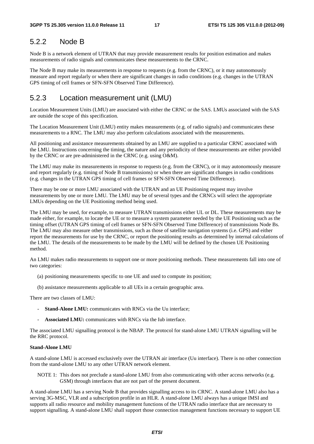### 5.2.2 Node B

Node B is a network element of UTRAN that may provide measurement results for position estimation and makes measurements of radio signals and communicates these measurements to the CRNC.

The Node B may make its measurements in response to requests (e.g. from the CRNC), or it may autonomously measure and report regularly or when there are significant changes in radio conditions (e.g. changes in the UTRAN GPS timing of cell frames or SFN-SFN Observed Time Difference).

### 5.2.3 Location measurement unit (LMU)

Location Measurement Units (LMU) are associated with either the CRNC or the SAS. LMUs associated with the SAS are outside the scope of this specification.

The Location Measurement Unit (LMU) entity makes measurements (e.g. of radio signals) and communicates these measurements to a RNC. The LMU may also perform calculations associated with the measurements.

All positioning and assistance measurements obtained by an LMU are supplied to a particular CRNC associated with the LMU. Instructions concerning the timing, the nature and any periodicity of these measurements are either provided by the CRNC or are pre-administered in the CRNC (e.g. using O&M).

The LMU may make its measurements in response to requests (e.g. from the CRNC), or it may autonomously measure and report regularly (e.g. timing of Node B transmissions) or when there are significant changes in radio conditions (e.g. changes in the UTRAN GPS timing of cell frames or SFN-SFN Observed Time Difference).

There may be one or more LMU associated with the UTRAN and an UE Positioning request may involve measurements by one or more LMU. The LMU may be of several types and the CRNCs will select the appropriate LMUs depending on the UE Positioning method being used.

The LMU may be used, for example, to measure UTRAN transmissions either UL or DL. These measurements may be made either, for example, to locate the UE or to measure a system parameter needed by the UE Positioning such as the timing offset (UTRAN GPS timing of cell frames or SFN-SFN Observed Time Difference) of transmissions Node Bs. The LMU may also measure other transmissions, such as those of satellite navigation systems (i.e. GPS) and either report the measurements for use by the CRNC, or report the positioning results as determined by internal calculations of the LMU. The details of the measurements to be made by the LMU will be defined by the chosen UE Positioning method.

An LMU makes radio measurements to support one or more positioning methods. These measurements fall into one of two categories:

- (a) positioning measurements specific to one UE and used to compute its position;
- (b) assistance measurements applicable to all UEs in a certain geographic area.

There are two classes of LMU:

- **Stand-Alone LMU:** communicates with RNCs via the Uu interface;
- Associated LMU: communicates with RNCs via the Iub interface.

The associated LMU signalling protocol is the NBAP. The protocol for stand-alone LMU UTRAN signalling will be the RRC protocol.

#### **Stand-Alone LMU**

A stand-alone LMU is accessed exclusively over the UTRAN air interface (Uu interface). There is no other connection from the stand-alone LMU to any other UTRAN network element.

NOTE 1: This does not preclude a stand-alone LMU from also communicating with other access networks (e.g. GSM) through interfaces that are not part of the present document.

A stand-alone LMU has a serving Node B that provides signalling access to its CRNC. A stand-alone LMU also has a serving 3G-MSC, VLR and a subscription profile in an HLR. A stand-alone LMU always has a unique IMSI and supports all radio resource and mobility management functions of the UTRAN radio interface that are necessary to support signalling. A stand-alone LMU shall support those connection management functions necessary to support UE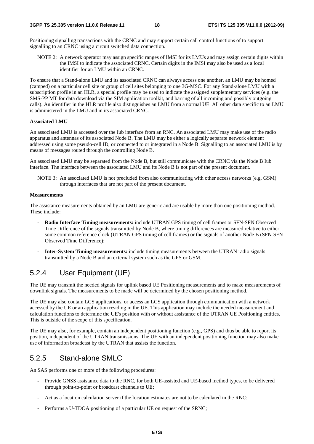Positioning signalling transactions with the CRNC and may support certain call control functions of to support signalling to an CRNC using a circuit switched data connection.

NOTE 2: A network operator may assign specific ranges of IMSI for its LMUs and may assign certain digits within the IMSI to indicate the associated CRNC. Certain digits in the IMSI may also be used as a local identifier for an LMU within an CRNC.

To ensure that a Stand-alone LMU and its associated CRNC can always access one another, an LMU may be homed (camped) on a particular cell site or group of cell sites belonging to one 3G-MSC. For any Stand-alone LMU with a subscription profile in an HLR, a special profile may be used to indicate the assigned supplementary services (e.g. the SMS-PP MT for data download via the SIM application toolkit, and barring of all incoming and possibly outgoing calls). An identifier in the HLR profile also distinguishes an LMU from a normal UE. All other data specific to an LMU is administered in the LMU and in its associated CRNC.

#### **Associated LMU**

An associated LMU is accessed over the Iub interface from an RNC. An associated LMU may make use of the radio apparatus and antennas of its associated Node B. The LMU may be either a logically separate network element addressed using some pseudo-cell ID, or connected to or integrated in a Node B. Signalling to an associated LMU is by means of messages routed through the controlling Node B.

An associated LMU may be separated from the Node B, but still communicate with the CRNC via the Node B Iub interface. The interface between the associated LMU and its Node B is not part of the present document.

NOTE 3: An associated LMU is not precluded from also communicating with other access networks (e.g. GSM) through interfaces that are not part of the present document.

#### **Measurements**

The assistance measurements obtained by an LMU are generic and are usable by more than one positioning method. These include:

- **Radio Interface Timing measurements:** include UTRAN GPS timing of cell frames or SFN-SFN Observed Time Difference of the signals transmitted by Node B, where timing differences are measured relative to either some common reference clock (UTRAN GPS timing of cell frames) or the signals of another Node B (SFN-SFN Observed Time Difference);
- - **Inter-System Timing measurements:** include timing measurements between the UTRAN radio signals transmitted by a Node B and an external system such as the GPS or GSM.

### 5.2.4 User Equipment (UE)

The UE may transmit the needed signals for uplink based UE Positioning measurements and to make measurements of downlink signals. The measurements to be made will be determined by the chosen positioning method.

The UE may also contain LCS applications, or access an LCS application through communication with a network accessed by the UE or an application residing in the UE. This application may include the needed measurement and calculation functions to determine the UE's position with or without assistance of the UTRAN UE Positioning entities. This is outside of the scope of this specification.

The UE may also, for example, contain an independent positioning function (e.g., GPS) and thus be able to report its position, independent of the UTRAN transmissions. The UE with an independent positioning function may also make use of information broadcast by the UTRAN that assists the function.

### 5.2.5 Stand-alone SMLC

An SAS performs one or more of the following procedures:

- Provide GNSS assistance data to the RNC, for both UE-assisted and UE-based method types, to be delivered through point-to-point or broadcast channels to UE;
- Act as a location calculation server if the location estimates are not to be calculated in the RNC;
- Performs a U-TDOA positioning of a particular UE on request of the SRNC;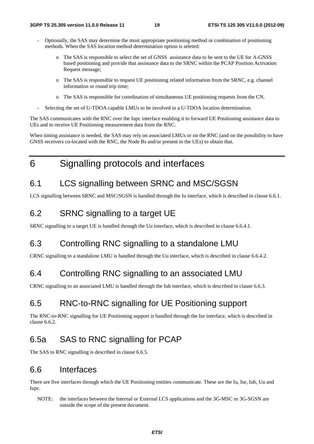- Optionally, the SAS may determine the most appropriate positioning method or combination of positioning methods. When the SAS location method determination option is seleted:
	- o The SAS is responsible to select the set of GNSS assistance data to be sent to the UE for A-GNSS based positioning and provide that assistance data to the SRNC within the PCAP Position Activation Request message;
	- o The SAS is responsible to request UE positioning related information from the SRNC, e.g. channel information or round trip time;
	- o The SAS is responsible for coordination of simultaneous UE positioning requests from the CN.
- Selecting the set of U-TDOA capable LMUs to be involved in a U-TDOA location determination.

The SAS communicates with the RNC over the Iupc interface enabling it to forward UE Positioning assistance data to UEs and to receive UE Positioning measurement data from the RNC.

When timing assistance is needed, the SAS may rely on associated LMUs or on the RNC (and on the possibility to have GNSS receivers co-located with the RNC, the Node Bs and/or present in the UEs) to obtain that.

6 Signalling protocols and interfaces

# 6.1 LCS signalling between SRNC and MSC/SGSN

LCS signalling between SRNC and MSC/SGSN is handled through the Iu interface, which is described in clause 6.6.1.

### 6.2 SRNC signalling to a target UE

SRNC signalling to a target UE is handled through the Uu interface, which is described in clause 6.6.4.1.

# 6.3 Controlling RNC signalling to a standalone LMU

CRNC signalling to a standalone LMU is handled through the Uu interface, which is described in clause 6.6.4.2.

# 6.4 Controlling RNC signalling to an associated LMU

CRNC signalling to an associated LMU is handled through the Iub interface, which is described in clause 6.6.3.

# 6.5 RNC-to-RNC signalling for UE Positioning support

The RNC-to-RNC signalling for UE Positioning support is handled through the Iur interface, which is described in clause 6.6.2.

## 6.5a SAS to RNC signalling for PCAP

The SAS to RNC signalling is described in clause 6.6.5.

### 6.6 Interfaces

There are five interfaces through which the UE Positioning entities communicate. These are the Iu, Iur, Iub, Uu and Iupc.

NOTE: the interfaces between the Internal or External LCS applications and the 3G-MSC or 3G-SGSN are outside the scope of the present document.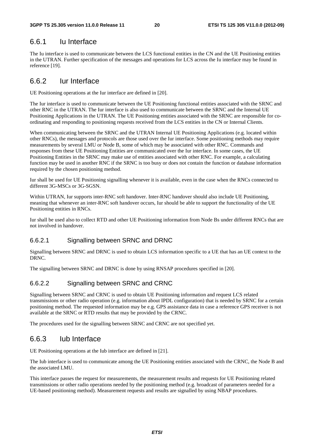### 6.6.1 Iu Interface

The Iu interface is used to communicate between the LCS functional entities in the CN and the UE Positioning entities in the UTRAN. Further specification of the messages and operations for LCS across the Iu interface may be found in reference [19].

### 6.6.2 Iur Interface

UE Positioning operations at the Iur interface are defined in [20].

The Iur interface is used to communicate between the UE Positioning functional entities associated with the SRNC and other RNC in the UTRAN. The Iur interface is also used to communicate between the SRNC and the Internal UE Positioning Applications in the UTRAN. The UE Positioning entities associated with the SRNC are responsible for coordinating and responding to positioning requests received from the LCS entities in the CN or Internal Clients.

When communicating between the SRNC and the UTRAN Internal UE Positioning Applications (e.g. located within other RNCs), the messages and protocols are those used over the Iur interface. Some positioning methods may require measurements by several LMU or Node B, some of which may be associated with other RNC. Commands and responses from these UE Positioning Entities are communicated over the Iur interface. In some cases, the UE Positioning Entities in the SRNC may make use of entities associated with other RNC. For example, a calculating function may be used in another RNC if the SRNC is too busy or does not contain the function or database information required by the chosen positioning method.

Iur shall be used for UE Positioning signalling whenever it is available, even in the case when the RNCs connected to different 3G-MSCs or 3G-SGSN.

Within UTRAN, Iur supports inter-RNC soft handover. Inter-RNC handover should also include UE Positioning, meaning that whenever an inter-RNC soft handover occurs, Iur should be able to support the functionality of the UE Positioning entities in RNCs.

Iur shall be used also to collect RTD and other UE Positioning information from Node Bs under different RNCs that are not involved in handover.

### 6.6.2.1 Signalling between SRNC and DRNC

Signalling between SRNC and DRNC is used to obtain LCS information specific to a UE that has an UE context to the DRNC.

The signalling between SRNC and DRNC is done by using RNSAP procedures specified in [20].

### 6.6.2.2 Signalling between SRNC and CRNC

Signalling between SRNC and CRNC is used to obtain UE Positioning information and request LCS related transmissions or other radio operation (e.g. information about IPDL configuration) that is needed by SRNC for a certain positioning method. The requested information may be e.g. GPS assistance data in case a reference GPS receiver is not available at the SRNC or RTD results that may be provided by the CRNC.

The procedures used for the signalling between SRNC and CRNC are not specified yet.

### 6.6.3 Iub Interface

UE Positioning operations at the Iub interface are defined in [21].

The Iub interface is used to communicate among the UE Positioning entities associated with the CRNC, the Node B and the associated LMU.

This interface passes the request for measurements, the measurement results and requests for UE Positioning related transmissions or other radio operations needed by the positioning method (e.g. broadcast of parameters needed for a UE-based positioning method). Measurement requests and results are signalled by using NBAP procedures.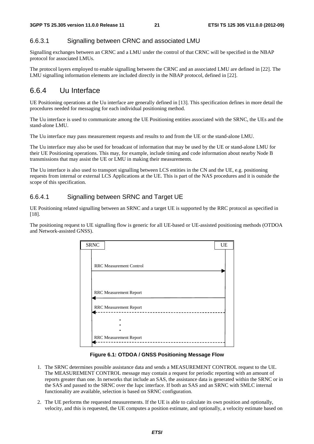#### 6.6.3.1 Signalling between CRNC and associated LMU

Signalling exchanges between an CRNC and a LMU under the control of that CRNC will be specified in the NBAP protocol for associated LMUs.

The protocol layers employed to enable signalling between the CRNC and an associated LMU are defined in [22]. The LMU signalling information elements are included directly in the NBAP protocol, defined in [22].

### 6.6.4 Uu Interface

UE Positioning operations at the Uu interface are generally defined in [13]. This specification defines in more detail the procedures needed for messaging for each individual positioning method.

The Uu interface is used to communicate among the UE Positioning entities associated with the SRNC, the UEs and the stand-alone LMU.

The Uu interface may pass measurement requests and results to and from the UE or the stand-alone LMU.

The Uu interface may also be used for broadcast of information that may be used by the UE or stand-alone LMU for their UE Positioning operations. This may, for example, include timing and code information about nearby Node B transmissions that may assist the UE or LMU in making their measurements.

The Uu interface is also used to transport signalling between LCS entities in the CN and the UE, e.g. positioning requests from internal or external LCS Applications at the UE. This is part of the NAS procedures and it is outside the scope of this specification.

#### 6.6.4.1 Signalling between SRNC and Target UE

UE Positioning related signalling between an SRNC and a target UE is supported by the RRC protocol as specified in [18].

The positioning request to UE signalling flow is generic for all UE-based or UE-assisted positioning methods (OTDOA and Network-assisted GNSS).

| <b>SRNC</b> |                                | UE |
|-------------|--------------------------------|----|
|             |                                |    |
|             |                                |    |
|             | <b>RRC</b> Measurement Control |    |
|             |                                |    |
|             |                                |    |
|             |                                |    |
|             |                                |    |
|             | RRC Measurement Report         |    |
|             |                                |    |
|             | <b>RRC</b> Measurement Report  |    |
|             |                                |    |
|             |                                |    |
|             |                                |    |
|             | <b>RRC</b> Measurement Report  |    |

**Figure 6.1: OTDOA / GNSS Positioning Message Flow**

- 1. The SRNC determines possible assistance data and sends a MEASUREMENT CONTROL request to the UE. The MEASUREMENT CONTROL message may contain a request for periodic reporting with an amount of reports greater than one. In networks that include an SAS, the assistance data is generated within the SRNC or in the SAS and passed to the SRNC over the Iupc interface. If both an SAS and an SRNC with SMLC internal functionality are available, selection is based on SRNC configuration.
- 2. The UE performs the requested measurements. If the UE is able to calculate its own position and optionally, velocity, and this is requested, the UE computes a position estimate, and optionally, a velocity estimate based on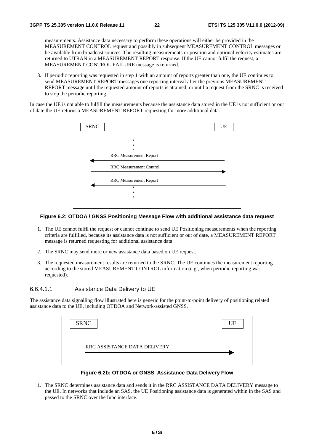measurements. Assistance data necessary to perform these operations will either be provided in the MEASUREMENT CONTROL request and possibly in subsequent MEASUREMENT CONTROL messages or be available from broadcast sources. The resulting measurements or position and optional velocity estimates are returned to UTRAN in a MEASUREMENT REPORT response. If the UE cannot fulfil the request, a MEASUREMENT CONTROL FAILURE message is returned.

3. If periodic reporting was requested in step 1 with an amount of reports greater than one, the UE continues to send MEASUREMENT REPORT messages one reporting interval after the previous MEASUREMENT REPORT message until the requested amount of reports is attained, or until a request from the SRNC is received to stop the periodic reporting.

In case the UE is not able to fulfill the measurements because the assistance data stored in the UE is not sufficient or out of date the UE returns a MEASUREMENT REPORT requesting for more additional data.



#### **Figure 6.2: OTDOA / GNSS Positioning Message Flow with additional assistance data request**

- 1. The UE cannot fulfil the request or cannot continue to send UE Positioning measurements when the reporting criteria are fulfilled, because its assistance data is not sufficient or out of date, a MEASUREMENT REPORT message is returned requesting for additional assistance data.
- 2. The SRNC may send more or new assistance data based on UE request.
- 3. The requested measurement results are returned to the SRNC. The UE continues the measurement reporting according to the stored MEASUREMENT CONTROL information (e.g., when periodic reporting was requested).

#### 6.6.4.1.1 Assistance Data Delivery to UE

The assistance data signalling flow illustrated here is generic for the point-to-point delivery of positioning related assistance data to the UE, including OTDOA and Network-assisted GNSS.

| <b>SRNC</b>                  | UE |
|------------------------------|----|
|                              |    |
| RRC ASSISTANCE DATA DELIVERY |    |
|                              |    |

#### **Figure 6.2b: OTDOA or GNSS Assistance Data Delivery Flow**

1. The SRNC determines assistance data and sends it in the RRC ASSISTANCE DATA DELIVERY message to the UE. In networks that include an SAS, the UE Positioning assistance data is generated within in the SAS and passed to the SRNC over the Iupc interface.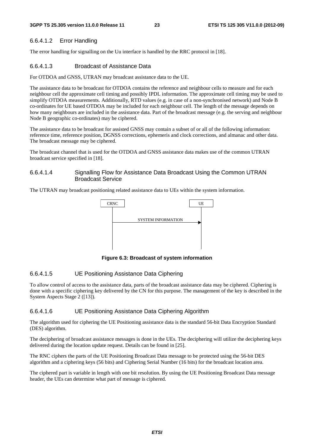#### 6.6.4.1.2 Error Handling

The error handling for signalling on the Uu interface is handled by the RRC protocol in [18].

#### 6.6.4.1.3 Broadcast of Assistance Data

For OTDOA and GNSS, UTRAN may broadcast assistance data to the UE.

The assistance data to be broadcast for OTDOA contains the reference and neighbour cells to measure and for each neighbour cell the approximate cell timing and possibly IPDL information. The approximate cell timing may be used to simplify OTDOA measurements. Additionally, RTD values (e.g. in case of a non-synchronised network) and Node B co-ordinates for UE based OTDOA may be included for each neighbour cell. The length of the message depends on how many neighbours are included in the assistance data. Part of the broadcast message (e.g. the serving and neighbour Node B geographic co-ordinates) may be ciphered.

The assistance data to be broadcast for assisted GNSS may contain a subset of or all of the following information: reference time, reference position, DGNSS corrections, ephemeris and clock corrections, and almanac and other data. The broadcast message may be ciphered.

The broadcast channel that is used for the OTDOA and GNSS assistance data makes use of the common UTRAN broadcast service specified in [18].

#### 6.6.4.1.4 Signalling Flow for Assistance Data Broadcast Using the Common UTRAN Broadcast Service

The UTRAN may broadcast positioning related assistance data to UEs within the system information.



**Figure 6.3: Broadcast of system information** 

#### 6.6.4.1.5 UE Positioning Assistance Data Ciphering

To allow control of access to the assistance data, parts of the broadcast assistance data may be ciphered. Ciphering is done with a specific ciphering key delivered by the CN for this purpose. The management of the key is described in the System Aspects Stage 2 ([13]).

#### 6.6.4.1.6 UE Positioning Assistance Data Ciphering Algorithm

The algorithm used for ciphering the UE Positioning assistance data is the standard 56-bit Data Encryption Standard (DES) algorithm.

The deciphering of broadcast assistance messages is done in the UEs. The deciphering will utilize the deciphering keys delivered during the location update request. Details can be found in [25].

The RNC ciphers the parts of the UE Positioning Broadcast Data message to be protected using the 56-bit DES algorithm and a ciphering keys (56 bits) and Ciphering Serial Number (16 bits) for the broadcast location area.

The ciphered part is variable in length with one bit resolution. By using the UE Positioning Broadcast Data message header, the UEs can determine what part of message is ciphered.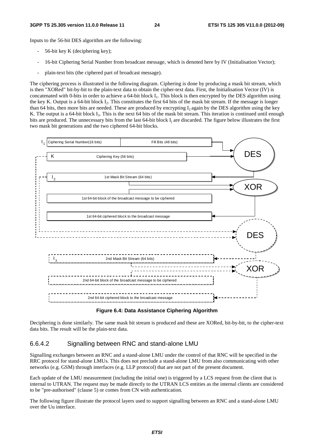#### **3GPP TS 25.305 version 11.0.0 Release 11 24 ETSI TS 125 305 V11.0.0 (2012-09)**

Inputs to the 56-bit DES algorithm are the following:

- 56-bit key K (deciphering key);
- 16-bit Ciphering Serial Number from broadcast message, which is denoted here by IV (Initialisation Vector);
- plain-text bits (the ciphered part of broadcast message).

The ciphering process is illustrated in the following diagram. Ciphering is done by producing a mask bit stream, which is then "XORed" bit-by-bit to the plain-text data to obtain the cipher-text data. First, the Initialisation Vector (IV) is concatenated with 0-bits in order to achieve a 64-bit block  $I_1$ . This block is then encrypted by the DES algorithm using the key K. Output is a 64-bit block  $I_2$ . This constitutes the first 64 bits of the mask bit stream. If the message is longer than 64 bits, then more bits are needed. These are produced by encrypting  $I_2$  again by the DES algorithm using the key K. The output is a 64-bit block I<sub>3</sub>. This is the next 64 bits of the mask bit stream. This iteration is continued until enough bits are produced. The unnecessary bits from the last 64-bit block  $I_i$  are discarded. The figure below illustrates the first two mask bit generations and the two ciphered 64-bit blocks.





Deciphering is done similarly. The same mask bit stream is produced and these are XORed, bit-by-bit, to the cipher-text data bits. The result will be the plain-text data.

#### 6.6.4.2 Signalling between RNC and stand-alone LMU

Signalling exchanges between an RNC and a stand-alone LMU under the control of that RNC will be specified in the RRC protocol for stand-alone LMUs. This does not preclude a stand-alone LMU from also communicating with other networks (e.g. GSM) through interfaces (e.g. LLP protocol) that are not part of the present document.

Each update of the LMU measurement (including the initial one) is triggered by a LCS request from the client that is internal to UTRAN. The request may be made directly to the UTRAN LCS entities as the internal clients are considered to be "pre-authorised" (clause 5) or comes from CN with authentication.

The following figure illustrate the protocol layers used to support signalling between an RNC and a stand-alone LMU over the Uu interface.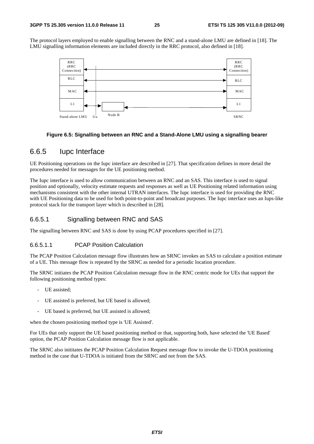The protocol layers employed to enable signalling between the RNC and a stand-alone LMU are defined in [18]. The LMU signalling information elements are included directly in the RRC protocol, also defined in [18].



#### **Figure 6.5: Signalling between an RNC and a Stand-Alone LMU using a signalling bearer**

### 6.6.5 Iupc Interface

UE Positioning operations on the Iupc interface are described in [27]. That specification defines in more detail the procedures needed for messages for the UE positioning method.

The Iupc interface is used to allow communication between an RNC and an SAS. This interface is used to signal position and optionally, velocity estimate requests and responses as well as UE Positioning related information using mechanisms consistent with the other internal UTRAN interfaces. The Iupc interface is used for providing the RNC with UE Positioning data to be used for both point-to-point and broadcast purposes. The Iupc interface uses an Iups-like protocol stack for the transport layer which is described in [28].

#### 6.6.5.1 Signalling between RNC and SAS

The signalling between RNC and SAS is done by using PCAP procedures specified in [27].

#### 6.6.5.1.1 PCAP Position Calculation

The PCAP Position Calculation message flow illustrates how an SRNC invokes an SAS to calculate a position estimate of a UE. This message flow is repeated by the SRNC as needed for a periodic location procedure.

The SRNC initiates the PCAP Position Calculation message flow in the RNC centric mode for UEs that support the following positioning method types:

- UE assisted;
- UE assisted is preferred, but UE based is allowed;
- UE based is preferred, but UE assisted is allowed;

when the chosen positioning method type is 'UE Assisted'.

For UEs that only support the UE based positioning method or that, supporting both, have selected the 'UE Based' option, the PCAP Position Calculation message flow is not applicable.

The SRNC also inititates the PCAP Position Calculation Request message flow to invoke the U-TDOA positioning method in the case that U-TDOA is initiated from the SRNC and not from the SAS.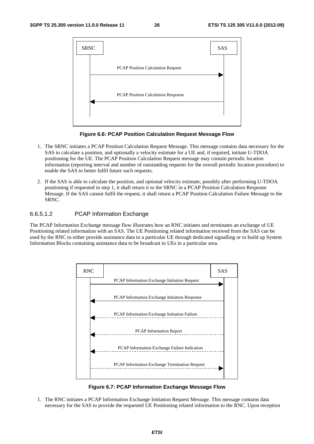

**Figure 6.6: PCAP Position Calculation Request Message Flow** 

- 1. The SRNC initiates a PCAP Position Calculation Request Message. This message contains data necessary for the SAS to calculate a position, and optionally a velocity estimate for a UE and, if required, initiate U-TDOA positioning for the UE. The PCAP Position Calculation Request message may contain periodic location information (reporting interval and number of outstanding requests for the overall periodic location procedure) to enable the SAS to better fulfil future such requests.
- 2. If the SAS is able to calculate the position, and optional velocity estimate, possibly after performing U-TDOA positioning if requested in step 1, it shall return it to the SRNC in a PCAP Position Calculation Response Message. If the SAS cannot fulfil the request, it shall return a PCAP Position Calculation Failure Message to the SRNC.

#### 6.6.5.1.2 PCAP Information Exchange

The PCAP Information Exchange message flow illustrates how an RNC initiates and terminates an exchange of UE Positioning related information with an SAS. The UE Positioning related information received from the SAS can be used by the RNC to either provide assistance data to a particular UE through dedicated signalling or to build up System Information Blocks containing assistance data to be broadcast to UEs in a particular area.



**Figure 6.7: PCAP Information Exchange Message Flow** 

1. The RNC initiates a PCAP Information Exchange Initiation Request Message. This message contains data necessary for the SAS to provide the requested UE Positioning related information to the RNC. Upon reception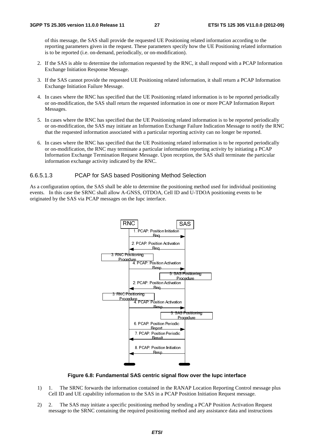of this message, the SAS shall provide the requested UE Positioning related information according to the reporting parameters given in the request. These parameters specify how the UE Positioning related information is to be reported (i.e. on-demand, periodically, or on-modification).

- 2. If the SAS is able to determine the information requested by the RNC, it shall respond with a PCAP Information Exchange Initiation Response Message.
- 3. If the SAS cannot provide the requested UE Positioning related information, it shall return a PCAP Information Exchange Initiation Failure Message.
- 4. In cases where the RNC has specified that the UE Positioning related information is to be reported periodically or on-modification, the SAS shall return the requested information in one or more PCAP Information Report Messages.
- 5. In cases where the RNC has specified that the UE Positioning related information is to be reported periodically or on-modification, the SAS may initiate an Information Exchange Failure Indication Message to notify the RNC that the requested information associated with a particular reporting activity can no longer be reported.
- 6. In cases where the RNC has specified that the UE Positioning related information is to be reported periodically or on-modification, the RNC may terminate a particular information reporting activity by initiating a PCAP Information Exchange Termination Request Message. Upon reception, the SAS shall terminate the particular information exchange activity indicated by the RNC.

#### 6.6.5.1.3 PCAP for SAS based Positioning Method Selection

As a configuration option, the SAS shall be able to determine the positioning method used for individual positioning events. In this case the SRNC shall allow A-GNSS, OTDOA, Cell ID and U-TDOA positioning events to be originated by the SAS via PCAP messages on the Iupc interface.



#### **Figure 6.8: Fundamental SAS centric signal flow over the Iupc interface**

- 1) 1. The SRNC forwards the information contained in the RANAP Location Reporting Control message plus Cell ID and UE capability information to the SAS in a PCAP Position Initiation Request message.
- 2) 2. The SAS may initiate a specific positioning method by sending a PCAP Position Activation Request message to the SRNC containing the required positioning method and any assistance data and instructions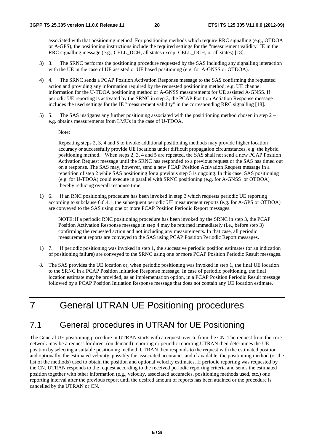associated with that positioning method. For positioning methods which require RRC signalling (e.g., OTDOA or A-GPS), the positioning instructions include the required settings for the "measurement validity" IE in the RRC signalling message (e.g., CELL\_DCH, all states except CELL\_DCH, or all states) [18].

- 3) 3. The SRNC performs the positioning procedure requested by the SAS including any signalling interaction with the UE in the case of UE assisted or UE based positioning (e.g. for A-GNSS or OTDOA).
- 4) 4. The SRNC sends a PCAP Position Activation Response message to the SAS confirming the requested action and providing any information required by the requested positioning method; e.g. UE channel information for the U-TDOA positioning method or A-GNSS measurements for UE assisted A-GNSS. If periodic UE reporting is activated by the SRNC in step 3, the PCAP Position Actiation Response message includes the used settings for the IE "measurement validity" in the corresponding RRC signalling [18].
- 5) 5. The SAS instigates any further positioning associated with the posititioning method chosen in step 2 e.g. obtains measurements from LMUs in the case of U-TDOA.

Note:

Repeating steps 2, 3, 4 and 5 to invoke additional positioning methods may provide higher location accuracy or successfully provide UE locations under difficult propagation circumstances, e.g. the hybrid positioning method. When steps 2, 3, 4 and 5 are repeated, the SAS shall not send a new PCAP Position Activation Request message until the SRNC has responded to a previous request or the SAS has timed out on a response. The SAS may, however, send a new PCAP Position Activation Request message in a repetition of step 2 while SAS positioning for a previous step 5 is ongoing. In this case, SAS positioning (e.g. for U-TDOA) could execute in parallel with SRNC positioning (e.g. for A-GNSS or OTDOA) thereby reducing overall response time.

1) 6. If an RNC positioning procedure has been invoked in step 3 which requests periodic UE reporting according to subclause 6.6.4.1, the subsequent periodic UE measurement reports (e.g. for A-GPS or OTDOA) are conveyed to the SAS using one or more PCAP Position Periodic Report messages.

NOTE: If a periodic RNC positioning procedure has been invoked by the SRNC in step 3, the PCAP Position Activation Response message in step 4 may be returned immediately (i.e., before step 3) confirming the requested action and not including any measurements. In that case, all periodic measurement reports are conveyed to the SAS using PCAP Position Periodic Report messages.

- 1) 7. If periodic positioning was invoked in step 1, the successive periodic position estimates (or an indication of positioning failure) are conveyed to the SRNC using one or more PCAP Position Periodic Result messages.
- 8. The SAS provides the UE location or, when periodic positioning was invoked in step 1, the final UE location to the SRNC in a PCAP Position Initiation Response message. In case of periodic positioning, the final location estimate may be provided, as an implementation option, in a PCAP Position Periodic Result message followed by a PCAP Position Initiation Response message that does not contain any UE location estimate.

# 7 General UTRAN UE Positioning procedures

### 7.1 General procedures in UTRAN for UE Positioning

The General UE positioning procedure in UTRAN starts with a request over Iu from the CN. The request from the core network may be a request for direct (on demand) reporting or periodic reporting.UTRAN then determines the UE position by selecting a suitable positioning method. UTRAN then responds to the request with the estimated position and optionally, the estimated velocity, possibly the associated accuracies and if available, the positioning method (or the list of the methods) used to obtain the position and optional velocity estimates. If periodic reporting was requested by the CN, UTRAN responds to the request according to the received periodic reporting criteria and sends the estimated position together with other information (e.g., velocity, associated accuracies, positioning methods used, etc.) one reporting interval after the previous report until the desired amount of reports has been attained or the procedure is cancelled by the UTRAN or CN.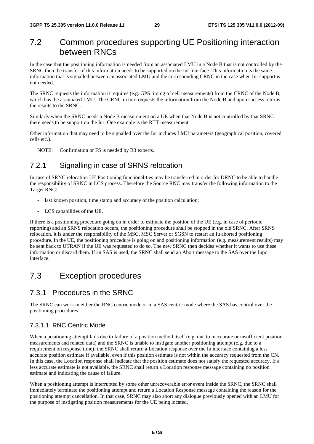### 7.2 Common procedures supporting UE Positioning interaction between RNCs

In the case that the positioning information is needed from an associated LMU in a Node B that is not controlled by the SRNC then the transfer of this information needs to be supported on the Iur interface. This information is the same information that is signalled between an associated LMU and the corresponding CRNC in the case when Iur support is not needed.

The SRNC requests the information it requires (e.g. GPS timing of cell measurements) from the CRNC of the Node B, which has the associated LMU. The CRNC in turn requests the information from the Node B and upon success returns the results to the SRNC.

Similarly when the SRNC needs a Node B measurement on a UE when that Node B is not controlled by that SRNC there needs to be support on the Iur. One example is the RTT measurement.

Other information that may need to be signalled over the Iur includes LMU parameters (geographical position, covered cells etc.).

NOTE: Confirmation or FS is needed by R3 experts.

### 7.2.1 Signalling in case of SRNS relocation

In case of SRNC relocation UE Positioning functionalities may be transferred in order for DRNC to be able to handle the responsibility of SRNC in LCS process. Therefore the Source RNC may transfer the following information to the Target RNC:

- last known position, time stamp and accuracy of the position calculation;
- LCS capabilities of the UE.

If there is a positioning procedure going on in order to estimate the position of the UE (e.g. in case of periodic reporting) and an SRNS relocation occurs, the positioning procedure shall be stopped in the old SRNC. After SRNS relocation, it is under the responsibility of the MSC, MSC Server or SGSN to restart an Iu aborted positioning procedure. In the UE, the positioning procedure is going on and positioning information (e.g. measurement results) may be sent back to UTRAN if the UE was requested to do so. The new SRNC then decides whether it wants to use these information or discard them. If an SAS is used, the SRNC shall send an Abort message to the SAS over the Iupc interface.

### 7.3 Exception procedures

### 7.3.1 Procedures in the SRNC

The SRNC can work in either the RNC centric mode or in a SAS centric mode where the SAS has control over the positioning procedures.

#### 7.3.1.1 RNC Centric Mode

When a positioning attempt fails due to failure of a position method itself (e.g. due to inaccurate or insufficient position measurements and related data) and the SRNC is unable to instigate another positioning attempt (e.g. due to a requirement on response time), the SRNC shall return a Location response over the Iu interface containing a less accurate position estimate if available, even if this position estimate is not within the accuracy requested from the CN. In this case, the Location response shall indicate that the position estimate does not satisfy the requested accuracy. If a less accurate estimate is not available, the SRNC shall return a Location response message containing no position estimate and indicating the cause of failure.

When a positioning attempt is interrupted by some other unrecoverable error event inside the SRNC, the SRNC shall immediately terminate the positioning attempt and return a Location Response message containing the reason for the positioning attempt cancellation. In that case, SRNC may also abort any dialogue previously opened with an LMU for the purpose of instigating position measurements for the UE being located.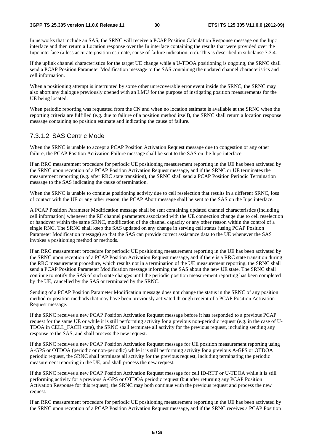In networks that include an SAS, the SRNC will receive a PCAP Position Calculation Response message on the Iupc interface and then return a Location response over the Iu interface containing the results that were provided over the Iupc interface (a less accurate position estimate, cause of failure indication, etc). This is described in subclause 7.3.4.

If the uplink channel characteristics for the target UE change while a U-TDOA positioning is ongoing, the SRNC shall send a PCAP Position Parameter Modification message to the SAS containing the updated channel characteristics and cell information.

When a positioning attempt is interrupted by some other unrecoverable error event inside the SRNC, the SRNC may also abort any dialogue previously opened with an LMU for the purpose of instigating position measurements for the UE being located.

When periodic reporting was requested from the CN and when no location estimate is available at the SRNC when the reporting criteria are fulfilled (e.g. due to failure of a position method itself), the SRNC shall return a location response message containing no position estimate and indicating the cause of failure.

#### 7.3.1.2 SAS Centric Mode

When the SRNC is unable to accept a PCAP Position Activation Request message due to congestion or any other failure, the PCAP Position Activation Failure message shall be sent to the SAS on the Iupc interface.

If an RRC measurement procedure for periodic UE positioning measurement reporting in the UE has been activated by the SRNC upon reception of a PCAP Position Activation Request message, and if the SRNC or UE terminates the measurement reporting (e.g. after RRC state transition), the SRNC shall send a PCAP Position Periodic Termination message to the SAS indicating the cause of termination.

When the SRNC is unable to continue positioning activity due to cell reselection that results in a different SRNC, loss of contact with the UE or any other reason, the PCAP Abort message shall be sent to the SAS on the Iupc interface.

A PCAP Position Parameter Modification message shall be sent containing updated channel characteristics (including cell information) whenever the RF channel parameters associated with the UE connection change due to cell reselection or handover within the same SRNC, modification of the channel capacity or any other reason within the control of a single RNC. The SRNC shall keep the SAS updated on any change in serving cell status (using PCAP Position Parameter Modification message) so that the SAS can provide correct assistance data to the UE whenever the SAS invokes a positioning method or methods.

If an RRC measurement procedure for periodic UE positioning measurement reporting in the UE has been activated by the SRNC upon reception of a PCAP Position Activation Request message, and if there is a RRC state transition during the RRC measurement procedure, which results not in a termination of the UE measurement reporting, the SRNC shall send a PCAP Position Parameter Modification message informing the SAS about the new UE state. The SRNC shall continue to notify the SAS of such state changes until the periodic position measurement reporting has been completed by the UE, cancelled by the SAS or terminated by the SRNC.

Sending of a PCAP Position Parameter Modification message does not change the status in the SRNC of any position method or position methods that may have been previously activated through receipt of a PCAP Position Activation Request message.

If the SRNC receives a new PCAP Position Activation Request message before it has responded to a previous PCAP request for the same UE or while it is still performing activity for a previous non-periodic request (e.g. in the case of U-TDOA in CELL\_FACH state), the SRNC shall terminate all activity for the previous request, including sending any response to the SAS, and shall process the new request.

If the SRNC receives a new PCAP Position Activation Request message for UE position measurement reporting using A-GPS or OTDOA (periodic or non-periodic) while it is still performing activity for a previous A-GPS or OTDOA periodic request, the SRNC shall terminate all activity for the previous request, including terminating the periodic measurement reporting in the UE, and shall process the new request.

If the SRNC receives a new PCAP Position Activation Request message for cell ID-RTT or U-TDOA while it is still performing activity for a previous A-GPS or OTDOA periodic request (but after returning any PCAP Position Activation Response for this request), the SRNC may both continue with the previous request and process the new request.

If an RRC measurement procedure for periodic UE positioning measurement reporting in the UE has been activated by the SRNC upon reception of a PCAP Position Activation Request message, and if the SRNC receives a PCAP Position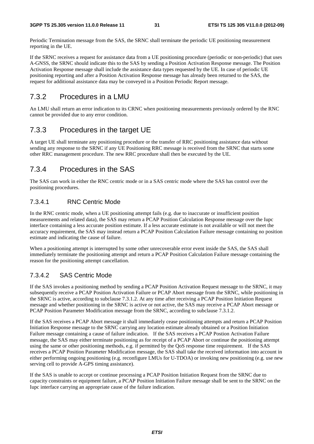Periodic Termination message from the SAS, the SRNC shall terminate the periodic UE positioning measurement reporting in the UE.

If the SRNC receives a request for assistance data from a UE positioning procedure (periodic or non-periodic) that uses A-GNSS, the SRNC should indicate this to the SAS by sending a Position Activation Response message. The Position Activation Response message shall include the assistance data types requested by the UE. In case of periodic UE positioning reporting and after a Position Activation Response message has already been returned to the SAS, the request for additional assistance data may be conveyed in a Position Periodic Report message.

### 7.3.2 Procedures in a LMU

An LMU shall return an error indication to its CRNC when positioning measurements previously ordered by the RNC cannot be provided due to any error condition.

### 7.3.3 Procedures in the target UE

A target UE shall terminate any positioning procedure or the transfer of RRC positioning assistance data without sending any response to the SRNC if any UE Positioning RRC message is received from the SRNC that starts some other RRC management procedure. The new RRC procedure shall then be executed by the UE.

### 7.3.4 Procedures in the SAS

The SAS can work in either the RNC centric mode or in a SAS centric mode where the SAS has control over the positioning procedures.

### 7.3.4.1 RNC Centric Mode

In the RNC centric mode, when a UE positioning attempt fails (e.g. due to inaccurate or insufficient position measurements and related data), the SAS may return a PCAP Position Calculation Response message over the Iupc interface containing a less accurate position estimate. If a less accurate estimate is not available or will not meet the accuracy requirement, the SAS may instead return a PCAP Position Calculation Failure message containing no position estimate and indicating the cause of failure.

When a positioning attempt is interrupted by some other unrecoverable error event inside the SAS, the SAS shall immediately terminate the positioning attempt and return a PCAP Position Calculation Failure message containing the reason for the positioning attempt cancellation.

#### 7.3.4.2 SAS Centric Mode

If the SAS invokes a positioning method by sending a PCAP Position Activation Request message to the SRNC, it may subsequently receive a PCAP Position Activation Failure or PCAP Abort message from the SRNC, while positioning in the SRNC is active, according to subclause 7.3.1.2. At any time after receiving a PCAP Position Initiation Request message and whether positioning in the SRNC is active or not active, the SAS may receive a PCAP Abort message or PCAP Position Parameter Modification message from the SRNC, according to subclause 7.3.1.2.

If the SAS receives a PCAP Abort message it shall immediately cease positioning attempts and return a PCAP Position Initiation Response message to the SRNC carrying any location estimate already obtained or a Position Initiation Failure message containing a cause of failure indication. If the SAS receives a PCAP Postion Activation Failure message, the SAS may either terminate positioning as for receipt of a PCAP Abort or continue the positioning attempt using the same or other positioning methods, e.g. if permitted by the QoS response time requirement. If the SAS receives a PCAP Position Parameter Modification message, the SAS shall take the received information into account in either performing ongoing positioning (e.g. reconfigure LMUs for U-TDOA) or invoking new positioning (e.g. use new serving cell to provide A-GPS timing assistance).

If the SAS is unable to accept or continue processing a PCAP Position Initiation Request from the SRNC due to capacity constraints or equipment failure, a PCAP Position Initiation Failure message shall be sent to the SRNC on the Iupc interface carrying an appropriate cause of the failure indication.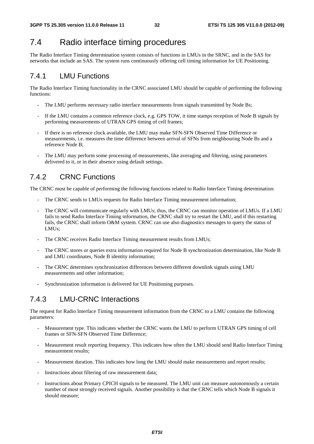### 7.4 Radio interface timing procedures

The Radio Interface Timing determination system consists of functions in LMUs in the SRNC, and in the SAS for networks that include an SAS. The system runs continuously offering cell timing information for UE Positioning.

### 7.4.1 LMU Functions

The Radio Interface Timing functionality in the CRNC associated LMU should be capable of performing the following functions:

- The LMU performs necessary radio interface measurements from signals transmitted by Node Bs;
- If the LMU contains a common reference clock, e.g. GPS TOW, it time stamps reception of Node B signals by performing measurements of UTRAN GPS timing of cell frames;
- If there is no reference clock available, the LMU may make SFN-SFN Observed Time Difference or measurements, i.e. measures the time difference between arrival of SFNs from neighbouring Node Bs and a reference Node B;
- The LMU may perform some processing of measurements, like averaging and filtering, using parameters delivered to it, or in their absence using default settings.

### 7.4.2 CRNC Functions

The CRNC must be capable of performing the following functions related to Radio Interface Timing determination:

- The CRNC sends to LMUs requests for Radio Interface Timing measurement information;
- The CRNC will communicate regularly with LMUs; thus, the CRNC can monitor operation of LMUs. If a LMU fails to send Radio Interface Timing information, the CRNC shall try to restart the LMU, and if this restarting fails, the CRNC shall inform O&M system. CRNC can use also diagnostics messages to query the status of LMUs;
- The CRNC receives Radio Interface Timing measurement results from LMUs;
- The CRNC stores or queries extra information required for Node B synchronization determination, like Node B and LMU coordinates, Node B identity information;
- The CRNC determines synchronization differences between different downlink signals using LMU measurements and other information;
- Synchronization information is delivered for UE Positioning purposes.

### 7.4.3 LMU-CRNC Interactions

The request for Radio Interface Timing measurement information from the CRNC to a LMU contains the following parameters:

- Measurement type. This indicates whether the CRNC wants the LMU to perform UTRAN GPS timing of cell frames or SFN-SFN Observed Time Difference;
- Measurement result reporting frequency. This indicates how often the LMU should send Radio Interface Timing measurement results;
- Measurement duration. This indicates how long the LMU should make measurements and report results;
- Instructions about filtering of raw measurement data;
- Instructions about Primary CPICH signals to be measured. The LMU unit can measure autonomously a certain number of most strongly received signals. Another possibility is that the CRNC tells which Node B signals it should measure;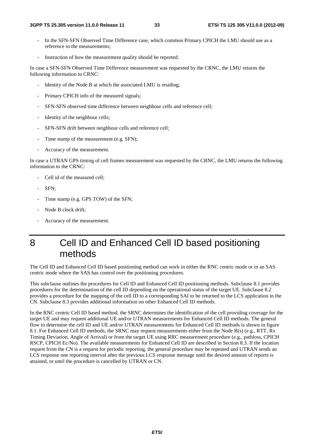- In the SFN-SFN Observed Time Difference case, which common Primary CPICH the LMU should use as a reference in the measurements;
- Instruction of how the measurement quality should be reported.

In case a SFN-SFN Observed Time Difference measurement was requested by the CRNC, the LMU returns the following information to CRNC:

- Identity of the Node B at which the associated LMU is residing;
- Primary CPICH info of the measured signals;
- SFN-SFN observed time difference between neighbour cells and reference cell;
- Identity of the neighbour cells;
- SFN-SFN drift between neighbour cells and reference cell;
- Time stamp of the measurement (e.g. SFN);
- Accuracy of the measurement.

In case a UTRAN GPS timing of cell frames measurement was requested by the CRNC, the LMU returns the following information to the CRNC:

- Cell id of the measured cell:
- SFN:
- Time stamp (e.g. GPS TOW) of the SFN;
- Node B clock drift;
- Accuracy of the measurement.

# 8 Cell ID and Enhanced Cell ID based positioning methods

The Cell ID and Enhanced Cell ID based positioning method can work in either the RNC centric mode or in an SAS centric mode where the SAS has control over the positioning procedures.

This subclause outlines the procedures for Cell ID and Enhanced Cell ID positioning methods. Subclause 8.1 provides procedures for the determination of the cell ID depending on the operational status of the target UE. Subclause 8.2 provides a procedure for the mapping of the cell ID to a corresponding SAI to be returned to the LCS application in the CN. Subclause 8.3 provides additional information on other Enhanced Cell ID methods.

In the RNC centric Cell ID based method, the SRNC determines the identification of the cell providing coverage for the target UE and may request additional UE and/or UTRAN measurements for Enhanced Cell ID methods. The general flow to determine the cell ID and UE and/or UTRAN measurements for Enhanced Cell ID methods is shown in figure 8.1. For Enhanced Cell ID methods, the SRNC may request measurements either from the Node B(s) (e.g., RTT, Rx Timing Deviation, Angle of Arrival) or from the target UE using RRC measurement procedure (e.g., pathloss, CPICH RSCP, CPICH Ec/No). The available measurements for Enhanced Cell ID are described in Section 8.3. If the location request from the CN is a request for periodic reporting, the general procedure may be repeated and UTRAN sends an LCS response one reporting interval after the previous LCS response message until the desired amount of reports is attained, or until the procedure is cancelled by UTRAN or CN.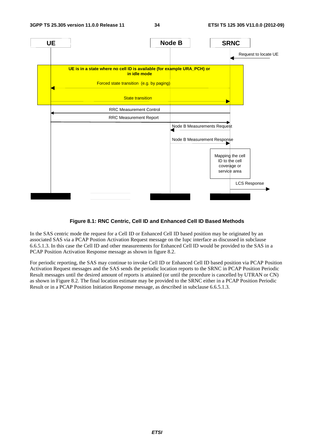

#### **Figure 8.1: RNC Centric, Cell ID and Enhanced Cell ID Based Methods**

In the SAS centric mode the request for a Cell ID or Enhanced Cell ID based position may be originated by an associated SAS via a PCAP Postion Activation Request message on the Iupc interface as discussed in subclause 6.6.5.1.3. In this case the Cell ID and other measurements for Enhanced Cell ID would be provided to the SAS in a PCAP Position Activation Response message as shown in figure 8.2.

For periodic reporting, the SAS may continue to invoke Cell ID or Enhanced Cell ID based position via PCAP Position Activation Request messages and the SAS sends the periodic location reports to the SRNC in PCAP Position Periodic Result messages until the desired amount of reports is attained (or until the procedure is cancelled by UTRAN or CN) as shown in Figure 8.2. The final location estimate may be provided to the SRNC either in a PCAP Position Periodic Result or in a PCAP Position Initiation Response message, as described in subclause 6.6.5.1.3.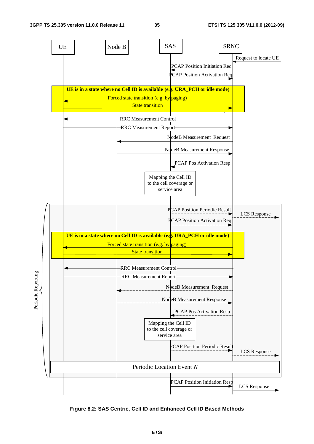

**Figure 8.2: SAS Centric, Cell ID and Enhanced Cell ID Based Methods**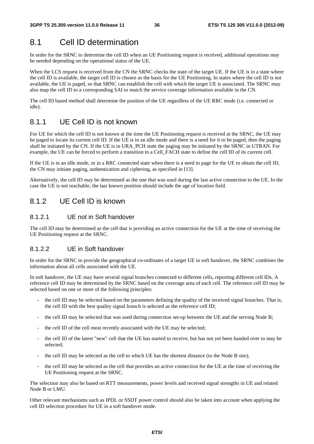## 8.1 Cell ID determination

In order for the SRNC to determine the cell ID when an UE Positioning request is received, additional operations may be needed depending on the operational status of the UE.

When the LCS request is received from the CN the SRNC checks the state of the target UE. If the UE is in a state where the cell ID is available, the target cell ID is chosen as the basis for the UE Positioning. In states where the cell ID is not available, the UE is paged, so that SRNC can establish the cell with which the target UE is associated. The SRNC may also map the cell ID to a corresponding SAI to match the service coverage information available in the CN.

The cell ID based method shall determine the position of the UE regardless of the UE RRC mode (i.e. connected or idle).

### 8.1.1 UE Cell ID is not known

For UE for which the cell ID is not known at the time the UE Positioning request is received at the SRNC, the UE may be paged to locate its current cell ID. If the UE is in an idle mode and there is a need for it to be paged, then the paging shall be initiated by the CN. If the UE is in URA\_PCH state the paging may be initiated by the SRNC in UTRAN. For example, the UE can be forced to perform a transition to a Cell\_FACH state to define the cell ID of its current cell.

If the UE is in an idle mode, or in a RRC connected state when there is a need to page for the UE to obtain the cell ID, the CN may initiate paging, authentication and ciphering, as specified in [13].

Alternatively, the cell ID may be determined as the one that was used during the last active connection to the UE. In the case the UE is not reachable, the last known position should include the age of location field.

### 8.1.2 UE Cell ID is known

#### 8.1.2.1 UE not in Soft handover

The cell ID may be determined as the cell that is providing an active connection for the UE at the time of receiving the UE Positioning request at the SRNC.

#### 8.1.2.2 UE in Soft handover

In order for the SRNC to provide the geographical co-ordinates of a target UE in soft handover, the SRNC combines the information about all cells associated with the UE.

In soft handover, the UE may have several signal branches connected to different cells, reporting different cell IDs. A reference cell ID may be determined by the SRNC based on the coverage area of each cell. The reference cell ID may be selected based on one or more of the following principles:

- the cell ID may be selected based on the parameters defining the quality of the received signal branches. That is, the cell ID with the best quality signal branch is selected as the reference cell ID;
- the cell ID may be selected that was used during connection set-up between the UE and the serving Node B;
- the cell ID of the cell most recently associated with the UE may be selected;
- the cell ID of the latest "new" cell that the UE has started to receive, but has not yet been handed over to may be selected;
- the cell ID may be selected as the cell to which UE has the shortest distance (to the Node B site);
- the cell ID may be selected as the cell that provides an active connection for the UE at the time of receiving the UE Positioning request at the SRNC.

The selection may also be based on RTT measurements, power levels and received signal strengths in UE and related Node B or LMU.

Other relevant mechanisms such as IPDL or SSDT power control should also be taken into account when applying the cell ID selection procedure for UE in a soft handover mode.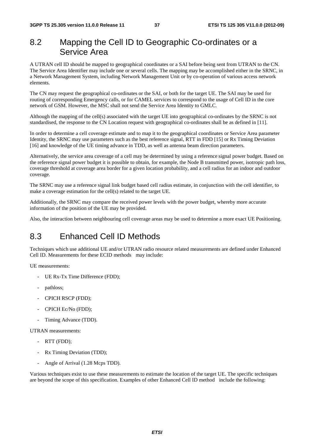### 8.2 Mapping the Cell ID to Geographic Co-ordinates or a Service Area

A UTRAN cell ID should be mapped to geographical coordinates or a SAI before being sent from UTRAN to the CN. The Service Area Identifier may include one or several cells. The mapping may be accomplished either in the SRNC, in a Network Management System, including Network Management Unit or by co-operation of various access network elements.

The CN may request the geographical co-ordinates or the SAI, or both for the target UE. The SAI may be used for routing of corresponding Emergency calls, or for CAMEL services to correspond to the usage of Cell ID in the core network of GSM. However, the MSC shall not send the Service Area Identity to GMLC.

Although the mapping of the cell(s) associated with the target UE into geographical co-ordinates by the SRNC is not standardised, the response to the CN Location request with geographical co-ordinates shall be as defined in [11].

In order to determine a cell coverage estimate and to map it to the geographical coordinates or Service Area parameter Identity, the SRNC may use parameters such as the best reference signal, RTT in FDD [15] or Rx Timing Deviation [16] and knowledge of the UE timing advance in TDD, as well as antenna beam direction parameters.

Alternatively, the service area coverage of a cell may be determined by using a reference signal power budget. Based on the reference signal power budget it is possible to obtain, for example, the Node B transmitted power, isotropic path loss, coverage threshold at coverage area border for a given location probability, and a cell radius for an indoor and outdoor coverage.

The SRNC may use a reference signal link budget based cell radius estimate, in conjunction with the cell identifier, to make a coverage estimation for the cell(s) related to the target UE.

Additionally, the SRNC may compare the received power levels with the power budget, whereby more accurate information of the position of the UE may be provided.

Also, the interaction between neighbouring cell coverage areas may be used to determine a more exact UE Positioning.

## 8.3 Enhanced Cell ID Methods

Techniques which use additional UE and/or UTRAN radio resource related measurements are defined under Enhanced Cell ID. Measurements for these ECID methods may include:

UE measurements:

- UE Rx-Tx Time Difference (FDD);
- pathloss;
- CPICH RSCP (FDD);
- CPICH Ec/No (FDD);
- Timing Advance (TDD).

UTRAN measurements:

- RTT (FDD);
- Rx Timing Deviation (TDD);
- Angle of Arrival (1.28 Mcps TDD).

Various techniques exist to use these measurements to estimate the location of the target UE. The specific techniques are beyond the scope of this specification. Examples of other Enhanced Cell ID method include the following: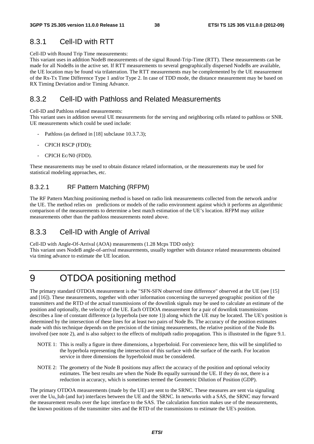### 8.3.1 Cell-ID with RTT

Cell-ID with Round Trip Time measurements:

This variant uses in addition NodeB measurements of the signal Round-Trip-Time (RTT). These measurements can be made for all NodeBs in the active set. If RTT measurements to several geographically dispersed NodeBs are available, the UE location may be found via trilateration. The RTT measurements may be complemented by the UE measurement of the Rx-Tx Time Difference Type 1 and/or Type 2. In case of TDD mode, the distance measurement may be based on RX Timing Deviation and/or Timing Advance.

### 8.3.2 Cell-ID with Pathloss and Related Measurements

Cell-ID and Pathloss related measurements:

This variant uses in addition several UE measurements for the serving and neighboring cells related to pathloss or SNR. UE measurements which could be used include:

- Pathloss (as defined in [18] subclause 10.3.7.3);
- CPICH RSCP (FDD);
- CPICH Ec/N0 (FDD).

These measurements may be used to obtain distance related information, or the measurements may be used for statistical modeling approaches, etc.

#### 8.3.2.1 RF Pattern Matching (RFPM)

The RF Pattern Matching positioning method is based on radio link measurements collected from the network and/or the UE. The method relies on predictions or models of the radio environment against which it performs an algorithmic comparison of the measurements to determine a best match estimation of the UE's location. RFPM may utilize measurements other than the pathloss measurements noted above.

### 8.3.3 Cell-ID with Angle of Arrival

Cell-ID with Angle-Of-Arrival (AOA) measurements (1.28 Mcps TDD only): This variant uses NodeB angle-of-arrival measurements, usually together with distance related measurements obtained via timing advance to estimate the UE location.

# 9 OTDOA positioning method

The primary standard OTDOA measurement is the "SFN-SFN observed time difference" observed at the UE (see [15] and [16]). These measurements, together with other information concerning the surveyed geographic position of the transmitters and the RTD of the actual transmissions of the downlink signals may be used to calculate an estimate of the position and optionally, the velocity of the UE. Each OTDOA measurement for a pair of downlink transmissions describes a line of constant difference (a hyperbola (see note 1)) along which the UE may be located. The UE's position is determined by the intersection of these lines for at least two pairs of Node Bs. The accuracy of the position estimates made with this technique depends on the precision of the timing measurements, the relative position of the Node Bs involved (see note 2), and is also subject to the effects of multipath radio propagation. This is illustrated in the figure 9.1.

- NOTE 1: This is really a figure in three dimensions, a hyperboloid. For convenience here, this will be simplified to the hyperbola representing the intersection of this surface with the surface of the earth. For location service in three dimensions the hyperboloid must be considered.
- NOTE 2: The geometry of the Node B positions may affect the accuracy of the position and optional velocity estimates. The best results are when the Node Bs equally surround the UE. If they do not, there is a reduction in accuracy, which is sometimes termed the Geometric Dilution of Position (GDP).

The primary OTDOA measurements (made by the UE) are sent to the SRNC. These measures are sent via signaling over the Uu, Iub (and Iur) interfaces between the UE and the SRNC. In networks with a SAS, the SRNC may forward the measurement results over the Iupc interface to the SAS. The calculation function makes use of the measurements, the known positions of the transmitter sites and the RTD of the transmissions to estimate the UE's position.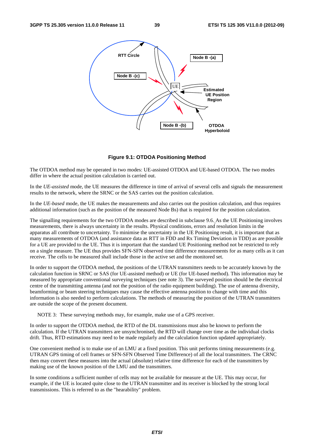

**Figure 9.1: OTDOA Positioning Method** 

The OTDOA method may be operated in two modes: UE-assisted OTDOA and UE-based OTDOA. The two modes differ in where the actual position calculation is carried out.

In the *UE-assisted* mode, the UE measures the difference in time of arrival of several cells and signals the measurement results to the network, where the SRNC or the SAS carries out the position calculation.

In the *UE-based* mode, the UE makes the measurements and also carries out the position calculation, and thus requires additional information (such as the position of the measured Node Bs) that is required for the position calculation.

The signalling requirements for the two OTDOA modes are described in subclause 9.6. As the UE Positioning involves measurements, there is always uncertainty in the results. Physical conditions, errors and resolution limits in the apparatus all contribute to uncertainty. To minimise the uncertainty in the UE Positioning result, it is important that as many measurements of OTDOA (and assistance data as RTT in FDD and Rx Timing Deviation in TDD) as are possible for a UE are provided to the UE. Thus it is important that the standard UE Positioning method not be restricted to rely on a single measure. The UE thus provides SFN-SFN observed time difference measurements for as many cells as it can receive. The cells to be measured shall include those in the active set and the monitored set.

In order to support the OTDOA method, the positions of the UTRAN transmitters needs to be accurately known by the calculation function in SRNC or SAS (for UE-assisted method) or UE (for UE-based method). This information may be measured by appropriate conventional surveying techniques (see note 3). The surveyed position should be the electrical centre of the transmitting antenna (and not the position of the radio equipment building). The use of antenna diversity, beamforming or beam steering techniques may cause the effective antenna position to change with time and this information is also needed to perform calculations. The methods of measuring the position of the UTRAN transmitters are outside the scope of the present document.

NOTE 3: These surveying methods may, for example, make use of a GPS receiver.

In order to support the OTDOA method, the RTD of the DL transmissions must also be known to perform the calculation. If the UTRAN transmitters are unsynchronised, the RTD will change over time as the individual clocks drift. Thus, RTD estimations may need to be made regularly and the calculation function updated appropriately.

One convenient method is to make use of an LMU at a fixed position. This unit performs timing measurements (e.g. UTRAN GPS timing of cell frames or SFN-SFN Observed Time Difference) of all the local transmitters. The CRNC then may convert these measures into the actual (absolute) relative time difference for each of the transmitters by making use of the known position of the LMU and the transmitters.

In some conditions a sufficient number of cells may not be available for measure at the UE. This may occur, for example, if the UE is located quite close to the UTRAN transmitter and its receiver is blocked by the strong local transmissions. This is referred to as the "hearability" problem.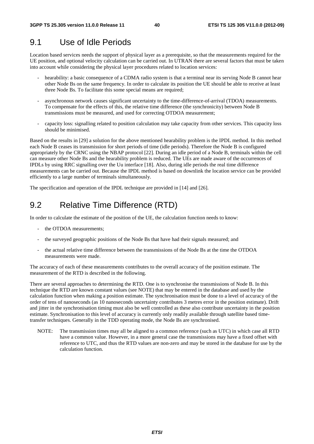## 9.1 Use of Idle Periods

Location based services needs the support of physical layer as a prerequisite, so that the measurements required for the UE position, and optional velocity calculation can be carried out. In UTRAN there are several factors that must be taken into account while considering the physical layer procedures related to location services:

- hearability: a basic consequence of a CDMA radio system is that a terminal near its serving Node B cannot hear other Node Bs on the same frequency. In order to calculate its position the UE should be able to receive at least three Node Bs. To facilitate this some special means are required;
- asynchronous network causes significant uncertainty to the time-difference-of-arrival (TDOA) measurements. To compensate for the effects of this, the relative time difference (the synchronicity) between Node B transmissions must be measured, and used for correcting OTDOA measurement;
- capacity loss: signalling related to position calculation may take capacity from other services. This capacity loss should be minimised.

Based on the results in [29] a solution for the above mentioned hearability problem is the IPDL method. In this method each Node B ceases its transmission for short periods of time (idle periods). Therefore the Node B is configured appropriately by the CRNC using the NBAP protocol [22]. During an idle period of a Node B, terminals within the cell can measure other Node Bs and the hearability problem is reduced. The UEs are made aware of the occurrences of IPDLs by using RRC signalling over the Uu interface [18]. Also, during idle periods the real time difference measurements can be carried out. Because the IPDL method is based on downlink the location service can be provided efficiently to a large number of terminals simultaneously.

The specification and operation of the IPDL technique are provided in [14] and [26].

## 9.2 Relative Time Difference (RTD)

In order to calculate the estimate of the position of the UE, the calculation function needs to know:

- the OTDOA measurements:
- the surveyed geographic positions of the Node Bs that have had their signals measured; and
- the actual relative time difference between the transmissions of the Node Bs at the time the OTDOA measurements were made.

The accuracy of each of these measurements contributes to the overall accuracy of the position estimate. The measurement of the RTD is described in the following.

There are several approaches to determining the RTD. One is to synchronise the transmissions of Node B. In this technique the RTD are known constant values (see NOTE) that may be entered in the database and used by the calculation function when making a position estimate. The synchronisation must be done to a level of accuracy of the order of tens of nanoseconds (as 10 nanoseconds uncertainty contributes 3 metres error in the position estimate). Drift and jitter in the synchronisation timing must also be well controlled as these also contribute uncertainty in the position estimate. Synchronisation to this level of accuracy is currently only readily available through satellite based timetransfer techniques. Generally in the TDD operating mode, the Node Bs are synchronised.

NOTE: The transmission times may all be aligned to a common reference (such as UTC) in which case all RTD have a common value. However, in a more general case the transmissions may have a fixed offset with reference to UTC, and thus the RTD values are non-zero and may be stored in the database for use by the calculation function.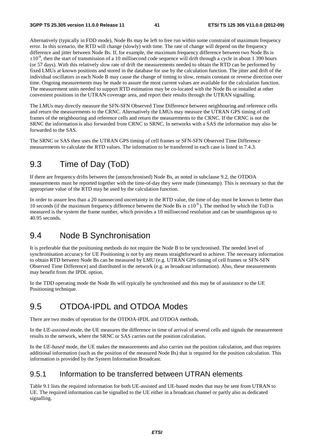Alternatively (typically in FDD mode), Node Bs may be left to free run within some constraint of maximum frequency error. In this scenario, the RTD will change (slowly) with time. The rate of change will depend on the frequency difference and jitter between Node Bs. If, for example, the maximum frequency difference between two Node Bs is  $\pm 10^{-9}$ , then the start of transmission of a 10 millisecond code sequence will drift through a cycle in about 1 390 hours (or 57 days). With this relatively slow rate of drift the measurements needed to obtain the RTD can be performed by fixed LMUs at known positions and stored in the database for use by the calculation function. The jitter and drift of the individual oscillators in each Node B may cause the change of timing to slow, remain constant or reverse direction over time. Ongoing measurements may be made to assure the most current values are available for the calculation function. The measurement units needed to support RTD estimation may be co-located with the Node Bs or installed at other convenient positions in the UTRAN coverage area, and report their results through the UTRAN signalling.

The LMUs may directly measure the SFN-SFN Observed Time Difference between neighbouring and reference cells and return the measurements to the CRNC. Alternatively the LMUs may measure the UTRAN GPS timing of cell frames of the neighbouring and reference cells and return the measurements to the CRNC. If the CRNC is not the SRNC the information is also forwarded from CRNC to SRNC. In networks with a SAS the information may also be forwarded to the SAS.

The SRNC or SAS then uses the UTRAN GPS timing of cell frames or SFN-SFN Observed Time Difference measurements to calculate the RTD values. The information to be transferred in each case is listed in 7.4.3.

## 9.3 Time of Day (ToD)

If there are frequency drifts between the (unsynchronised) Node Bs, as noted in subclause 9.2, the OTDOA measurements must be reported together with the time-of-day they were made (timestamp). This is necessary so that the appropriate value of the RTD may be used by the calculation function.

In order to assure less than a 20 nanosecond uncertainty in the RTD value, the time of day must be known to better than 10 seconds (if the maximum frequency difference between the Node Bs is  $\pm 10^{-9}$ ). The method by which the ToD is measured is the system the frame number, which provides a 10 millisecond resolution and can be unambiguous up to 40.95 seconds.

## 9.4 Node B Synchronisation

It is preferable that the positioning methods do not require the Node B to be synchronised. The needed level of synchronisation accuracy for UE Positioning is not by any means straightforward to achieve. The necessary information to obtain RTD between Node Bs can be measured by LMU (e.g. UTRAN GPS timing of cell frames or SFN-SFN Observed Time Difference) and distributed in the network (e.g. as broadcast information). Also, these measurements may benefit from the IPDL option.

In the TDD operating mode the Node Bs will typically be synchronised and this may be of assistance to the UE Positioning technique.

## 9.5 OTDOA-IPDL and OTDOA Modes

There are two modes of operation for the OTDOA-IPDL and OTDOA methods.

In the *UE-assisted* mode, the UE measures the difference in time of arrival of several cells and signals the measurement results to the network, where the SRNC or SAS carries out the position calculation.

In the *UE-based* mode, the UE makes the measurements and also carries out the position calculation, and thus requires additional information (such as the position of the measured Node Bs) that is required for the position calculation. This information is provided by the System Information Broadcast.

### 9.5.1 Information to be transferred between UTRAN elements

Table 9.1 lists the required information for both UE-assisted and UE-based modes that may be sent from UTRAN to UE. The required information can be signalled to the UE either in a broadcast channel or partly also as dedicated signalling.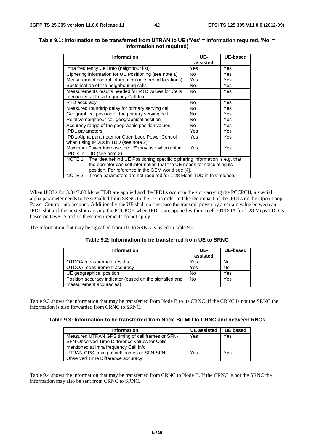#### **Table 9.1: Information to be transferred from UTRAN to UE ('Yes' = information required, 'No' = Information not required)**

| <b>Information</b>                                                                 | UE-      | <b>UE-based</b> |
|------------------------------------------------------------------------------------|----------|-----------------|
|                                                                                    | assisted |                 |
| Intra frequency Cell Info (neighbour list)                                         | Yes      | Yes             |
| Ciphering information for UE Positioning (see note 1)                              | No       | Yes             |
| Measurement control information (idle period locations)                            | Yes      | Yes             |
| Sectorisation of the neighbouring cells                                            | No       | Yes             |
| Measurements results needed for RTD values for Cells                               | No.      | Yes             |
| mentioned at Intra frequency Cell Info                                             |          |                 |
| RTD accuracy                                                                       | No.      | Yes             |
| Measured roundtrip delay for primary serving cell                                  | No       | Yes             |
| Geographical position of the primary serving cell                                  | No.      | Yes             |
| Relative neighbour cell geographical position                                      | No       | Yes             |
| Accuracy range of the geographic position values                                   | No       | Yes             |
| <b>IPDL</b> parameters                                                             | Yes      | Yes             |
| <b>IPDL-Alpha parameter for Open Loop Power Control</b>                            | Yes      | Yes             |
| when using IPDLs in TDD (see note 2)                                               |          |                 |
| Maximum Power increase the UE may use when using                                   | Yes      | Yes             |
| IPDLs in TDD (see note 2)                                                          |          |                 |
| NOTE 1: The idea behind UE Positioning specific ciphering information is e.g. that |          |                 |
| the operator can sell information that the UE needs for calculating its            |          |                 |
| position. For reference in the GSM world see [4].                                  |          |                 |
| NOTE 2: These parameters are not required for 1.28 Mcps TDD in this release.       |          |                 |

When IPDLs for 3.84/7.68 Mcps TDD are applied and the IPDLs occur in the slot carrying the PCCPCH, a special alpha parameter needs to be signalled from SRNC to the UE in order to take the impact of the IPDLs on the Open Loop Power Control into account. Additionally the UE shall not increase the transmit power by a certain value between an IPDL slot and the next slot carrying the PCCPCH when IPDLs are applied within a cell. OTDOA for 1.28 Mcps TDD is based on DwPTS and so these requirements do not apply.

The information that may be signalled from UE to SRNC is listed in table 9.2.

| <b>Information</b>                                                                 | UE-<br>assisted | UE-based |
|------------------------------------------------------------------------------------|-----------------|----------|
| OTDOA measurement results                                                          | Yes             | No       |
| OTDOA measurement accuracy                                                         | Yes             | No       |
| UE geographical position                                                           | <b>No</b>       | Yes      |
| Position accuracy indicator (based on the signalled and<br>measurement accuracies) | <b>No</b>       | Yes      |

#### **Table 9.2: Information to be transferred from UE to SRNC**

Table 9.3 shows the information that may be transferred from Node B to its CRNC. If the CRNC is not the SRNC the information is also forwarded from CRNC to SRNC.

#### **Table 9.3: Information to be transferred from Node B/LMU to CRNC and between RNCs**

| <b>Information</b>                               | <b>UE</b> assisted | <b>UE based</b> |
|--------------------------------------------------|--------------------|-----------------|
| Measured UTRAN GPS timing of cell frames or SFN- | Yes                | Yes             |
| SFN Observed Time Difference values for Cells    |                    |                 |
| mentioned at Intra frequency Cell Info           |                    |                 |
| UTRAN GPS timing of cell frames or SFN-SFN       | Yes                | Yes             |
| Observed Time Difference accuracy                |                    |                 |

Table 9.4 shows the information that may be transferred from CRNC to Node B. If the CRNC is not the SRNC the information may also be sent from CRNC to SRNC.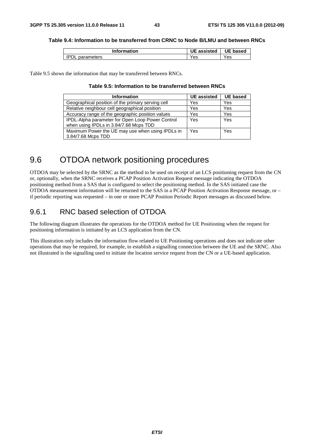#### **Table 9.4: Information to be transferred from CRNC to Node B/LMU and between RNCs**

| <b>Information</b> | UE<br>assisted | <b>UE</b> based |
|--------------------|----------------|-----------------|
| parameters<br>,,,  | 'es            | Yes             |

Table 9.5 shows the information that may be transferred between RNCs.

#### **Table 9.5: Information to be transferred between RNCs**

| <b>Information</b>                                                                         | <b>UE</b> assisted | <b>UE based</b> |
|--------------------------------------------------------------------------------------------|--------------------|-----------------|
| Geographical position of the primary serving cell                                          | Yes                | Yes             |
| Relative neighbour cell geographical position                                              | Yes                | Yes             |
| Accuracy range of the geographic position values                                           | Yes                | Yes             |
| IPDL-Alpha parameter for Open Loop Power Control<br>when using IPDLs in 3.84/7.68 Mcps TDD | Yes                | Yes             |
| Maximum Power the UE may use when using IPDLs in                                           | Yes                | Yes             |
| 3.84/7.68 Mcps TDD                                                                         |                    |                 |

## 9.6 OTDOA network positioning procedures

OTDOA may be selected by the SRNC as the method to be used on receipt of an LCS positioning request from the CN or, optionally, when the SRNC receives a PCAP Position Activation Request message indicating the OTDOA positioning method from a SAS that is configured to select the positioning method. In the SAS initiated case the OTDOA measurement information will be returned to the SAS in a PCAP Position Activation Response message, or – if periodic reporting was requested – in one or more PCAP Position Periodic Report messages as discussed below.

### 9.6.1 RNC based selection of OTDOA

The following diagram illustrates the operations for the OTDOA method for UE Positioning when the request for positioning information is initiated by an LCS application from the CN.

This illustration only includes the information flow related to UE Positioning operations and does not indicate other operations that may be required, for example, to establish a signalling connection between the UE and the SRNC. Also not illustrated is the signalling used to initiate the location service request from the CN or a UE-based application.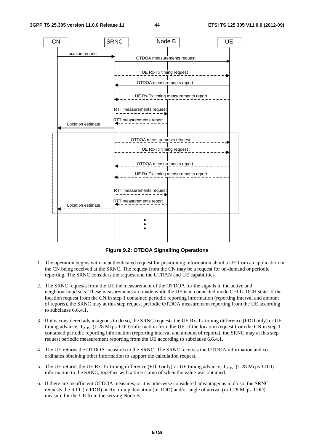

**Figure 9.2: OTDOA Signalling Operations** 

- 1. The operation begins with an authenticated request for positioning information about a UE from an application in the CN being received at the SRNC. The request from the CN may be a request for on-demand or periodic reporting. The SRNC considers the request and the UTRAN and UE capabilities.
- 2. The SRNC requests from the UE the measurement of the OTDOA for the signals in the active and neighbourhood sets. These measurements are made while the UE is in connected mode CELL\_DCH state. If the location request from the CN in step 1 contained periodic reporting information (reporting interval and amount of reports), the SRNC may at this step request periodic OTDOA measurement reporting from the UE according to subclause 6.6.4.1.
- 3. If it is considered advantageous to do so, the SRNC requests the UE Rx-Tx timing difference (FDD only) or UE timing advance,  $T_{ADV}$  (1.28 Mcps TDD) information from the UE. If the location request from the CN in step 1 contained periodic reporting information (reporting interval and amount of reports), the SRNC may at this step request periodic measurement reporting from the UE according to subclause 6.6.4.1.
- 4. The UE returns the OTDOA measures to the SRNC. The SRNC receives the OTDOA information and coordinates obtaining other information to support the calculation request.
- 5. The UE returns the UE Rx-Tx timing difference (FDD only) or UE timing advance,  $T_{\rm ADV}$  (1.28 Mcps TDD) information to the SRNC, together with a time stamp of when the value was obtained.
- 6. If there are insufficient OTDOA measures, or it is otherwise considered advantageous to do so, the SRNC requests the RTT (in FDD) or Rx timing deviation (in TDD) and/or angle of arrival (in 1.28 Mcps TDD) measure for the UE from the serving Node B.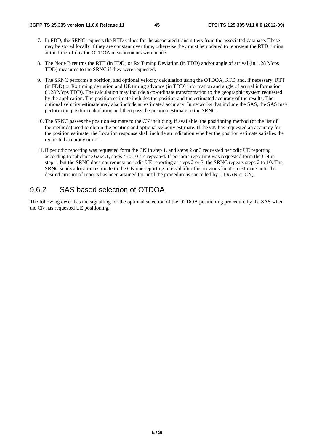- 7. In FDD, the SRNC requests the RTD values for the associated transmitters from the associated database. These may be stored locally if they are constant over time, otherwise they must be updated to represent the RTD timing at the time-of-day the OTDOA measurements were made.
- 8. The Node B returns the RTT (in FDD) or Rx Timing Deviation (in TDD) and/or angle of arrival (in 1.28 Mcps TDD) measures to the SRNC if they were requested.
- 9. The SRNC performs a position, and optional velocity calculation using the OTDOA, RTD and, if necessary, RTT (in FDD) or Rx timing deviation and UE timing advance (in TDD) information and angle of arrival information (1.28 Mcps TDD). The calculation may include a co-ordinate transformation to the geographic system requested by the application. The position estimate includes the position and the estimated accuracy of the results. The optional velocity estimate may also include an estimated accuracy. In networks that include the SAS, the SAS may perform the position calculation and then pass the position estimate to the SRNC.
- 10. The SRNC passes the position estimate to the CN including, if available, the positioning method (or the list of the methods) used to obtain the position and optional velocity estimate. If the CN has requested an accuracy for the position estimate, the Location response shall include an indication whether the position estimate satisfies the requested accuracy or not.
- 11. If periodic reporting was requested form the CN in step 1, and steps 2 or 3 requested periodic UE reporting according to subclause 6.6.4.1, steps 4 to 10 are repeated. If periodic reporting was requested form the CN in step 1, but the SRNC does not request periodic UE reporting at steps 2 or 3, the SRNC repeats steps 2 to 10. The SRNC sends a location estimate to the CN one reporting interval after the previous location estimate until the desired amount of reports has been attained (or until the procedure is cancelled by UTRAN or CN).

### 9.6.2 SAS based selection of OTDOA

The following describes the signalling for the optional selection of the OTDOA positioning procedure by the SAS when the CN has requested UE positioning.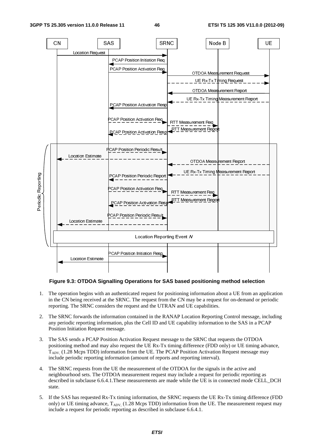

#### **Figure 9.3: OTDOA Signalling Operations for SAS based positioning method selection**

- 1. The operation begins with an authenticated request for positioning information about a UE from an application in the CN being received at the SRNC. The request from the CN may be a request for on-demand or periodic reporting. The SRNC considers the request and the UTRAN and UE capabilities.
- 2. The SRNC forwards the information contained in the RANAP Location Reporting Control message, including any periodic reporting information, plus the Cell ID and UE capability information to the SAS in a PCAP Position Initiation Request message.
- 3. The SAS sends a PCAP Position Activation Request message to the SRNC that requests the OTDOA positioning method and may also request the UE Rx-Tx timing difference (FDD only) or UE timing advance,  $T_{ADV}$ , (1.28 Mcps TDD) information from the UE. The PCAP Position Activation Request message may include periodic reporting information (amount of reports and reporting interval).
- 4. The SRNC requests from the UE the measurement of the OTDOA for the signals in the active and neighbourhood sets. The OTDOA measurement request may include a request for periodic reporting as described in subclause 6.6.4.1.These measurements are made while the UE is in connected mode CELL\_DCH state.
- 5. If the SAS has requested Rx-Tx timing information, the SRNC requests the UE Rx-Tx timing difference (FDD only) or UE timing advance,  $T_{ADV}$ , (1.28 Mcps TDD) information from the UE. The measurement request may include a request for periodic reporting as described in subclause 6.6.4.1.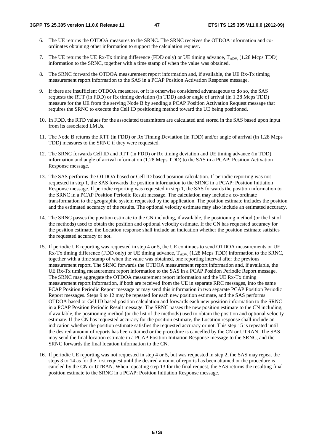- 6. The UE returns the OTDOA measures to the SRNC. The SRNC receives the OTDOA information and coordinates obtaining other information to support the calculation request.
- 7. The UE returns the UE Rx-Tx timing difference (FDD only) or UE timing advance,  $T_{ADV}$  (1.28 Mcps TDD) information to the SRNC, together with a time stamp of when the value was obtained.
- 8. The SRNC forward the OTDOA measurement report information and, if available, the UE Rx-Tx timing measurement report information to the SAS in a PCAP Position Activation Response message.
- 9. If there are insufficient OTDOA measures, or it is otherwise considered advantageous to do so, the SAS requests the RTT (in FDD) or Rx timing deviation (in TDD) and/or angle of arrival (in 1.28 Mcps TDD) measure for the UE from the serving Node B by sending a PCAP Position Activation Request message that requires the SRNC to execute the Cell ID positioning method toward the UE being positioned.
- 10. In FDD, the RTD values for the associated transmitters are calculated and stored in the SAS based upon input from its associated LMUs.
- 11. The Node B returns the RTT (in FDD) or Rx Timing Deviation (in TDD) and/or angle of arrival (in 1.28 Mcps TDD) measures to the SRNC if they were requested.
- 12. The SRNC forwards Cell ID and RTT (in FDD) or Rx timing deviation and UE timing advance (in TDD) information and angle of arrival information (1.28 Mcps TDD) to the SAS in a PCAP: Position Activation Response message.
- 13. The SAS performs the OTDOA based or Cell ID based position calculation. If periodic reporting was not requested in step 1, the SAS forwards the position information to the SRNC in a PCAP: Position Initiation Response message. If periodic reporting was requested in step 1, the SAS forwards the position information to the SRNC in a PCAP Position Periodic Result message. The calculation may include a co-ordinate transformation to the geographic system requested by the application. The position estimate includes the position and the estimated accuracy of the results. The optional velocity estimate may also include an estimated accuracy.
- 14. The SRNC passes the position estimate to the CN including, if available, the positioning method (or the list of the methods) used to obtain the position and optional velocity estimate. If the CN has requested accuracy for the position estimate, the Location response shall include an indication whether the position estimate satisfies the requested accuracy or not.
- 15. If periodic UE reporting was requested in step 4 or 5, the UE continues to send OTDOA measurements or UE  $Rx-Tx$  timing difference (FDD only) or UE timing advance,  $T_{ADV}$  (1.28 Mcps TDD) information to the SRNC, together with a time stamp of when the value was obtained, one reporting interval after the previous measurement report. The SRNC forwards the OTDOA measurement report information and, if available, the UE Rx-Tx timing measurement report information to the SAS in a PCAP Position Periodic Report message. The SRNC may aggregate the OTDOA measurement report information and the UE Rx-Tx timing measurement report information, if both are received from the UE in separate RRC messages, into the same PCAP Position Periodic Report message or may send this information in two separate PCAP Position Periodic Report messages. Steps 9 to 12 may be repeated for each new position estimate, and the SAS performs OTDOA based or Cell ID based position calculation and forwards each new position information to the SRNC in a PCAP Position Periodic Result message. The SRNC passes the new position estimate to the CN including, if available, the positioning method (or the list of the methods) used to obtain the position and optional velocity estimate. If the CN has requested accuracy for the position estimate, the Location response shall include an indication whether the position estimate satisfies the requested accuracy or not. This step 15 is repeated until the desired amount of reports has been attained or the procedure is cancelled by the CN or UTRAN. The SAS may send the final location estimate in a PCAP Position Initiation Response message to the SRNC, and the SRNC forwards the final location information to the CN.
- 16. If periodic UE reporting was not requested in step 4 or 5, but was requested in step 2, the SAS may repeat the steps 3 to 14 as for the first request until the desired amount of reports has been attained or the procedure is cancled by the CN or UTRAN. When repeating step 13 for the final request, the SAS returns the resulting final position estimate to the SRNC in a PCAP: Position Initiation Response message.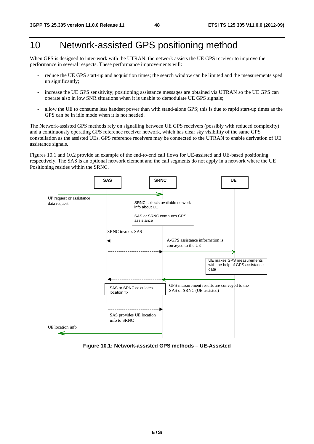# 10 Network-assisted GPS positioning method

When GPS is designed to inter-work with the UTRAN, the network assists the UE GPS receiver to improve the performance in several respects. These performance improvements will:

- reduce the UE GPS start-up and acquisition times; the search window can be limited and the measurements sped up significantly;
- increase the UE GPS sensitivity; positioning assistance messages are obtained via UTRAN so the UE GPS can operate also in low SNR situations when it is unable to demodulate UE GPS signals;
- allow the UE to consume less handset power than with stand-alone GPS; this is due to rapid start-up times as the GPS can be in idle mode when it is not needed.

The Network-assisted GPS methods rely on signalling between UE GPS receivers (possibly with reduced complexity) and a continuously operating GPS reference receiver network, which has clear sky visibility of the same GPS constellation as the assisted UEs. GPS reference receivers may be connected to the UTRAN to enable derivation of UE assistance signals.

Figures 10.1 and 10.2 provide an example of the end-to-end call flows for UE-assisted and UE-based positioning respectively. The SAS is an optional network element and the call segments do not apply in a network where the UE Positioning resides within the SRNC.



**Figure 10.1: Network-assisted GPS methods – UE-Assisted**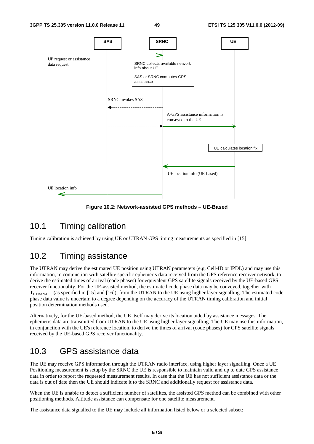

**Figure 10.2: Network-assisted GPS methods – UE-Based** 

## 10.1 Timing calibration

Timing calibration is achieved by using UE or UTRAN GPS timing measurements as specified in [15].

## 10.2 Timing assistance

The UTRAN may derive the estimated UE position using UTRAN parameters (e.g. Cell-ID or IPDL) and may use this information, in conjunction with satellite specific ephemeris data received from the GPS reference receiver network, to derive the estimated times of arrival (code phases) for equivalent GPS satellite signals received by the UE-based GPS receiver functionality. For the UE-assisted method, the estimated code phase data may be conveyed, together with  $T_{\text{UTFAN-GPS}}$  (as specified in [15] and [16]), from the UTRAN to the UE using higher layer signalling. The estimated code phase data value is uncertain to a degree depending on the accuracy of the UTRAN timing calibration and initial position determination methods used.

Alternatively, for the UE-based method, the UE itself may derive its location aided by assistance messages. The ephemeris data are transmitted from UTRAN to the UE using higher layer signalling. The UE may use this information, in conjunction with the UE's reference location, to derive the times of arrival (code phases) for GPS satellite signals received by the UE-based GPS receiver functionality.

## 10.3 GPS assistance data

The UE may receive GPS information through the UTRAN radio interface, using higher layer signalling. Once a UE Positioning measurement is setup by the SRNC the UE is responsible to maintain valid and up to date GPS assistance data in order to report the requested measurement results. In case that the UE has not sufficient assistance data or the data is out of date then the UE should indicate it to the SRNC and additionally request for assistance data.

When the UE is unable to detect a sufficient number of satellites, the assisted GPS method can be combined with other positioning methods. Altitude assistance can compensate for one satellite measurement.

The assistance data signalled to the UE may include all information listed below or a selected subset: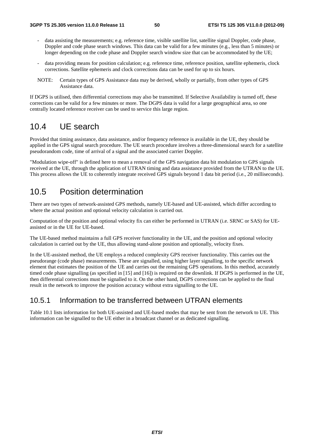- data assisting the measurements; e.g. reference time, visible satellite list, satellite signal Doppler, code phase, Doppler and code phase search windows. This data can be valid for a few minutes (e.g., less than 5 minutes) or longer depending on the code phase and Doppler search window size that can be accommodated by the UE;
- data providing means for position calculation; e.g. reference time, reference position, satellite ephemeris, clock corrections. Satellite ephemeris and clock corrections data can be used for up to six hours.
- NOTE: Certain types of GPS Assistance data may be derived, wholly or partially, from other types of GPS Assistance data.

If DGPS is utilised, then differential corrections may also be transmitted. If Selective Availability is turned off, these corrections can be valid for a few minutes or more. The DGPS data is valid for a large geographical area, so one centrally located reference receiver can be used to service this large region.

## 10.4 UE search

Provided that timing assistance, data assistance, and/or frequency reference is available in the UE, they should be applied in the GPS signal search procedure. The UE search procedure involves a three-dimensional search for a satellite pseudorandom code, time of arrival of a signal and the associated carrier Doppler.

"Modulation wipe-off" is defined here to mean a removal of the GPS navigation data bit modulation to GPS signals received at the UE, through the application of UTRAN timing and data assistance provided from the UTRAN to the UE. This process allows the UE to coherently integrate received GPS signals beyond 1 data bit period (i.e., 20 milliseconds).

## 10.5 Position determination

There are two types of network-assisted GPS methods, namely UE-based and UE-assisted, which differ according to where the actual position and optional velocity calculation is carried out.

Computation of the position and optional velocity fix can either be performed in UTRAN (i.e. SRNC or SAS) for UEassisted or in the UE for UE-based.

The UE-based method maintains a full GPS receiver functionality in the UE, and the position and optional velocity calculation is carried out by the UE, thus allowing stand-alone position and optionally, velocity fixes.

In the UE-assisted method, the UE employs a reduced complexity GPS receiver functionality. This carries out the pseudorange (code phase) measurements. These are signalled, using higher layer signalling, to the specific network element that estimates the position of the UE and carries out the remaining GPS operations. In this method, accurately timed code phase signalling (as specified in [15] and [16]) is required on the downlink. If DGPS is performed in the UE, then differential corrections must be signalled to it. On the other hand, DGPS corrections can be applied to the final result in the network to improve the position accuracy without extra signalling to the UE.

### 10.5.1 Information to be transferred between UTRAN elements

Table 10.1 lists information for both UE-assisted and UE-based modes that may be sent from the network to UE. This information can be signalled to the UE either in a broadcast channel or as dedicated signalling.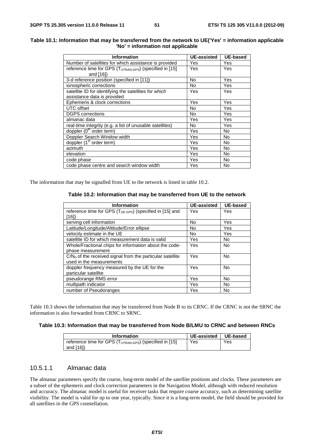| Table 10.1: Information that may be transferred from the network to UE('Yes' = information applicable |  |
|-------------------------------------------------------------------------------------------------------|--|
| $'No' = information not applicable$                                                                   |  |
|                                                                                                       |  |

| <b>Information</b>                                                  | <b>UE-assisted</b> | <b>UE-based</b> |
|---------------------------------------------------------------------|--------------------|-----------------|
| Number of satellites for which assistance is provided               | Yes                | Yes             |
| reference time for GPS (T <sub>UTRAN-GPS</sub> ) (specified in [15] | Yes                | Yes             |
| and $[16]$                                                          |                    |                 |
| 3-d reference position (specified in [11])                          | No                 | Yes             |
| ionospheric corrections                                             | No                 | Yes             |
| satellite ID for identifying the satellites for which               | Yes                | Yes             |
| assistance data is provided                                         |                    |                 |
| Ephemeris & clock corrections                                       | Yes                | Yes             |
| <b>UTC</b> offset                                                   | No                 | Yes             |
| <b>DGPS</b> corrections                                             | No.                | Yes             |
| almanac data                                                        | Yes                | Yes             |
| real-time integrity (e.g. a list of unusable satellites)            | No                 | Yes             |
| doppler (0 <sup>th</sup> order term)                                | Yes                | N <sub>o</sub>  |
| Doppler Search Window width                                         | Yes                | <b>No</b>       |
| doppler (1 <sup>st</sup> order term)                                | Yes                | No              |
| azimuth                                                             | Yes                | No              |
| elevation                                                           | Yes                | No              |
| code phase                                                          | Yes                | <b>No</b>       |
| code phase centre and search window width                           | Yes                | No              |

The information that may be signalled from UE to the network is listed in table 10.2.

**Table 10.2: Information that may be transferred from UE to the network** 

| <b>Information</b>                                                  | <b>UE-assisted</b> | <b>UE-based</b> |
|---------------------------------------------------------------------|--------------------|-----------------|
| reference time for GPS $(T_{UE\text{-}GPS})$ (specified in [15] and | Yes                | Yes             |
| [16])                                                               |                    |                 |
| serving cell information                                            | No                 | Yes             |
| Latitude/Longitude/Altitude/Error ellipse                           | No                 | Yes             |
| velocity estimate in the UE                                         | No.                | Yes             |
| satellite ID for which measurement data is valid                    | Yes                | <b>No</b>       |
| Whole/Fractional chips for information about the code-              | Yes                | <b>No</b>       |
| phase measurement                                                   |                    |                 |
| $C/N0$ of the received signal from the particular satellite         | Yes                | <b>No</b>       |
| used in the measurements                                            |                    |                 |
| doppler frequency measured by the UE for the                        | Yes                | <b>No</b>       |
| particular satellite                                                |                    |                 |
| pseudorange RMS error                                               | Yes                | <b>No</b>       |
| multipath indicator                                                 | Yes                | <b>No</b>       |
| number of Pseudoranges                                              | Yes                | No              |

Table 10.3 shows the information that may be transferred from Node B to its CRNC. If the CRNC is not the SRNC the information is also forwarded from CRNC to SRNC.

#### **Table 10.3: Information that may be transferred from Node B/LMU to CRNC and between RNCs**

| <b>Information</b>                                                                | <b>UE-assisted</b> | UE-based |
|-----------------------------------------------------------------------------------|--------------------|----------|
| reference time for GPS (T <sub>UTRAN-GPS</sub> ) (specified in [15]<br>and $[16]$ | Yes                | Yes      |

#### 10.5.1.1 Almanac data

The almanac parameters specify the coarse, long-term model of the satellite positions and clocks. These parameters are a subset of the ephemeris and clock correction parameters in the Navigation Model, although with reduced resolution and accuracy. The almanac model is useful for receiver tasks that require coarse accuracy, such as determining satellite visibility. The model is valid for up to one year, typically. Since it is a long-term model, the field should be provided for all satellites in the GPS constellation.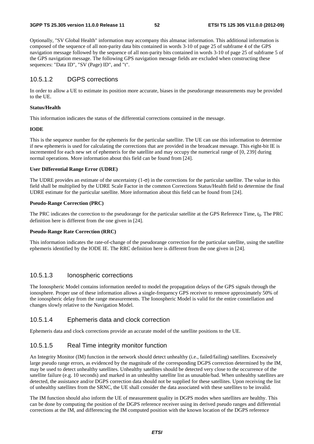Optionally, "SV Global Health" information may accompany this almanac information. This additional information is composed of the sequence of all non-parity data bits contained in words 3-10 of page 25 of subframe 4 of the GPS navigation message followed by the sequence of all non-parity bits contained in words 3-10 of page 25 of subframe 5 of the GPS navigation message. The following GPS navigation message fields are excluded when constructing these sequences: "Data ID", "SV (Page) ID", and "t".

### 10.5.1.2 DGPS corrections

In order to allow a UE to estimate its position more accurate, biases in the pseudorange measurements may be provided to the UE.

#### **Status/Health**

This information indicates the status of the differential corrections contained in the message.

#### **IODE**

This is the sequence number for the ephemeris for the particular satellite. The UE can use this information to determine if new ephemeris is used for calculating the corrections that are provided in the broadcast message. This eight-bit IE is incremented for each new set of ephemeris for the satellite and may occupy the numerical range of [0, 239] during normal operations. More information about this field can be found from [24].

#### **User Differential Range Error (UDRE)**

The UDRE provides an estimate of the uncertainty  $(1-\sigma)$  in the corrections for the particular satellite. The value in this field shall be multiplied by the UDRE Scale Factor in the common Corrections Status/Health field to determine the final UDRE estimate for the particular satellite. More information about this field can be found from [24].

#### **Pseudo-Range Correction (PRC)**

The PRC indicates the correction to the pseudorange for the particular satellite at the GPS Reference Time, *t*0. The PRC definition here is different from the one given in [24].

#### **Pseudo-Range Rate Correction (RRC)**

This information indicates the rate-of-change of the pseudorange correction for the particular satellite, using the satellite ephemeris identified by the IODE IE. The RRC definition here is different from the one given in [24].

#### 10.5.1.3 Ionospheric corrections

The Ionospheric Model contains information needed to model the propagation delays of the GPS signals through the ionosphere. Proper use of these information allows a single-frequency GPS receiver to remove approximately 50% of the ionospheric delay from the range measurements. The Ionospheric Model is valid for the entire constellation and changes slowly relative to the Navigation Model.

#### 10.5.1.4 Ephemeris data and clock correction

Ephemeris data and clock corrections provide an accurate model of the satellite positions to the UE.

### 10.5.1.5 Real Time integrity monitor function

An Integrity Monitor (IM) function in the network should detect unhealthy (i.e., failed/failing) satellites. Excessively large pseudo range errors, as evidenced by the magnitude of the corresponding DGPS correction determined by the IM, may be used to detect unhealthy satellites. Unhealthy satellites should be detected very close to the occurrence of the satellite failure (e.g. 10 seconds) and marked in an unhealthy satellite list as unusable/bad. When unhealthy satellites are detected, the assistance and/or DGPS correction data should not be supplied for these satellites. Upon receiving the list of unhealthy satellites from the SRNC, the UE shall consider the data associated with these satellites to be invalid.

The IM function should also inform the UE of measurement quality in DGPS modes when satellites are healthy. This can be done by computing the position of the DGPS reference receiver using its derived pseudo ranges and differential corrections at the IM, and differencing the IM computed position with the known location of the DGPS reference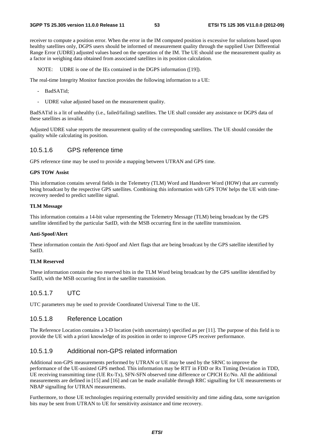receiver to compute a position error. When the error in the IM computed position is excessive for solutions based upon healthy satellites only, DGPS users should be informed of measurement quality through the supplied User Differential Range Error (UDRE) adjusted values based on the operation of the IM. The UE should use the measurement quality as a factor in weighing data obtained from associated satellites in its position calculation.

NOTE: UDRE is one of the IEs contained in the DGPS information ([19]).

The real-time Integrity Monitor function provides the following information to a UE:

- BadSATid;
- UDRE value adjusted based on the measurement quality.

BadSATid is a lit of unhealthy (i.e., failed/failing) satellites. The UE shall consider any assistance or DGPS data of these satellites as invalid.

Adjusted UDRE value reports the measurement quality of the corresponding satellites. The UE should consider the quality while calculating its position.

#### 10.5.1.6 GPS reference time

GPS reference time may be used to provide a mapping between UTRAN and GPS time.

#### **GPS TOW Assist**

This information contains several fields in the Telemetry (TLM) Word and Handover Word (HOW) that are currently being broadcast by the respective GPS satellites. Combining this information with GPS TOW helps the UE with timerecovery needed to predict satellite signal.

#### **TLM Message**

This information contains a 14-bit value representing the Telemetry Message (TLM) being broadcast by the GPS satellite identified by the particular SatID, with the MSB occurring first in the satellite transmission.

#### **Anti-Spoof/Alert**

These information contain the Anti-Spoof and Alert flags that are being broadcast by the GPS satellite identified by SatID.

#### **TLM Reserved**

These information contain the two reserved bits in the TLM Word being broadcast by the GPS satellite identified by SatID, with the MSB occurring first in the satellite transmission.

#### 10.5.1.7 UTC

UTC parameters may be used to provide Coordinated Universal Time to the UE.

#### 10.5.1.8 Reference Location

The Reference Location contains a 3-D location (with uncertainty) specified as per [11]. The purpose of this field is to provide the UE with a priori knowledge of its position in order to improve GPS receiver performance.

#### 10.5.1.9 Additional non-GPS related information

Additional non-GPS measurements performed by UTRAN or UE may be used by the SRNC to improve the performance of the UE-assisted GPS method. This information may be RTT in FDD or Rx Timing Deviation in TDD, UE receiving transmitting time (UE Rx-Tx), SFN-SFN observed time difference or CPICH Ec/No. All the additional measurements are defined in [15] and [16] and can be made available through RRC signalling for UE measurements or NBAP signalling for UTRAN measurements.

Furthermore, to those UE technologies requiring externally provided sensitivity and time aiding data, some navigation bits may be sent from UTRAN to UE for sensitivity assistance and time recovery.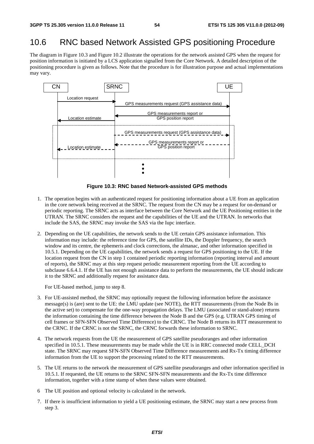### 10.6 RNC based Network Assisted GPS positioning Procedure

The diagram in Figure 10.3 and Figure 10.2 illustrate the operations for the network assisted GPS when the request for position information is initiated by a LCS application signalled from the Core Network. A detailed description of the positioning procedure is given as follows. Note that the procedure is for illustration purpose and actual implementations may vary.



**Figure 10.3: RNC based Network-assisted GPS methods** 

- 1. The operation begins with an authenticated request for positioning information about a UE from an application in the core network being received at the SRNC. The request from the CN may be a request for on-demand or periodic reporting. The SRNC acts as interface between the Core Network and the UE Positioning entities in the UTRAN. The SRNC considers the request and the capabilities of the UE and the UTRAN. In networks that include the SAS, the SRNC may invoke the SAS via the Iupc interface.
- 2. Depending on the UE capabilities, the network sends to the UE certain GPS assistance information. This information may include: the reference time for GPS, the satellite IDs, the Doppler frequency, the search window and its centre, the ephemeris and clock corrections, the almanac, and other information specified in 10.5.1. Depending on the UE capabilities, the network sends a request for GPS positioning to the UE. If the location request from the CN in step 1 contained periodic reporting information (reporting interval and amount of reports), the SRNC may at this step request periodic measurement reporting from the UE according to subclause 6.6.4.1. If the UE has not enough assistance data to perform the measurements, the UE should indicate it to the SRNC and additionally request for assistance data.

For UE-based method, jump to step 8.

- 3. For UE-assisted method, the SRNC may optionally request the following information before the assistance message(s) is (are) sent to the UE: the LMU update (see NOTE), the RTT measurements (from the Node Bs in the active set) to compensate for the one-way propagation delays. The LMU (associated or stand-alone) returns the information containing the time difference between the Node B and the GPS (e.g. UTRAN GPS timing of cell frames or SFN-SFN Observed Time Difference) to the CRNC. The Node B returns its RTT measurement to the CRNC. If the CRNC is not the SRNC, the CRNC forwards these information to SRNC.
- 4. The network requests from the UE the measurement of GPS satellite pseudoranges and other information specified in 10.5.1. These measurements may be made while the UE is in RRC connected mode CELL DCH state. The SRNC may request SFN-SFN Observed Time Difference measurements and Rx-Tx timing difference information from the UE to support the processing related to the RTT measurements.
- 5. The UE returns to the network the measurement of GPS satellite pseudoranges and other information specified in 10.5.1. If requested, the UE returns to the SRNC SFN-SFN measurements and the Rx-Tx time difference information, together with a time stamp of when these values were obtained.
- 6 The UE position and optional velocity is calculated in the network.
- 7. If there is insufficient information to yield a UE positioning estimate, the SRNC may start a new process from step 3.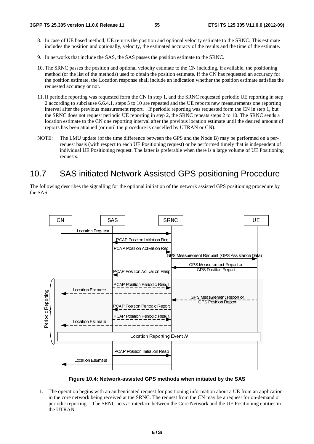- 8. In case of UE based method, UE returns the position and optional velocity estimate to the SRNC. This estimate includes the position and optionally, velocity, the estimated accuracy of the results and the time of the estimate.
- 9. In networks that include the SAS, the SAS passes the position estimate to the SRNC.
- 10. The SRNC passes the position and optional velocity estimate to the CN including, if available, the positioning method (or the list of the methods) used to obtain the position estimate. If the CN has requested an accuracy for the position estimate, the Location response shall include an indication whether the position estimate satisfies the requested accuracy or not.
- 11. If periodic reporting was requested form the CN in step 1, and the SRNC requested periodic UE reporting in step 2 according to subclause 6.6.4.1, steps 5 to 10 are repeated and the UE reports new measurements one reporting interval after the previous measurement report. If periodic reporting was requested form the CN in step 1, but the SRNC does not request periodic UE reporting in step 2, the SRNC repeats steps 2 to 10. The SRNC sends a location estimate to the CN one reporting interval after the previous location estimate until the desired amount of reports has been attained (or until the procedure is cancelled by UTRAN or CN).
- NOTE: The LMU update (of the time difference between the GPS and the Node B) may be performed on a perrequest basis (with respect to each UE Positioning request) or be performed timely that is independent of individual UE Positioning request. The latter is preferable when there is a large volume of UE Positioning requests.

## 10.7 SAS initiated Network Assisted GPS positioning Procedure

The following describes the signalling for the optional initiation of the network assisted GPS positioning procedure by the SAS.



**Figure 10.4: Network-assisted GPS methods when initiated by the SAS** 

**Price Assisted GPS meth**<br>
uthenticated request for poved at the SRNC. The req<br>
l'acts as interface between<br>
ETSI **Example 10.4: Net**<br>gure 10.4: Net<br>etwork being re<br>orting. The SR 1. The operation begins with an authenticated request for positioning information about a UE from an application in the core network being received at the SRNC. The request from the CN may be a request for on-demand or periodic reporting. The SRNC acts as interface between the Core Network and the UE Positioning entities in the UTRAN.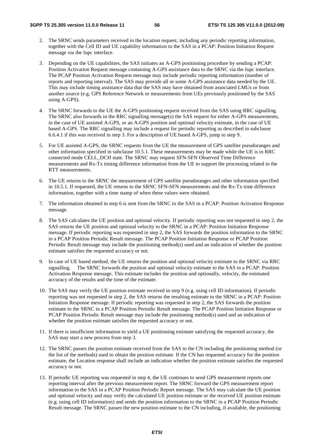- 2. The SRNC sends parameters received in the location request, including any periodic reporting information, together with the Cell ID and UE capability information to the SAS in a PCAP: Position Initiation Request message via the Iupc interface.
- 3. Depending on the UE capabilities, the SAS initiates an A-GPS positioning procedure by sending a PCAP: Position Activation Request message containing A-GPS assistance data to the SRNC via the Iupc interface. The PCAP Position Activation Request message may include periodic reporting information (number of reports and reporting interval). The SAS may provide all or some A-GPS assistance data needed by the UE. This may include timing assistance data that the SAS may have obtained from associated LMUs or from another source (e.g. GPS Reference Network or measurements from UEs previously positioned by the SAS using A-GPS).
- 4. The SRNC forwards to the UE the A-GPS positioning request received from the SAS using RRC signalling. The SRNC also forwards in the RRC signalling message(s) the SAS request for either A-GPS measurements, in the case of UE assisted A-GPS, or an A-GPS position and optional velocity estimate, in the case of UE based A-GPS. The RRC signalling may include a request for periodic reporting as described in subclause 6.6.4.1 if this was received in step 3. For a description of UE based A-GPS, jump to step 9.
- 5. For UE assisted A-GPS, the SRNC requests from the UE the measurement of GPS satellite pseudoranges and other information specified in subclause 10.5.1. These measurements may be made while the UE is in RRC connected mode CELL\_DCH state. The SRNC may request SFN-SFN Observed Time Difference measurements and Rx-Tx timing difference information from the UE to support the processing related to the RTT measurements.
- 6. The UE returns to the SRNC the measurement of GPS satellite pseudoranges and other information specified in 10.5.1. If requested, the UE returns to the SRNC SFN-SFN measurements and the Rx-Tx time difference information, together with a time stamp of when these values were obtained.
- 7. The information obtained in step 6 is sent from the SRNC to the SAS in a PCAP: Position Activation Response message.
- 8. The SAS calculates the UE position and optional velocity. If periodic reporting was not requested in step 2, the SAS returns the UE position and optional velocity to the SRNC in a PCAP: Position Initiation Response message. If periodic reporting was requested in step 2, the SAS forwards the position information to the SRNC in a PCAP Position Periodic Result message. The PCAP Position Initiation Response or PCAP Position Periodic Result message may include the positioning method(s) used and an indication of whether the position estimate satisfies the requested accuracy or not.
- 9. In case of UE based method, the UE returns the position and optional velocity estimate to the SRNC via RRC signalling. The SRNC forwards the position and optional velocity estimate to the SAS in a PCAP: Position Activation Response message. This estimate includes the position and optionally, velocity, the estimated accuracy of the results and the time of the estimate.
- 10. The SAS may verify the UE position estimate received in step 9 (e.g. using cell ID information). If periodic reporting was not requested in step 2, the SAS returns the resulting estimate to the SRNC in a PCAP: Position Initiation Response message. If periodic reporting was requested in step 2, the SAS forwards the position estimate to the SRNC in a PCAP Position Periodic Result message. The PCAP Position Initiation Response or PCAP Position Periodic Result message may include the positioning method(s) used and an indication of whether the position estimate satisfies the requested accuracy or not.
- 11. If there is insufficient information to yield a UE positioning estimate satisfying the requested accuracy, the SAS may start a new process from step 3.
- 12. The SRNC passes the position estimate received from the SAS to the CN including the positioning method (or the list of the methods) used to obtain the position estimate. If the CN has requested accuracy for the position estimate, the Location response shall include an indication whether the position estimate satisfies the requested accuracy or not.
- 13. If periodic UE reporting was requested in step 4, the UE continues to send GPS measurement reports one reporting interval after the previous measurement report. The SRNC forward the GPS measurement report information to the SAS in a PCAP Position Periodic Report message. The SAS may calculate the UE position and optional velocity and may verify the calculated UE position estimate or the received UE position estimate (e.g. using cell ID information) and sends the position information to the SRNC in a PCAP Position Periodic Result message. The SRNC passes the new position estimate to the CN including, if available, the positioning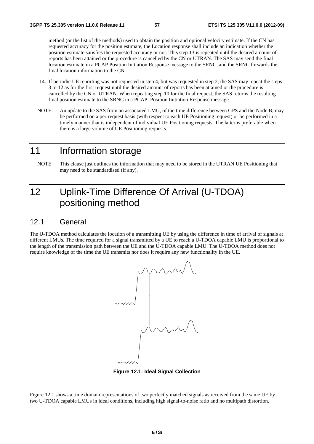method (or the list of the methods) used to obtain the position and optional velocity estimate. If the CN has requested accuracy for the position estimate, the Location response shall include an indication whether the position estimate satisfies the requested accuracy or not. This step 13 is repeated until the desired amount of reports has been attained or the procedure is cancelled by the CN or UTRAN. The SAS may send the final location estimate in a PCAP Position Initiation Response message to the SRNC, and the SRNC forwards the final location information to the CN.

- 14. If periodic UE reporting was not requested in step 4, but was requested in step 2, the SAS may repeat the steps 3 to 12 as for the first request until the desired amount of reports has been attained or the procedure is cancelled by the CN or UTRAN. When repeating step 10 for the final request, the SAS returns the resulting final position estimate to the SRNC in a PCAP: Position Initiation Response message.
- NOTE: An update to the SAS from an associated LMU, of the time difference between GPS and the Node B, may be performed on a per-request basis (with respect to each UE Positioning request) or be performed in a timely manner that is independent of individual UE Positioning requests. The latter is preferable when there is a large volume of UE Positioning requests.

# 11 Information storage

NOTE This clause just outlines the information that may need to be stored in the UTRAN UE Positioning that may need to be standardised (if any).

# 12 Uplink-Time Difference Of Arrival (U-TDOA) positioning method

#### 12.1 General

The U-TDOA method calculates the location of a transmitting UE by using the difference in time of arrival of signals at different LMUs. The time required for a signal transmitted by a UE to reach a U-TDOA capable LMU is proportional to the length of the transmission path between the UE and the U-TDOA capable LMU. The U-TDOA method does not require knowledge of the time the UE transmits nor does it require any new functionality in the UE.



**Figure 12.1: Ideal Signal Collection** 

Figure 12.1 shows a time domain representations of two perfectly matched signals as received from the same UE by two U-TDOA capable LMUs in ideal conditions, including high signal-to-noise ratio and no multipath distortion.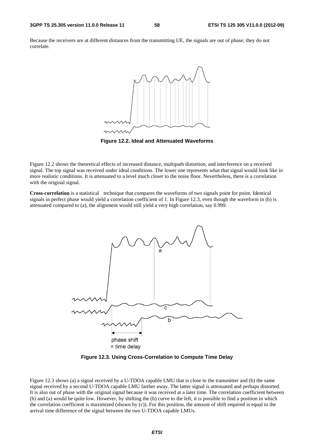Because the receivers are at different distances from the transmitting UE, the signals are out of phase; they do not correlate.



**Figure 12.2. Ideal and Attenuated Waveforms** 

Figure 12.2 shows the theoretical effects of increased distance, multipath distortion, and interference on a received signal. The top signal was received under ideal conditions. The lower one represents what that signal would look like in more realistic conditions. It is attenuated to a level much closer to the noise floor. Nevertheless, there is a correlation with the original signal.

**Cross-correlation** is a statistical technique that compares the waveforms of two signals point for point. Identical signals in perfect phase would yield a correlation coefficient of 1. In Figure 12.3, even though the waveform in (b) is attenuated compared to (a), the alignment would still yield a very high correlation, say 0.999.



**Figure 12.3. Using Cross-Correlation to Compute Time Delay** 

Figure 12.3 shows (a) a signal received by a U-TDOA capable LMU that is close to the transmitter and (b) the same signal received by a second U-TDOA capable LMU farther away. The latter signal is attenuated and perhaps distorted. It is also out of phase with the original signal because it was received at a later time. The correlation coefficient between (b) and (a) would be quite low. However, by shifting the (b) curve to the left, it is possible to find a position in which the correlation coefficient is maximized (shown by (c)). For this position, the amount of shift required is equal to the arrival time difference of the signal between the two U-TDOA capable LMUs.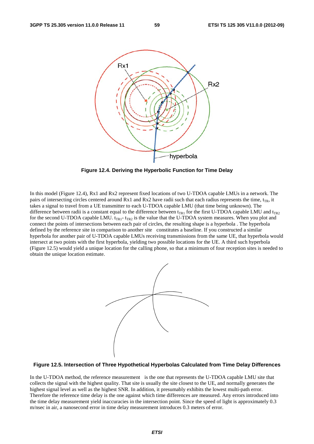

**Figure 12.4. Deriving the Hyperbolic Function for Time Delay** 

In this model (Figure 12.4), Rx1 and Rx2 represent fixed locations of two U-TDOA capable LMUs in a network. The pairs of intersecting circles centered around Rx1 and Rx2 have radii such that each radius represents the time,  $t_{\text{TP}}$ , it takes a signal to travel from a UE transmitter to each U-TDOA capable LMU (that time being unknown). The difference between radii is a constant equal to the difference between  $t_{TR1}$  for the first U-TDOA capable LMU and  $t_{TR2}$ for the second U-TDOA capable LMU.  $t_{TR1}$ -  $t_{TR2}$  is the value that the U-TDOA system measures. When you plot and connect the points of intersections between each pair of circles, the resulting shape is a hyperbola . The hyperbola defined by the reference site in comparison to another site constitutes a baseline. If you constructed a similar hyperbola for another pair of U-TDOA capable LMUs receiving transmissions from the same UE, that hyperbola would intersect at two points with the first hyperbola, yielding two possible locations for the UE. A third such hyperbola (Figure 12.5) would yield a unique location for the calling phone, so that a minimum of four reception sites is needed to obtain the unique location estimate.



#### **Figure 12.5. Intersection of Three Hypothetical Hyperbolas Calculated from Time Delay Differences**

In the U-TDOA method, the reference measurement is the one that represents the U-TDOA capable LMU site that collects the signal with the highest quality. That site is usually the site closest to the UE, and normally generates the highest signal level as well as the highest SNR. In addition, it presumably exhibits the lowest multi-path error. Therefore the reference time delay is the one against which time differences are measured. Any errors introduced into the time delay measurement yield inaccuracies in the intersection point. Since the speed of light is approximately 0.3 m/nsec in air, a nanosecond error in time delay measurement introduces 0.3 meters of error.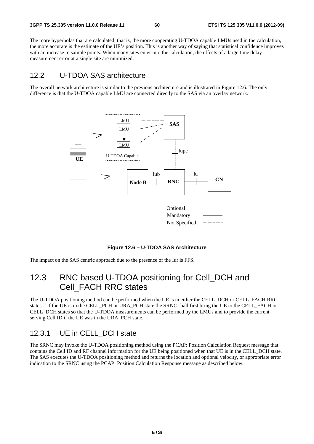The more hyperbolas that are calculated, that is, the more cooperating U-TDOA capable LMUs used in the calculation, the more accurate is the estimate of the UE's position. This is another way of saying that statistical confidence improves with an increase in sample points. When many sites enter into the calculation, the effects of a large time delay measurement error at a single site are minimized.

### 12.2 U-TDOA SAS architecture

The overall network architecture is similar to the previous architecture and is illustrated in Figure 12.6. The only difference is that the U-TDOA capable LMU are connected directly to the SAS via an overlay network.



**Figure 12.6 – U-TDOA SAS Architecture** 

The impact on the SAS centric approach due to the presence of the Iur is FFS.

## 12.3 RNC based U-TDOA positioning for Cell DCH and Cell\_FACH RRC states

The U-TDOA positioning method can be performed when the UE is in either the CELL\_DCH or CELL\_FACH RRC states. If the UE is in the CELL\_PCH or URA\_PCH state the SRNC shall first bring the UE to the CELL\_FACH or CELL\_DCH states so that the U-TDOA measurements can be performed by the LMUs and to provide the current serving Cell ID if the UE was in the URA\_PCH state.

### 12.3.1 UE in CELL\_DCH state

The SRNC may invoke the U-TDOA positioning method using the PCAP: Position Calculation Request message that contains the Cell ID and RF channel information for the UE being positioned when that UE is in the CELL\_DCH state. The SAS executes the U-TDOA positioning method and returns the location and optional velocity, or appropriate error indication to the SRNC using the PCAP: Position Calculation Response message as described below.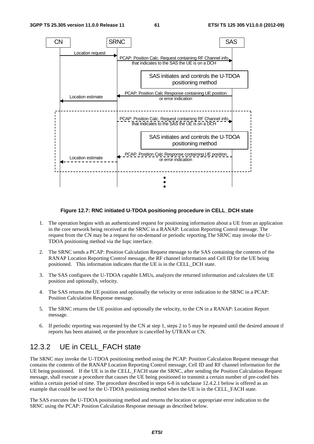

#### **Figure 12.7: RNC initiated U-TDOA positioning procedure in CELL\_DCH state**

- 1. The operation begins with an authenticated request for positioning information about a UE from an application in the core network being received at the SRNC in a RANAP: Location Reporting Conrol message. The request from the CN may be a request for on-demand or periodic reporting.The SRNC may invoke the U-TDOA positioning method via the Iupc interface.
- 2. The SRNC sends a PCAP: Position Calculation Request message to the SAS containing the contents of the RANAP Location Reporting Control message, the RF channel information and Cell ID for the UE being positioned. This information indicates that the UE is in the CELL\_DCH state.
- 3. The SAS configures the U-TDOA capable LMUs, analyzes the returned information and calculates the UE position and optionally, velocity.
- 4. The SAS returns the UE position and optionally the velocity or error indication to the SRNC in a PCAP: Position Calculation Response message.
- 5. The SRNC returns the UE position and optionally the velocity, to the CN in a RANAP: Location Report message.
- 6. If periodic reporting was requested by the CN at step 1, steps 2 to 5 may be repeated until the desired amount if reports has been attained, or the procedure is cancelled by UTRAN or CN.

### 12.3.2 UE in CELL\_FACH state

The SRNC may invoke the U-TDOA positioning method using the PCAP: Position Calculation Request message that contains the contents of the RANAP Location Reporting Control message, Cell ID and RF channel information for the UE being positioned. If the UE is in the CELL\_FACH state the SRNC, after sending the Position Calculation Request message, shall execute a procedure that causes the UE being positioned to transmit a certain number of pre-coded bits within a certain period of time. The procedure described in steps 6-8 in subclause 12.4.2.1 below is offered as an example that could be used for the U-TDOA positioning method when the UE is in the CELL\_FACH state.

The SAS executes the U-TDOA positioning method and returns the location or appropriate error indication to the SRNC using the PCAP: Position Calculation Response message as described below.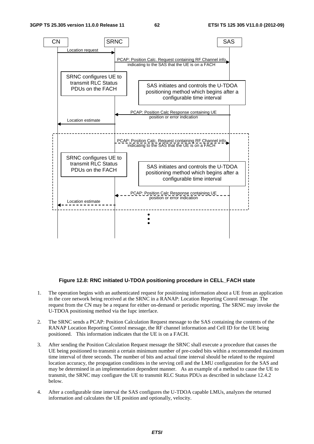

#### **Figure 12.8: RNC initiated U-TDOA positioning procedure in CELL\_FACH state**

- 1. The operation begins with an authenticated request for positioning information about a UE from an application in the core network being received at the SRNC in a RANAP: Location Reporting Conrol message. The request from the CN may be a request for either on-demand or periodic reporting. The SRNC may invoke the U-TDOA positioning method via the Iupc interface.
- 2. The SRNC sends a PCAP: Position Calculation Request message to the SAS containing the contents of the RANAP Location Reporting Control message, the RF channel information and Cell ID for the UE being positioned. This information indicates that the UE is on a FACH.
- 3. After sending the Position Calculation Request message the SRNC shall execute a procedure that causes the UE being positioned to transmit a certain minimum number of pre-coded bits within a recommended maximum time interval of three seconds. The number of bits and actual time interval should be related to the required location accuracy, the propagation conditions in the serving cell and the LMU configuration for the SAS and may be determined in an implementation dependent manner. As an example of a method to cause the UE to transmit, the SRNC may configure the UE to transmit RLC Status PDUs as described in subclause 12.4.2 below.
- 4. After a configurable time interval the SAS configures the U-TDOA capable LMUs, analyzes the returned information and calculates the UE position and optionally, velocity.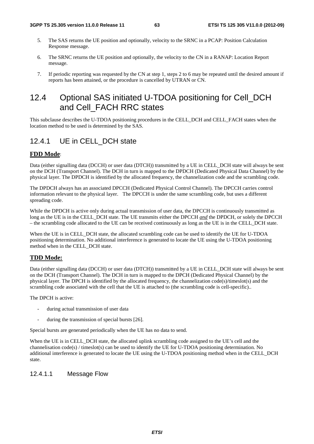- 5. The SAS returns the UE position and optionally, velocity to the SRNC in a PCAP: Position Calculation Response message.
- 6. The SRNC returns the UE position and optionally, the velocity to the CN in a RANAP: Location Report message.
- 7. If periodic reporting was requested by the CN at step 1, steps 2 to 6 may be repeated until the desired amount if reports has been attained, or the procedure is cancelled by UTRAN or CN.

## 12.4 Optional SAS initiated U-TDOA positioning for Cell DCH and Cell\_FACH RRC states

This subclause describes the U-TDOA positioning procedures in the CELL\_DCH and CELL\_FACH states when the location method to be used is determined by the SAS.

### 12.4.1 UE in CELL\_DCH state

#### **FDD Mode**:

Data (either signalling data (DCCH) or user data (DTCH)) transmitted by a UE in CELL\_DCH state will always be sent on the DCH (Transport Channel). The DCH in turn is mapped to the DPDCH (Dedicated Physical Data Channel) by the physical layer. The DPDCH is identified by the allocated frequency, the channelization code and the scrambling code.

The DPDCH always has an associated DPCCH (Dedicated Physical Control Channel). The DPCCH carries control information relevant to the physical layer. The DPCCH is under the same scrambling code, but uses a different spreading code.

While the DPDCH is active only during actual transmission of user data, the DPCCH is continuously transmitted as long as the UE is in the CELL\_DCH state. The UE transmits either the DPCCH *and* the DPDCH, or solely the DPCCH – the scrambling code allocated to the UE can be received continuously as long as the UE is in the CELL\_DCH state.

When the UE is in CELL\_DCH state, the allocated scrambling code can be used to identify the UE for U-TDOA positioning determination. No additional interference is generated to locate the UE using the U-TDOA positioning method when in the CELL\_DCH state.

#### **TDD Mode:**

Data (either signalling data (DCCH) or user data (DTCH)) transmitted by a UE in CELL\_DCH state will always be sent on the DCH (Transport Channel). The DCH in turn is mapped to the DPCH (Dedicated Physical Channel) by the physical layer. The DPCH is identified by the allocated frequency, the channelization code(s)/timeslot(s) and the scrambling code associated with the cell that the UE is attached to (the scrambling code is cell-specific)..

The DPCH is active:

- during actual transmission of user data
- during the transmission of special bursts [26].

Special bursts are generated periodically when the UE has no data to send.

When the UE is in CELL\_DCH state, the allocated uplink scrambling code assigned to the UE's cell and the channelisation code(s) / timeslot(s) can be used to identify the UE for U-TDOA positioning determination. No additional interference is generated to locate the UE using the U-TDOA positioning method when in the CELL\_DCH state.

#### 12.4.1.1 Message Flow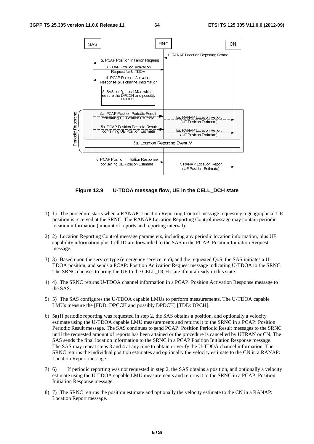

**Figure 12.9 U-TDOA message flow, UE in the CELL\_DCH state** 

- 1) 1) The procedure starts when a RANAP: Location Reporting Control message requesting a geographical UE position is received at the SRNC. The RANAP Location Reporting Control message may contain periodic location information (amount of reports and reporting interval).
- 2) 2) Location Reporting Control message parameters, including any periodic location information, plus UE capability information plus Cell ID are forwarded to the SAS in the PCAP: Position Initiation Request message.
- 3) 3) Based upon the service type (emergency service, etc), and the requested QoS, the SAS initiates a U-TDOA position, and sends a PCAP: Position Activation Request message indicating U-TDOA to the SRNC. The SRNC chooses to bring the UE to the CELL\_DCH state if not already in this state.
- 4) 4) The SRNC returns U-TDOA channel information in a PCAP: Position Activation Response message to the SAS.
- 5) 5) The SAS configures the U-TDOA capable LMUs to perform measurements. The U-TDOA capable LMUs measure the [FDD: DPCCH and possibly DPDCH] [TDD: DPCH].
- line of the contract of the contract of the contract of the contract of the contract of the contract of the contract of the contract of the contract of the contract of the contract of the contract of the contract of the co containing UE Position Estimate<br>
9 U-TDOA message flow, U<br>
8 when a RANAP: Location Reporti<br>
the SRNC. The RANAP Location Report<br>
mount of reports and reporting inter<br>
Control message parameters, include<br>
plus Cell ID are t continue to a substantial discussion of the continue of the continue of the continue of the continue of the continue of the continue of the continue of the continue of the continue of the continue of the continue of the 6) 5a) If periodic reporting was requested in step 2, the SAS obtains a position, and optionally a velocity estimate using the U-TDOA capable LMU measurements and returns it to the SRNC in a PCAP: Position Periodic Result message. The SAS continues to send PCAP: Position Periodic Result messages to the SRNC until the requested amount of reports has been attained or the procedure is cancelled by UTRAN or CN. The SAS sends the final location information to the SRNC in a PCAP Position Initiation Response message. The SAS may repeat steps 3 and 4 at any time to obtain or verify the U-TDOA channel information. The SRNC returns the individual position estimates and optionally the velocity estimate to the CN in a RANAP: Location Report message.
- 7) 6) If periodic reporting was not requested in step 2, the SAS obtains a position, and optionally a velocity estimate using the U-TDOA capable LMU measurements and returns it to the SRNC in a PCAP: Position Initiation Response message.
- 8) 7) The SRNC returns the position estimate and optionally the velocity estimate to the CN in a RANAP: Location Report message.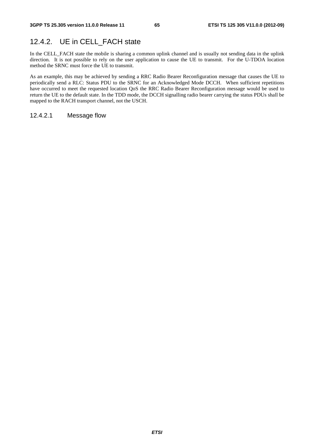## 12.4.2. UE in CELL\_FACH state

In the CELL\_FACH state the mobile is sharing a common uplink channel and is usually not sending data in the uplink direction. It is not possible to rely on the user application to cause the UE to transmit. For the U-TDOA location method the SRNC must force the UE to transmit.

As an example, this may be achieved by sending a RRC Radio Bearer Reconfiguration message that causes the UE to periodically send a RLC: Status PDU to the SRNC for an Acknowledged Mode DCCH. When sufficient repetitions have occurred to meet the requested location QoS the RRC Radio Bearer Reconfiguration message would be used to return the UE to the default state. In the TDD mode, the DCCH signalling radio bearer carrying the status PDUs shall be mapped to the RACH transport channel, not the USCH.

#### 12.4.2.1 Message flow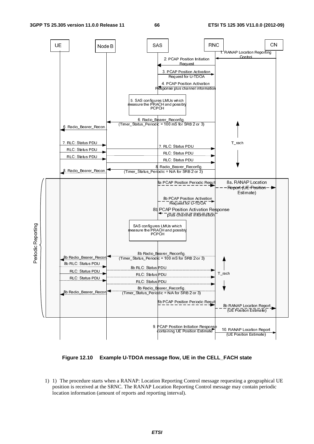

**Figure 12.10 Example U-TDOA message flow, UE in the CELL\_FACH state** 

 $\frac{1}{2}$  $\frac{1}{2}$ 1) 1) The procedure starts when a RANAP: Location Reporting Control message requesting a geographical UE position is received at the SRNC. The RANAP Location Reporting Control message may contain periodic location information (amount of reports and reporting interval).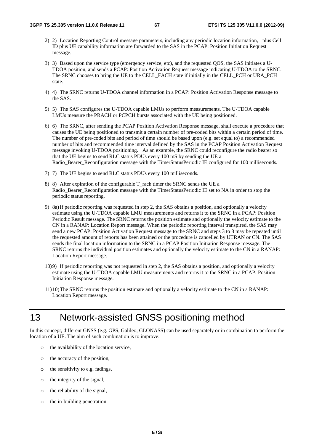- 2) 2) Location Reporting Control message parameters, including any periodic location information, plus Cell ID plus UE capability information are forwarded to the SAS in the PCAP: Position Initiation Request message.
- 3) 3) Based upon the service type (emergency service, etc), and the requested QOS, the SAS initiates a U-TDOA position, and sends a PCAP: Position Activation Request message indicating U-TDOA to the SRNC. The SRNC chooses to bring the UE to the CELL\_FACH state if initially in the CELL\_PCH or URA\_PCH state.
- 4) 4) The SRNC returns U-TDOA channel information in a PCAP: Position Activation Response message to the SAS.
- 5) 5) The SAS configures the U-TDOA capable LMUs to perform measurements. The U-TDOA capable LMUs measure the PRACH or PCPCH bursts associated with the UE being positioned.
- 6) 6) The SRNC, after sending the PCAP Position Activation Response message, shall execute a procedure that causes the UE being positioned to transmit a certain number of pre-coded bits within a certain period of time. The number of pre-coded bits and period of time should be based upon (e.g. set equal to) a recommended number of bits and recommended time interval defined by the SAS in the PCAP Position Activation Request message invoking U-TDOA positioning. As an example, the SRNC could reconfigure the radio bearer so that the UE begins to send RLC status PDUs every 100 mS by sending the UE a Radio\_Bearer\_Reconfiguration message with the TimerStatusPeriodic IE configured for 100 milliseconds.
- 7) 7) The UE begins to send RLC status PDUs every 100 milliseconds.
- 8) 8) After expiration of the configurable T\_rach timer the SRNC sends the UE a Radio Bearer Reconfiguration message with the TimerStatusPeriodic IE set to NA in order to stop the periodic status reporting.
- 9) 8a) If periodic reporting was requested in step 2, the SAS obtains a position, and optionally a velocity estimate using the U-TDOA capable LMU measurements and returns it to the SRNC in a PCAP: Position Periodic Result message. The SRNC returns the position estimate and optionally the velocity estimate to the CN in a RANAP: Location Report message. When the periodic reporting interval transpired, the SAS may send a new PCAP: Position Activation Request message to the SRNC and steps 3 to 8 may be repeated until the requested amount of reports has been attained or the procedure is cancelled by UTRAN or CN. The SAS sends the final location information to the SRNC in a PCAP Position Initiation Response message. The SRNC returns the individual position estimates and optionally the velocity estimate to the CN in a RANAP: Location Report message.
- 10)9) If periodic reporting was not requested in step 2, the SAS obtains a position, and optionally a velocity estimate using the U-TDOA capable LMU measurements and returns it to the SRNC in a PCAP: Position Initiation Response message.
- 11)10) The SRNC returns the position estimate and optionally a velocity estimate to the CN in a RANAP: Location Report message.

# 13 Network-assisted GNSS positioning method

In this concept, different GNSS (e.g. GPS, Galileo, GLONASS) can be used separately or in combination to perform the location of a UE. The aim of such combination is to improve:

- o the availability of the location service,
- o the accuracy of the position,
- o the sensitivity to e.g. fadings,
- o the integrity of the signal,
- o the reliability of the signal,
- o the in-building penetration.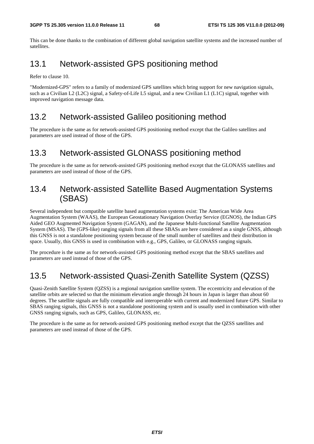This can be done thanks to the combination of different global navigation satellite systems and the increased number of satellites.

## 13.1 Network-assisted GPS positioning method

Refer to clause 10.

"Modernized-GPS" refers to a family of modernized GPS satellites which bring support for new navigation signals, such as a Civilian L2 (L2C) signal, a Safety-of-Life L5 signal, and a new Civilian L1 (L1C) signal, together with improved navigation message data.

### 13.2 Network-assisted Galileo positioning method

The procedure is the same as for network-assisted GPS positioning method except that the Galileo satellites and parameters are used instead of those of the GPS.

### 13.3 Network-assisted GLONASS positioning method

The procedure is the same as for network-assisted GPS positioning method except that the GLONASS satellites and parameters are used instead of those of the GPS.

## 13.4 Network-assisted Satellite Based Augmentation Systems (SBAS)

Several independent but compatible satellite based augmentation systems exist: The American Wide Area Augmentation System (WAAS), the European Geostationary Navigation Overlay Service (EGNOS), the Indian GPS Aided GEO Augmented Navigation System (GAGAN), and the Japanese Multi-functional Satellite Augmentation System (MSAS). The (GPS-like) ranging signals from all these SBASs are here considered as a single GNSS, although this GNSS is not a standalone positioning system because of the small number of satellites and their distribution in space. Usually, this GNSS is used in combination with e.g., GPS, Galileo, or GLONASS ranging signals.

The procedure is the same as for network-assisted GPS positioning method except that the SBAS satellites and parameters are used instead of those of the GPS.

## 13.5 Network-assisted Quasi-Zenith Satellite System (QZSS)

Quasi-Zenith Satellite System (QZSS) is a regional navigation satellite system. The eccentricity and elevation of the satellite orbits are selected so that the minimum elevation angle through 24 hours in Japan is larger than about 60 degrees. The satellite signals are fully compatible and interoperable with current and modernized future GPS. Similar to SBAS ranging signals, this GNSS is not a standalone positioning system and is usually used in combination with other GNSS ranging signals, such as GPS, Galileo, GLONASS, etc.

The procedure is the same as for network-assisted GPS positioning method except that the QZSS satellites and parameters are used instead of those of the GPS.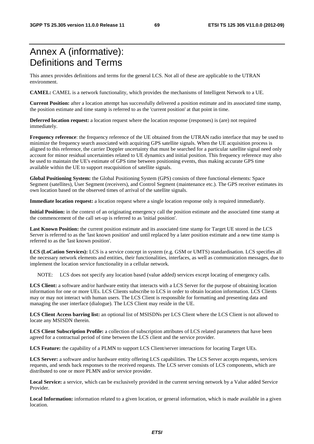# Annex A (informative): Definitions and Terms

This annex provides definitions and terms for the general LCS. Not all of these are applicable to the UTRAN environment.

**CAMEL:** CAMEL is a network functionality, which provides the mechanisms of Intelligent Network to a UE.

**Current Position:** after a location attempt has successfully delivered a position estimate and its associated time stamp, the position estimate and time stamp is referred to as the 'current position' at that point in time.

**Deferred location request:** a location request where the location response (responses) is (are) not required immediately.

**Frequency reference**: the frequency reference of the UE obtained from the UTRAN radio interface that may be used to minimize the frequency search associated with acquiring GPS satellite signals. When the UE acquisition process is aligned to this reference, the carrier Doppler uncertainty that must be searched for a particular satellite signal need only account for minor residual uncertainties related to UE dynamics and initial position. This frequency reference may also be used to maintain the UE's estimate of GPS time between positioning events, thus making accurate GPS time available within the UE to support reacquisition of satellite signals.

**Global Positioning System:** the Global Positioning System (GPS) consists of three functional elements: Space Segment (satellites), User Segment (receivers), and Control Segment (maintenance etc.). The GPS receiver estimates its own location based on the observed times of arrival of the satellite signals.

**Immediate location request:** a location request where a single location response only is required immediately.

**Initial Position:** in the context of an originating emergency call the position estimate and the associated time stamp at the commencement of the call set-up is referred to as 'initial position'.

**Last Known Position:** the current position estimate and its associated time stamp for Target UE stored in the LCS Server is referred to as the 'last known position' and until replaced by a later position estimate and a new time stamp is referred to as the 'last known position'.

**LCS (LoCation Services):** LCS is a service concept in system (e.g. GSM or UMTS) standardisation. LCS specifies all the necessary network elements and entities, their functionalities, interfaces, as well as communication messages, due to implement the location service functionality in a cellular network.

NOTE: LCS does not specify any location based (value added) services except locating of emergency calls.

**LCS Client:** a software and/or hardware entity that interacts with a LCS Server for the purpose of obtaining location information for one or more UEs. LCS Clients subscribe to LCS in order to obtain location information. LCS Clients may or may not interact with human users. The LCS Client is responsible for formatting and presenting data and managing the user interface (dialogue). The LCS Client may reside in the UE.

**LCS Client Access barring list:** an optional list of MSISDNs per LCS Client where the LCS Client is not allowed to locate any MSISDN therein.

**LCS Client Subscription Profile:** a collection of subscription attributes of LCS related parameters that have been agreed for a contractual period of time between the LCS client and the service provider.

**LCS Feature:** the capability of a PLMN to support LCS Client/server interactions for locating Target UEs.

**LCS Server:** a software and/or hardware entity offering LCS capabilities. The LCS Server accepts requests, services requests, and sends back responses to the received requests. The LCS server consists of LCS components, which are distributed to one or more PLMN and/or service provider.

**Local Service:** a service, which can be exclusively provided in the current serving network by a Value added Service Provider.

Local Information: information related to a given location, or general information, which is made available in a given location.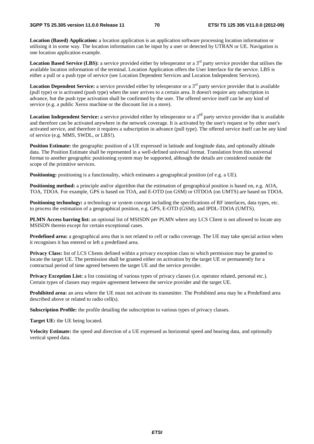**Location (Based) Application:** a location application is an application software processing location information or utilising it in some way. The location information can be input by a user or detected by UTRAN or UE. Navigation is one location application example.

**Location Based Service (LBS):** a service provided either by teleoperator or a  $3<sup>rd</sup>$  party service provider that utilises the available location information of the terminal. Location Application offers the User Interface for the service. LBS is either a pull or a push type of service (see Location Dependent Services and Location Independent Services).

**Location Dependent Service:** a service provided either by teleoperator or a 3<sup>rd</sup> party service provider that is available (pull type) or is activated (push type) when the user arrives to a certain area. It doesn't require any subscription in advance, but the push type activation shall be confirmed by the user. The offered service itself can be any kind of service (e.g. a public Xerox machine or the discount list in a store).

**Location Independent Service:** a service provided either by teleoperator or a 3<sup>rd</sup> party service provider that is available and therefore can be activated anywhere in the network coverage. It is activated by the user's request or by other user's activated service, and therefore it requires a subscription in advance (pull type). The offered service itself can be any kind of service (e.g. MMS, SWDL, or LBS!).

**Position Estimate:** the geographic position of a UE expressed in latitude and longitude data, and optionally altitude data. The Position Estimate shall be represented in a well-defined universal format. Translation from this universal format to another geographic positioning system may be supported, although the details are considered outside the scope of the primitive services.

**Positioning:** positioning is a functionality, which estimates a geographical position (of e.g. a UE).

**Positioning method:** a principle and/or algorithm that the estimation of geographical position is based on, e.g. AOA, TOA, TDOA. For example, GPS is based on TOA, and E-OTD (on GSM) or OTDOA (on UMTS) are based on TDOA.

**Positioning technology:** a technology or system concept including the specifications of RF interfaces, data types, etc. to process the estimation of a geographical position, e.g. GPS, E-OTD (GSM), and IPDL-TDOA (UMTS).

**PLMN Access barring list:** an optional list of MSISDN per PLMN where any LCS Client is not allowed to locate any MSISDN therein except for certain exceptional cases.

**Predefined area:** a geographical area that is not related to cell or radio coverage. The UE may take special action when it recognises it has entered or left a predefined area.

**Privacy Class:** list of LCS Clients defined within a privacy exception class to which permission may be granted to locate the target UE. The permission shall be granted either on activation by the target UE or permanently for a contractual period of time agreed between the target UE and the service provider.

**Privacy Exception List:** a list consisting of various types of privacy classes (i.e. operator related, personal etc.). Certain types of classes may require agreement between the service provider and the target UE.

**Prohibited area:** an area where the UE must not activate its transmitter. The Prohibited area may be a Predefined area described above or related to radio cell(s).

**Subscription Profile:** the profile detailing the subscription to various types of privacy classes.

**Target UE:** the UE being located.

**Velocity Estimate:** the speed and direction of a UE expressed as horizontal speed and bearing data, and optionally vertical speed data.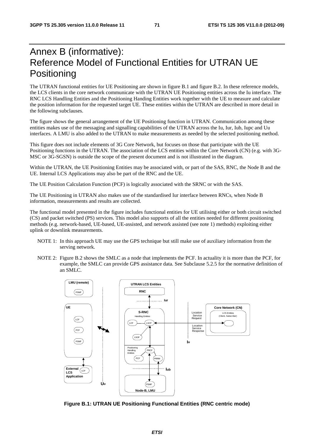# Annex B (informative): Reference Model of Functional Entities for UTRAN UE **Positioning**

The UTRAN functional entities for UE Positioning are shown in figure B.1 and figure B.2. In these reference models, the LCS clients in the core network communicate with the UTRAN UE Positioning entities across the Iu interface. The RNC LCS Handling Entities and the Positioning Handing Entities work together with the UE to measure and calculate the position information for the requested target UE. These entities within the UTRAN are described in more detail in the following subclauses.

The figure shows the general arrangement of the UE Positioning function in UTRAN. Communication among these entities makes use of the messaging and signalling capabilities of the UTRAN across the Iu, Iur, Iub, Iupc and Uu interfaces. A LMU is also added to the UTRAN to make measurements as needed by the selected positioning method.

This figure does not include elements of 3G Core Network, but focuses on those that participate with the UE Positioning functions in the UTRAN. The association of the LCS entities within the Core Network (CN) (e.g. with 3G-MSC or 3G-SGSN) is outside the scope of the present document and is not illustrated in the diagram.

Within the UTRAN, the UE Positioning Entities may be associated with, or part of the SAS, RNC, the Node B and the UE. Internal LCS Applications may also be part of the RNC and the UE.

The UE Position Calculation Function (PCF) is logically associated with the SRNC or with the SAS.

The UE Positioning in UTRAN also makes use of the standardised Iur interface between RNCs, when Node B information, measurements and results are collected.

The functional model presented in the figure includes functional entities for UE utilising either or both circuit switched (CS) and packet switched (PS) services. This model also supports of all the entities needed for different positioning methods (e.g. network-based, UE-based, UE-assisted, and network assisted (see note 1) methods) exploiting either uplink or downlink measurements.

- NOTE 1: In this approach UE may use the GPS technique but still make use of auxiliary information from the serving network.
- NOTE 2: Figure B.2 shows the SMLC as a node that implements the PCF. In actuality it is more than the PCF, for example, the SMLC can provide GPS assistance data. See Subclause 5.2.5 for the normative definition of an SML $\overline{C}$ .



**Figure B.1: UTRAN UE Positioning Functional Entities (RNC centric mode)**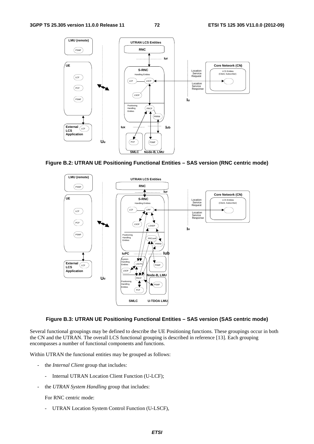

**Figure B.2: UTRAN UE Positioning Functional Entities – SAS version (RNC centric mode)** 



#### **Figure B.3: UTRAN UE Positioning Functional Entities – SAS version (SAS centric mode)**

Several functional groupings may be defined to describe the UE Positioning functions. These groupings occur in both the CN and the UTRAN. The overall LCS functional grouping is described in reference [13]. Each grouping encompasses a number of functional components and functions.

Within UTRAN the functional entities may be grouped as follows:

- the *Internal Client* group that includes:
	- Internal UTRAN Location Client Function (U-LCF);
- the *UTRAN System Handling* group that includes:

For RNC centric mode:

- UTRAN Location System Control Function (U-LSCF),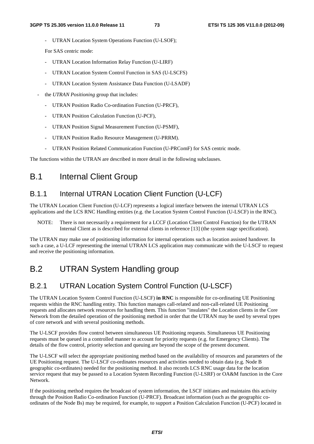UTRAN Location System Operations Function (U-LSOF);

For SAS centric mode:

- UTRAN Location Information Relay Function (U-LIRF)
- UTRAN Location System Control Function in SAS (U-LSCFS)
- UTRAN Location System Assistance Data Function (U-LSADF)
- the *UTRAN Positioning* group that includes:
	- UTRAN Position Radio Co-ordination Function (U-PRCF),
	- UTRAN Position Calculation Function (U-PCF),
	- UTRAN Position Signal Measurement Function (U-PSMF),
	- UTRAN Position Radio Resource Management (U-PRRM).
	- UTRAN Position Related Communication Function (U-PRComF) for SAS centric mode.

The functions within the UTRAN are described in more detail in the following subclauses.

### B.1 Internal Client Group

#### B.1.1 Internal UTRAN Location Client Function (U-LCF)

The UTRAN Location Client Function (U-LCF) represents a logical interface between the internal UTRAN LCS applications and the LCS RNC Handling entities (e.g. the Location System Control Function (U-LSCF) in the RNC).

NOTE: There is not necessarily a requirement for a LCCF (Location Client Control Function) for the UTRAN Internal Client as is described for external clients in reference [13] (the system stage specification).

The UTRAN may make use of positioning information for internal operations such as location assisted handover. In such a case, a U-LCF representing the internal UTRAN LCS application may communicate with the U-LSCF to request and receive the positioning information.

## B.2 UTRAN System Handling group

#### B.2.1 UTRAN Location System Control Function (U-LSCF)

The UTRAN Location System Control Function (U-LSCF) **in RNC** is responsible for co-ordinating UE Positioning requests within the RNC handling entity. This function manages call-related and non-call-related UE Positioning requests and allocates network resources for handling them. This function "insulates" the Location clients in the Core Network from the detailed operation of the positioning method in order that the UTRAN may be used by several types of core network and with several positioning methods.

The U-LSCF provides flow control between simultaneous UE Positioning requests. Simultaneous UE Positioning requests must be queued in a controlled manner to account for priority requests (e.g. for Emergency Clients). The details of the flow control, priority selection and queuing are beyond the scope of the present document.

The U-LSCF will select the appropriate positioning method based on the availability of resources and parameters of the UE Positioning request. The U-LSCF co-ordinates resources and activities needed to obtain data (e.g. Node B geographic co-ordinates) needed for the positioning method. It also records LCS RNC usage data for the location service request that may be passed to a Location System Recording Function (U-LSRF) or OA&M function in the Core Network.

If the positioning method requires the broadcast of system information, the LSCF initiates and maintains this activity through the Position Radio Co-ordination Function (U-PRCF). Broadcast information (such as the geographic coordinates of the Node Bs) may be required, for example, to support a Position Calculation Function (U-PCF) located in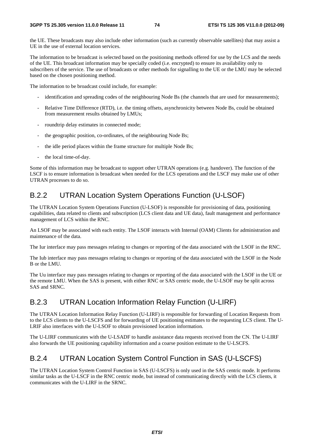the UE. These broadcasts may also include other information (such as currently observable satellites) that may assist a UE in the use of external location services.

The information to be broadcast is selected based on the positioning methods offered for use by the LCS and the needs of the UE. This broadcast information may be specially coded (i.e. encrypted) to ensure its availability only to subscribers of the service. The use of broadcasts or other methods for signalling to the UE or the LMU may be selected based on the chosen positioning method.

The information to be broadcast could include, for example:

- identification and spreading codes of the neighbouring Node Bs (the channels that are used for measurements);
- Relative Time Difference (RTD), i.e. the timing offsets, asynchronicity between Node Bs, could be obtained from measurement results obtained by LMUs;
- roundtrip delay estimates in connected mode;
- the geographic position, co-ordinates, of the neighbouring Node Bs;
- the idle period places within the frame structure for multiple Node Bs;
- the local time-of-day.

Some of this information may be broadcast to support other UTRAN operations (e.g. handover). The function of the LSCF is to ensure information is broadcast when needed for the LCS operations and the LSCF may make use of other UTRAN processes to do so.

#### B.2.2 UTRAN Location System Operations Function (U-LSOF)

The UTRAN Location System Operations Function (U-LSOF) is responsible for provisioning of data, positioning capabilities, data related to clients and subscription (LCS client data and UE data), fault management and performance management of LCS within the RNC.

An LSOF may be associated with each entity. The LSOF interacts with Internal (OAM) Clients for administration and maintenance of the data.

The Iur interface may pass messages relating to changes or reporting of the data associated with the LSOF in the RNC.

The Iub interface may pass messages relating to changes or reporting of the data associated with the LSOF in the Node B or the LMU.

The Uu interface may pass messages relating to changes or reporting of the data associated with the LSOF in the UE or the remote LMU. When the SAS is present, with either RNC or SAS centric mode, the U-LSOF may be split across SAS and SRNC.

#### B.2.3 UTRAN Location Information Relay Function (U-LIRF)

The UTRAN Location Information Relay Function (U-LIRF) is responsible for forwarding of Location Requests from to the LCS clients to the U-LSCFS and for forwarding of UE positioning estimates to the requesting LCS client. The U-LRIF also interfaces with the U-LSOF to obtain provisioned location information.

The U-LIRF communicates with the U-LSADF to handle assistance data requests received from the CN. The U-LIRF also forwards the UE positioning capability information and a coarse position estimate to the U-LSCFS.

#### B.2.4 UTRAN Location System Control Function in SAS (U-LSCFS)

The UTRAN Location System Control Function in SAS (U-LSCFS) is only used in the SAS centric mode. It performs similar tasks as the U-LSCF in the RNC centric mode, but instead of communicating directly with the LCS clients, it communicates with the U-LIRF in the SRNC.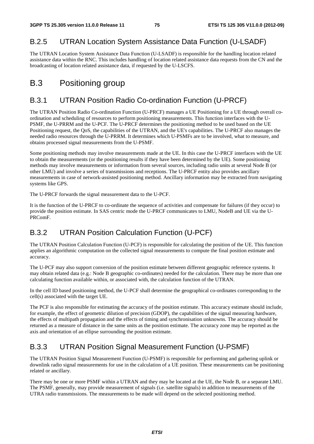#### B.2.5 UTRAN Location System Assistance Data Function (U-LSADF)

The UTRAN Location System Assistance Data Function (U-LSADF) is responsible for the handling location related assistance data within the RNC. This includes handling of location related assistance data requests from the CN and the broadcasting of location related assistance data, if requested by the U-LSCFS.

## B.3 Positioning group

#### B.3.1 UTRAN Position Radio Co-ordination Function (U-PRCF)

The UTRAN Position Radio Co-ordination Function (U-PRCF) manages a UE Positioning for a UE through overall coordination and scheduling of resources to perform positioning measurements. This function interfaces with the U-PSMF, the U-PRRM and the U-PCF. The U-PRCF determines the positioning method to be used based on the UE Positioning request, the QoS, the capabilities of the UTRAN, and the UE's capabilities. The U-PRCF also manages the needed radio resources through the U-PRRM. It determines which U-PSMFs are to be involved, what to measure, and obtains processed signal measurements from the U-PSMF.

Some positioning methods may involve measurements made at the UE. In this case the U-PRCF interfaces with the UE to obtain the measurements (or the positioning results if they have been determined by the UE). Some positioning methods may involve measurements or information from several sources, including radio units at several Node B (or other LMU) and involve a series of transmissions and receptions. The U-PRCF entity also provides ancillary measurements in case of network-assisted positioning method. Ancillary information may be extracted from navigating systems like GPS.

The U-PRCF forwards the signal measurement data to the U-PCF.

It is the function of the U-PRCF to co-ordinate the sequence of activities and compensate for failures (if they occur) to provide the position estimate. In SAS centric mode the U-PRCF communicates to LMU, NodeB and UE via the U-PRComF.

### B.3.2 UTRAN Position Calculation Function (U-PCF)

The UTRAN Position Calculation Function (U-PCF) is responsible for calculating the position of the UE. This function applies an algorithmic computation on the collected signal measurements to compute the final position estimate and accuracy.

The U-PCF may also support conversion of the position estimate between different geographic reference systems. It may obtain related data (e.g.: Node B geographic co-ordinates) needed for the calculation. There may be more than one calculating function available within, or associated with, the calculation function of the UTRAN.

In the cell ID based positioning method, the U-PCF shall determine the geographical co-ordinates corresponding to the cell(s) associated with the target UE.

The PCF is also responsible for estimating the accuracy of the position estimate. This accuracy estimate should include, for example, the effect of geometric dilution of precision (GDOP), the capabilities of the signal measuring hardware, the effects of multipath propagation and the effects of timing and synchronisation unknowns. The accuracy should be returned as a measure of distance in the same units as the position estimate. The accuracy zone may be reported as the axis and orientation of an ellipse surrounding the position estimate.

#### B.3.3 UTRAN Position Signal Measurement Function (U-PSMF)

The UTRAN Position Signal Measurement Function (U-PSMF) is responsible for performing and gathering uplink or downlink radio signal measurements for use in the calculation of a UE position. These measurements can be positioning related or ancillary.

There may be one or more PSMF within a UTRAN and they may be located at the UE, the Node B, or a separate LMU. The PSMF, generally, may provide measurement of signals (i.e. satellite signals) in addition to measurements of the UTRA radio transmissions. The measurements to be made will depend on the selected positioning method.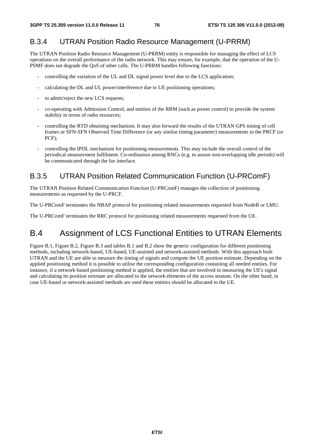#### B.3.4 UTRAN Position Radio Resource Management (U-PRRM)

The UTRAN Position Radio Resource Management (U-PRRM) entity is responsible for managing the effect of LCS operations on the overall performance of the radio network. This may ensure, for example, that the operation of the U-PSMF does not degrade the QoS of other calls. The U-PRRM handles following functions:

- controlling the variation of the UL and DL signal power level due to the LCS application;
- calculating the DL and UL power/interference due to UE positioning operations;
- to admit/reject the new LCS requests;
- co-operating with Admission Control, and entities of the RRM (such as power control) to provide the system stability in terms of radio resources;
- controlling the RTD obtaining mechanism. It may also forward the results of the UTRAN GPS timing of cell frames or SFN-SFN Observed Time Difference (or any similar timing parameter) measurements to the PRCF (or PCF);
- controlling the IPDL mechanism for positioning measurements. This may include the overall control of the periodical measurement fulfilment. Co-ordination among RNCs (e.g. to assure non-overlapping idle periods) will be communicated through the Iur interface.

#### B.3.5 UTRAN Position Related Communication Function (U-PRComF)

The UTRAN Position Related Communication Function (U-PRComF) manages the collection of positioning measurements as requested by the U-PRCF.

The U-PRComF terminates the NBAP protocol for positioning related measurements requested from NodeB or LMU.

The U-PRComF terminates the RRC protocol for positioning related measurements requested from the UE.

## B.4 Assignment of LCS Functional Entities to UTRAN Elements

Figure B.1, Figure B.2, Figure B.3 and tables B.1 and B.2 show the generic configuration for different positioning methods, including network-based, UE-based, UE-assisted and network-assisted methods. With this approach both UTRAN and the UE are able to measure the timing of signals and compute the UE position estimate. Depending on the applied positioning method it is possible to utilise the corresponding configuration containing all needed entities. For instance, if a network-based positioning method is applied, the entities that are involved in measuring the UE's signal and calculating its position estimate are allocated to the network elements of the access stratum. On the other hand, in case UE-based or network-assisted methods are used these entities should be allocated to the UE.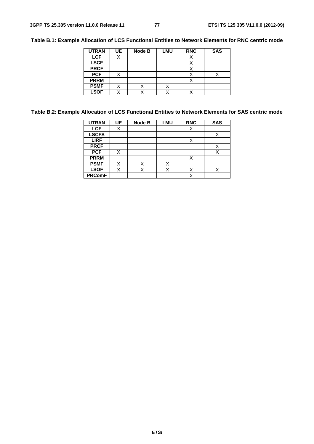**Table B.1: Example Allocation of LCS Functional Entities to Network Elements for RNC centric mode** 

| <b>UTRAN</b> | UE | Node B | LMU | <b>RNC</b> | <b>SAS</b> |
|--------------|----|--------|-----|------------|------------|
| <b>LCF</b>   | ⌒  |        |     | х          |            |
| <b>LSCF</b>  |    |        |     |            |            |
| <b>PRCF</b>  |    |        |     |            |            |
| <b>PCF</b>   |    |        |     |            |            |
| <b>PRRM</b>  |    |        |     |            |            |
| <b>PSMF</b>  |    |        | ⋏   |            |            |
| <b>LSOF</b>  |    |        |     |            |            |

#### **Table B.2: Example Allocation of LCS Functional Entities to Network Elements for SAS centric mode**

| <b>UTRAN</b>  | UE. | Node B | <b>LMU</b> | <b>RNC</b>  | <b>SAS</b> |
|---------------|-----|--------|------------|-------------|------------|
| <b>LCF</b>    | Χ   |        |            | X           |            |
| <b>LSCFS</b>  |     |        |            |             |            |
| <b>LIRF</b>   |     |        |            | Χ           |            |
| <b>PRCF</b>   |     |        |            |             |            |
| <b>PCF</b>    | X   |        |            |             | X          |
| <b>PRRM</b>   |     |        |            | Χ           |            |
| <b>PSMF</b>   | X   | X      |            |             |            |
| <b>LSOF</b>   | X   |        |            | v           | ៶          |
| <b>PRComF</b> |     |        |            | $\check{ }$ |            |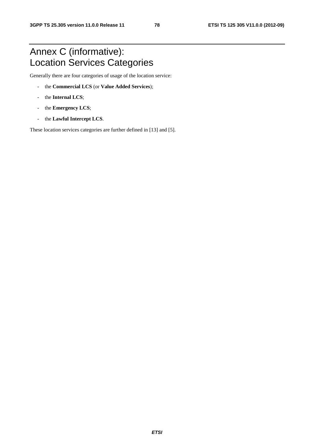## Annex C (informative): Location Services Categories

Generally there are four categories of usage of the location service:

- the **Commercial LCS** (or **Value Added Services**);
- the **Internal LCS**;
- the **Emergency LCS**;
- the **Lawful Intercept LCS**.

These location services categories are further defined in [13] and [5].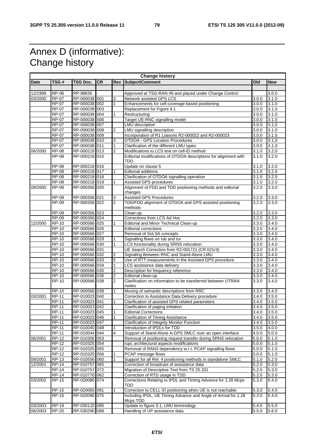## Annex D (informative): Change history

| <b>Change history</b> |              |                 |           |                |                                                                       |                    |            |
|-----------------------|--------------|-----------------|-----------|----------------|-----------------------------------------------------------------------|--------------------|------------|
| <b>Date</b>           | TSG#         | <b>TSG Doc.</b> | <b>CR</b> | Rev            | Subject/Comment                                                       | Old                | <b>New</b> |
|                       |              |                 |           |                |                                                                       |                    |            |
| 12/1999               | <b>RP-06</b> | RP-99635        |           |                | Approved at TSG-RAN #6 and placed under Change Control                |                    | 3.0.0      |
| 03/2000               | $RP-07$      | RP-000038 001   |           | 3              | Network assisted GPS LCS                                              | 3.0.0              | 3.1.0      |
|                       | <b>RP-07</b> | RP-000038 002   |           | 1              | Enhancements for cell coverage based positioning                      | 3.0.0              | 3.1.0      |
|                       | $RP-07$      | RP-000038 003   |           |                | Replacement for Figure 4.1                                            | 3.0.0              | 3.1.0      |
|                       | RP-07        | RP-000038 004   |           | 1              | Restructuring                                                         | 3.0.0              | 3.1.0      |
|                       | $RP-07$      | RP-000038 006   |           |                | Target UE-RNC signalling model                                        | 3.0.0              | 3.1.0      |
|                       | <b>RP-07</b> | RP-000038 007   |           |                | <b>LMU</b> description                                                | 3.0.0              | 3.1.0      |
|                       | <b>RP-07</b> | RP-000038 008   |           | 2              | LMU signalling description                                            | 3.0.0              | 3.1.0      |
|                       | <b>RP-07</b> | RP-000038 009   |           |                | Incorporation of R1 Liaisons R2-000022 and R2-000023                  | 3.0.0              | 3.1.0      |
|                       | <b>RP-07</b> | RP-000038 010   |           | 3              | <b>OTDOA - GPS Location Procedures</b>                                | 3.0.0              | 3.1.0      |
|                       | <b>RP-07</b> | RP-000038 011   |           | 1              | Clarification of the different LMU types                              | 3.0.0              | 3.1.0      |
| 06/2000               | <b>RP-08</b> | RP-000218 013   |           | 2              | Modifications to LCS text on cell-ID method                           | 3.1.0              | 3.2.0      |
|                       | <b>RP-08</b> | RP-000218 015   |           |                | Editorial modifications of OTDOA descriptions for alignment with      | 3.1.0              | 3.2.0      |
|                       |              |                 |           |                | <b>TDD</b>                                                            |                    |            |
|                       | <b>RP-08</b> | RP-000218 016   |           |                | Update on clause 5                                                    | 3.1.0              | 3.2.0      |
|                       | <b>RP-08</b> | RP-000218 017   |           | 1              | <b>Editorial additions</b>                                            | 3.1.0              | 3.2.0      |
|                       | $RP-08$      | RP-000218 018   |           |                | Clarification of OTDOA signalling operation                           | 3.1.0              | 3.2.0      |
|                       | <b>RP-08</b> | RP-000218 019   |           | 1              | Assisted GPS procedures                                               | 3.1.0              | 3.2.0      |
| 09/2000               | RP-09        | RP-000356 020   |           |                | Alignment of FDD and TDD positioning methods and editorial            | 3.2.0              | 3.3.0      |
|                       |              |                 |           |                | changes                                                               |                    |            |
|                       | $RP-09$      | RP-000356 021   |           | 3              | <b>Assisted GPS Procedures</b>                                        | 3.2.0              | 3.3.0      |
|                       | $RP-09$      | RP-000356 022   |           | $\overline{2}$ | TDD/FDD alignment of OTDOA and GPS assisted positioning               | 3.2.0              | 3.3.0      |
|                       |              |                 |           |                | methods                                                               |                    |            |
|                       | $RP-09$      | RP-000356 023   |           |                | Clean-up                                                              | 3.2.0              | 3.3.0      |
|                       | <b>RP-09</b> | RP-000356 024   |           |                | Corrections from LCS Ad Hoc                                           | 3.2.0              | 3.3.0      |
| 12/2000               | $RP-10$      | RP-000566 025   |           |                | <b>Editorial and Minor Technical Clean-up</b>                         | 3.3.0              | 3.4.0      |
|                       | <b>RP-10</b> | RP-000566 026   |           |                | <b>Editorial corrections</b>                                          | 3.3.0              | 3.4.0      |
|                       | $RP-10$      | RP-000566 027   |           |                | Removal of SoLSA concepts                                             | 3.3.0              | 3.4.0      |
|                       | $RP-10$      | RP-000566 029   |           | 1              | Signalling flows on lub and lur                                       | 3.3.0              | 3.4.0      |
|                       | <b>RP-10</b> | RP-000566 030   |           | 1              | LCS functionality during SRNS relocation                              | 3.3.0              | 3.4.0      |
|                       | <b>RP-10</b> | RP-000566 031   |           |                | UE Search Correction from R2-001721 (CR 021r3)                        | 3.3.0              | 3.4.0      |
|                       | <b>RP-10</b> | RP-000566 032   |           | 2              | Signaling Between RNC and Stand-Alone LMU                             | 3.3.0              | 3.4.0      |
|                       | <b>RP-10</b> | RP-000566 033   |           | 5              | Use of RTT measurements in the Assisted GPS procedure                 | 3.3.0              | 3.4.0      |
|                       | <b>RP-10</b> | RP-000566 034   |           | 1              | LCS assistance data delivery                                          | 3.3.0              | 3.4.0      |
|                       | <b>RP-10</b> | RP-000566 035   |           | 2              | Description for frequency reference                                   | 3.3.0              | 3.4.0      |
|                       | <b>RP-10</b> | RP-000566 036   |           | 2              | Editorial clean-up                                                    | 3.3.0              | 3.4.0      |
|                       | $RP-10$      | RP-000566 038   |           | 2              | Clarification on information to be transferred between UTRAN<br>nodes | 3.3.0              | 3.4.0      |
|                       | $RP-10$      | RP-000566 039   |           | 1              | Moving of semantic descriptions from RRC                              | 3.3.0              | 3.4.0      |
| 03/2001               | <b>RP-11</b> | RP-010023 040   |           |                | Correction to Assistance Data Delivery procedure                      | 3.4.0              | 3.5.0      |
|                       | RP-11        | RP-010023 041   |           |                | Clarification of assisted GPS related parameters                      | 3.4.0              | 3.5.0      |
|                       | $RP-11$      | RP-010023 042   |           |                | Clarification of paging initiation                                    | 3.4.0              | 3.5.0      |
|                       | RP-11        | RP-010023 045   |           |                | <b>Editorial Corrections</b>                                          | 3.4.0              | 3.5.0      |
|                       | <b>RP-11</b> | RP-010023 046   |           | 1              | Clarification of Timing Assistance                                    | 3.4.0              | 3.5.0      |
|                       | RP-11        | RP-010023 047   |           |                | <b>Clarification of Integrity Monitor Function</b>                    | 3.4.0              | 3.5.0      |
|                       | <b>RP-11</b> | RP-010040 048   |           | 1              | Introduction of IPDLs for TDD                                         | 3.5.0              | 4.0.0      |
|                       | $RP-11$      | RP-010044 044   |           | 4              | Support of Stand-Alone A-GPS SMLC over an open interface              | 4.0.0              | 5.0.0      |
| 06/2001               | <b>RP-12</b> | RP-010306 053   |           |                | Removal of positioning request transfer during SRNS relocation        | 5.0.0              | 5.1.0      |
|                       | <b>RP-12</b> | RP-010325 054   |           |                | lupc architectural aspects modifications                              | 5.0.0              | 5.1.0      |
|                       | RP-12        | RP-010325 055   |           |                | Removal of RAN3 dependency w.r.t. PCAP signalling flows               | 5.0.0              | 5.1.0      |
|                       | <b>RP-12</b> | RP-010325 056   |           |                | PCAP message flows                                                    | 5.0.0              | 5.1.0      |
| 09/2001               | <b>RP-13</b> | RP-010556 060   |           | 1              | Support for all Rel. 4 positioning methods in standalone SMLC         | 5.1.0              | 5.2.0      |
| 12/2001               | <b>RP-14</b> | RP-010757 065   |           |                | Correction of broadcast of assistance data                            | 5.2.0              | 5.3.0      |
|                       | <b>RP-14</b> | RP-010757 072   |           |                | Migration of Descriptive Text from TS 25.331                          | 5.2.0              | 5.3.0      |
|                       | <b>RP-14</b> | RP-010770 062   |           |                | Correction of RTD usage in TDD                                        | 5.2.0              | 5.3.0      |
| 03/2002               | <b>RP-15</b> | RP-020080 074   |           |                | Corrections Relating to IPDL and Timing Advance for 1.28 Mcps<br>TDD  | 5.3.0              | 5.4.0      |
|                       | <b>RP-15</b> | RP-020065 081   |           | 1              | Correction to CELL ID positioning when UE is not reachable            | 5.3.0              | 5.4.0      |
|                       | <b>RP-15</b> | RP-020090 075   |           |                | Including IPDL, UE Timing Advance and Angle of Arrival for 1.28       | $\overline{5.3.0}$ | 5.4.0      |
|                       |              |                 |           |                | Mcps TDD                                                              |                    |            |
| 03/2003               | <b>RP-19</b> | RP-030110 085   |           |                | Update to figure 5.1, LMU terminology                                 | 5.4.0              | 5.5.0      |
| 06/2003               | <b>RP-20</b> | RP-030290 088   |           |                | Handling of UP assistance data                                        | 5.5.0              | 5.6.0      |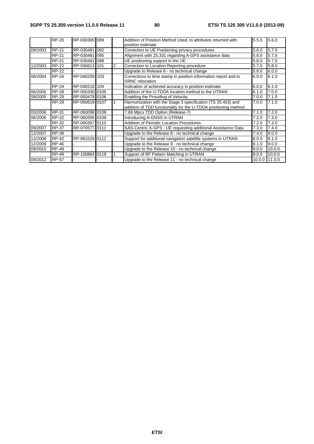|         | RP-20        | RP-030300 089  |      |   | Addition of Position Method Used, to attributes returned with<br>position estimate                                              | 5.5.0 | 5.6.0         |
|---------|--------------|----------------|------|---|---------------------------------------------------------------------------------------------------------------------------------|-------|---------------|
| 09/2003 | <b>RP-21</b> | RP-030481      | 092  |   | Correction to UE Positioning privacy procedures                                                                                 | 5.6.0 | 5.7.0         |
|         | <b>RP-21</b> | RP-030481      | 095  |   | Alignment with 25.331 regarding A-GPS assistance data                                                                           | 5.6.0 | 5.7.0         |
|         | <b>RP-21</b> | RP-030481      | 098  |   | UE positioning support in the UE                                                                                                | 5.6.0 | 5.7.0         |
| 12/2003 | <b>RP-22</b> | RP-030613 101  |      | 2 | Correction to Location Reporting procedure                                                                                      | 5.7.0 | 5.8.0         |
|         | <b>RP-22</b> |                |      |   | Upgrade to Release 6 - no technical change                                                                                      | 5.8.0 | 6.0.0         |
| 06/2004 | <b>RP-24</b> | RP-040209 103  |      |   | Corrections to time stamp in position information report and to<br><b>SRNC</b> relocation                                       | 6.0.0 | 6.1.0         |
|         | <b>RP-24</b> | RP-040216 104  |      |   | Indication of achieved accuracy in position estimate                                                                            | 6.0.0 | 6.1.0         |
| 06/2005 | <b>RP-28</b> | RP-050330 0105 |      |   | Addition of the U-TDOA location method to the UTRAN                                                                             | 6.1.0 | 7.0.0         |
| 09/2005 | <b>RP-29</b> | RP-050478 0106 |      |   | Enabling the Providing of Velocity                                                                                              | 7.0.0 | 7.1.0         |
|         | <b>RP-29</b> | RP-050619 0107 |      |   | Harmonization with the Stage 3 specification (TS 25.453) and<br>addition of TDD functionality for the U-TDOA positioning method | 7.0.0 | 7.1.0         |
| 03/2006 | <b>RP-31</b> | RP-060098 0108 |      |   | 7.68 Mpcs TDD Option (Release 7)                                                                                                | 7.1.0 | 7.2.0         |
| 06/2006 | RP-32        | RP-060356 0109 |      |   | Introducing A-GNSS in UTRAN                                                                                                     | 7.2.0 | 7.3.0         |
|         | RP-32        | RP-060357 0110 |      |   | Addition of Periodic Location Procedures                                                                                        | 7.2.0 | 7.3.0         |
| 09/2007 | <b>RP-37</b> | RP-070577      | 0111 |   | SAS-Centric A-GPS - UE requesting additional Assistance Data                                                                    | 7.3.0 | 7.4.0         |
| 12/2007 | <b>RP-38</b> |                |      |   | Upgrade to the Release 8 - no technical change                                                                                  | 7.4.0 | 8.0.0         |
| 12/2008 | <b>RP-42</b> | RP-081029 0112 |      |   | Support for additional navigation satellite systems in UTRAN                                                                    | 8.0.0 | 8.1.0         |
| 12/2009 | <b>RP-46</b> |                |      |   | Upgrade to the Release 9 - no technical change                                                                                  | 8.1.0 | 9.0.0         |
| 09/2010 | <b>RP-49</b> |                |      |   | Upgrade to the Release 10 - no technical change                                                                                 | 9.0.0 | 10.0.0        |
|         | <b>RP-49</b> | RP-100864 0119 |      |   | Support of RF Pattern Matching in UTRAN                                                                                         | 9.0.0 | 10.0.0        |
| 09/2012 | <b>RP-57</b> |                |      |   | Upgrade to the Release 11 - no technical change                                                                                 |       | 10.0.0 11.0.0 |